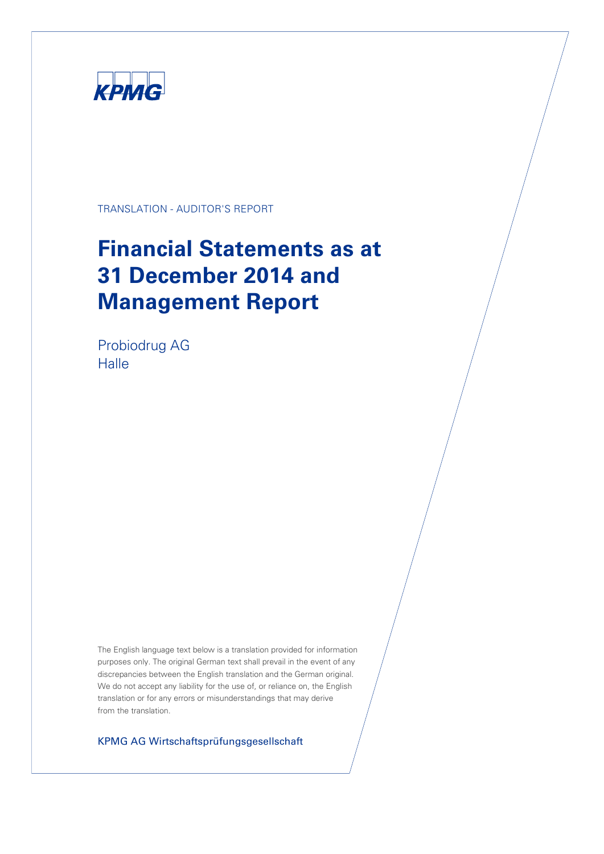

TRANSLATION - AUDITOR'S REPORT

# **Financial Statements as at 31 December 2014 and Management Report**

Probiodrug AG Halle

The English language text below is a translation provided for information purposes only. The original German text shall prevail in the event of any discrepancies between the English translation and the German original. We do not accept any liability for the use of, or reliance on, the English translation or for any errors or misunderstandings that may derive from the translation.

KPMG AG Wirtschaftsprüfungsgesellschaft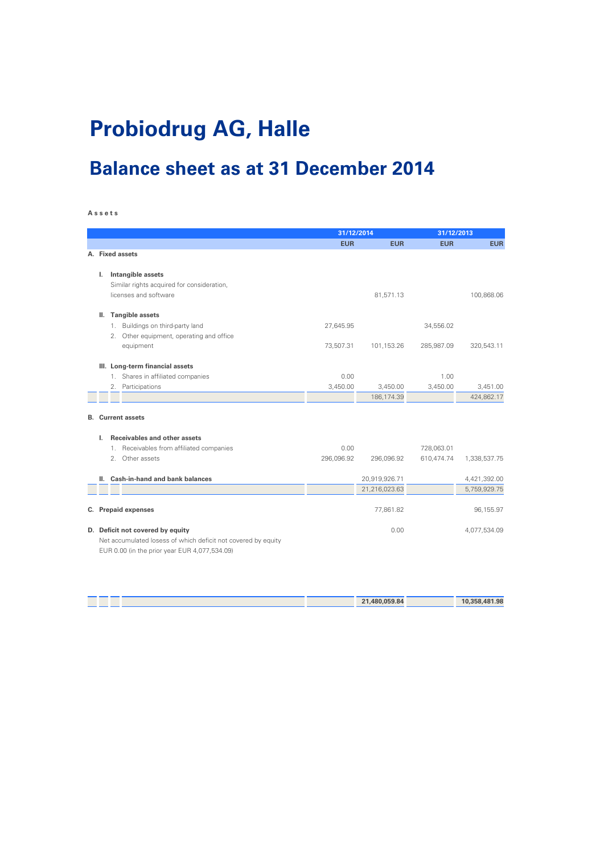# **Probiodrug AG, Halle**

## **Balance sheet as at 31 December 2014**

#### **A s s e t s**

|    |    | 31/12/2014                                                    |            | 31/12/2013    |            |              |
|----|----|---------------------------------------------------------------|------------|---------------|------------|--------------|
|    |    |                                                               | <b>EUR</b> | <b>EUR</b>    | <b>EUR</b> | <b>EUR</b>   |
|    |    | A. Fixed assets                                               |            |               |            |              |
|    |    |                                                               |            |               |            |              |
| ı. |    | Intangible assets                                             |            |               |            |              |
|    |    | Similar rights acquired for consideration,                    |            |               |            |              |
|    |    | licenses and software                                         |            | 81,571.13     |            | 100.868.06   |
|    |    |                                                               |            |               |            |              |
|    |    | II. Tangible assets                                           |            |               |            |              |
|    |    | 1. Buildings on third-party land                              | 27,645.95  |               | 34,556.02  |              |
|    | 2. | Other equipment, operating and office                         |            |               |            |              |
|    |    | equipment                                                     | 73,507.31  | 101,153.26    | 285,987.09 | 320,543.11   |
|    |    | III. Long-term financial assets                               |            |               |            |              |
|    |    | 1. Shares in affiliated companies                             | 0.00       |               | 1.00       |              |
|    | 2. | Participations                                                | 3,450.00   | 3,450.00      | 3,450.00   | 3,451.00     |
|    |    |                                                               |            | 186, 174.39   |            | 424,862.17   |
|    |    |                                                               |            |               |            |              |
|    |    | <b>B.</b> Current assets                                      |            |               |            |              |
|    |    |                                                               |            |               |            |              |
| L. |    | Receivables and other assets                                  |            |               |            |              |
|    |    | 1. Receivables from affiliated companies                      | 0.00       |               | 728,063.01 |              |
|    | 2. | Other assets                                                  | 296,096.92 | 296,096.92    | 610,474.74 | 1,338,537.75 |
|    |    |                                                               |            |               |            |              |
|    |    | II. Cash-in-hand and bank balances                            |            | 20,919,926.71 |            | 4,421,392.00 |
|    |    |                                                               |            | 21,216,023.63 |            | 5,759,929.75 |
|    |    | C. Prepaid expenses                                           |            |               |            | 96,155.97    |
|    |    |                                                               |            | 77,861.82     |            |              |
|    |    | D. Deficit not covered by equity                              |            | 0.00          |            | 4,077,534.09 |
|    |    | Net accumulated losess of which deficit not covered by equity |            |               |            |              |
|    |    | EUR 0.00 (in the prior year EUR 4,077,534.09)                 |            |               |            |              |

|  | 21,480,059.84 | 10,358,481.98 |
|--|---------------|---------------|
|  |               |               |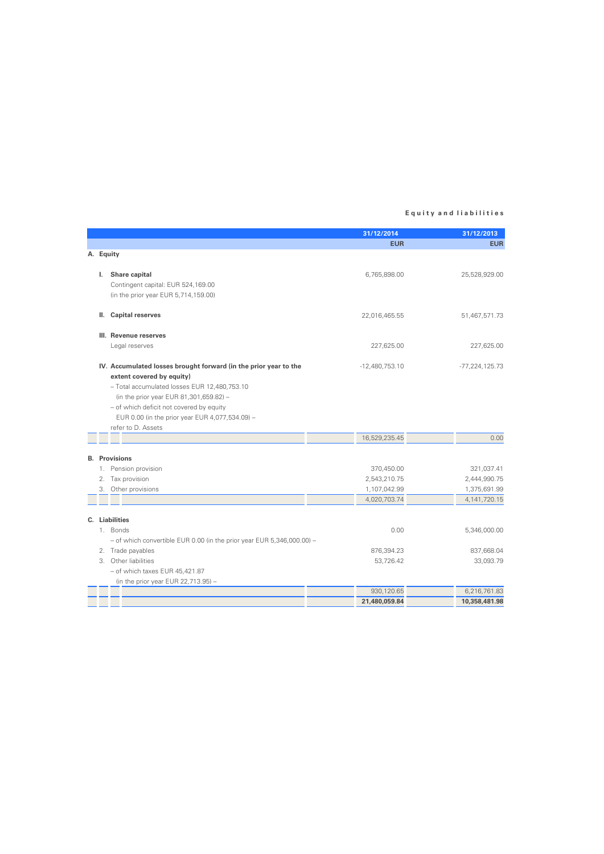#### **E q u i t y a n d l i a b i l i t i e s**

|    |                                                                            | 31/12/2014                   | 31/12/2013                      |
|----|----------------------------------------------------------------------------|------------------------------|---------------------------------|
|    |                                                                            | <b>EUR</b>                   | <b>EUR</b>                      |
|    | A. Equity                                                                  |                              |                                 |
| L. | Share capital                                                              | 6,765,898.00                 | 25,528,929.00                   |
|    | Contingent capital: EUR 524,169.00                                         |                              |                                 |
|    | (in the prior year EUR 5,714,159.00)                                       |                              |                                 |
|    |                                                                            |                              |                                 |
| Ш. | <b>Capital reserves</b>                                                    | 22,016,465.55                | 51,467,571.73                   |
|    | III. Revenue reserves                                                      |                              |                                 |
|    | Legal reserves                                                             | 227,625.00                   | 227,625.00                      |
|    | IV. Accumulated losses brought forward (in the prior year to the           | $-12,480,753.10$             | $-77,224,125.73$                |
|    | extent covered by equity)                                                  |                              |                                 |
|    | - Total accumulated losses EUR 12,480,753.10                               |                              |                                 |
|    | (in the prior year EUR 81,301,659.82) -                                    |                              |                                 |
|    | - of which deficit not covered by equity                                   |                              |                                 |
|    | EUR 0.00 (in the prior year EUR 4,077,534.09) -                            |                              |                                 |
|    | refer to D. Assets                                                         |                              |                                 |
|    |                                                                            | 16,529,235.45                | 0.00                            |
|    |                                                                            |                              |                                 |
|    | <b>B.</b> Provisions                                                       |                              |                                 |
|    | 1. Pension provision                                                       | 370,450.00                   | 321,037.41                      |
| 2. | Tax provision                                                              | 2,543,210.75                 | 2,444,990.75                    |
|    | 3. Other provisions                                                        | 1,107,042.99<br>4,020,703.74 | 1,375,691.99<br>4, 141, 720. 15 |
|    |                                                                            |                              |                                 |
|    | C. Liabilities                                                             |                              |                                 |
|    | 1. Bonds                                                                   | 0.00                         | 5,346,000.00                    |
|    | $-$ of which convertible EUR 0.00 (in the prior year EUR 5,346,000.00) $-$ |                              |                                 |
|    | 2. Trade payables                                                          | 876,394.23                   | 837,668.04                      |
|    | 3. Other liabilities                                                       | 53,726.42                    | 33,093.79                       |
|    | $-$ of which taxes EUR 45,421.87                                           |                              |                                 |
|    | (in the prior year EUR 22,713.95) $-$                                      |                              |                                 |
|    |                                                                            | 930,120.65                   | 6,216,761.83                    |
|    |                                                                            | 21,480,059.84                | 10,358,481.98                   |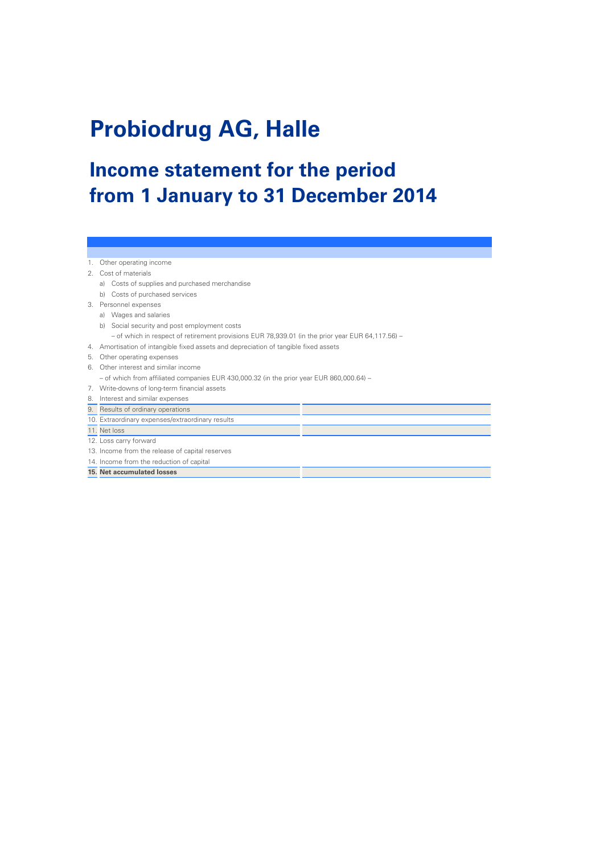# **Probiodrug AG, Halle**

# **Income statement for the period from 1 January to 31 December 2014**

- 1. Other operating income
- 2. Cost of materials
	- a) Costs of supplies and purchased merchandise
	- b) Costs of purchased services
- 3. Personnel expenses
- a) Wages and salaries
	- b) Social security and post employment costs
	- of which in respect of retirement provisions EUR 78,939.01 (in the prior year EUR 64,117.56) –
- 4. Amortisation of intangible fixed assets and depreciation of tangible fixed assets
- 5. Other operating expenses
- 6. Other interest and similar income
- of which from affiliated companies EUR 430,000.32 (in the prior year EUR 860,000.64) –
- 7. Write-downs of long-term financial assets
- 8. Interest and similar expenses
- 9. Results of ordinary operations
- 10. Extraordinary expenses/extraordinary results
- 11. Net loss
- 12. Loss carry forward
- 13. Income from the release of capital reserves
- 14. Income from the reduction of capital
- **15. Net accumulated losses**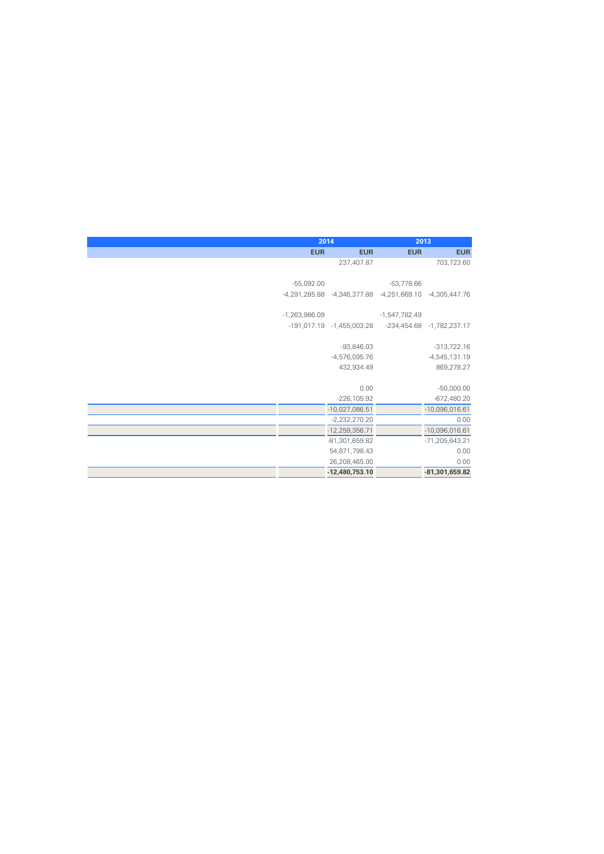| 2014            |                                                         |                 | 2013                      |  |
|-----------------|---------------------------------------------------------|-----------------|---------------------------|--|
| <b>EUR</b>      | <b>EUR</b>                                              | <b>EUR</b>      | <b>EUR</b>                |  |
|                 | 237,407.87                                              |                 | 703,723.60                |  |
|                 |                                                         |                 |                           |  |
| $-55,092.00$    |                                                         | $-53,778.66$    |                           |  |
|                 | -4,291,285.88 -4,346,377.88 -4,251,669.10 -4,305,447.76 |                 |                           |  |
| $-1,263,986.09$ |                                                         | $-1,547,782.49$ |                           |  |
|                 |                                                         |                 |                           |  |
|                 | -191,017.19 -1,455,003.28                               |                 | -234,454.68 -1,782,237.17 |  |
|                 | $-93,846.03$                                            |                 | $-313,722.16$             |  |
|                 | $-4,576,095.76$                                         |                 | $-4,545,131.19$           |  |
|                 |                                                         |                 |                           |  |
|                 | 432,934.49                                              |                 | 869,278.27                |  |
|                 | 0.00                                                    |                 | $-50,000.00$              |  |
|                 | $-226, 105.92$                                          |                 | $-672,480.20$             |  |
|                 | $-10,027,086.51$                                        |                 | $-10,096,016.61$          |  |
|                 | $-2,232,270.20$                                         |                 | 0.00                      |  |
|                 | $-12,259,356.71$                                        |                 | $-10,096,016.61$          |  |
|                 | -81,301,659.82                                          |                 | $-71,205,643.21$          |  |
|                 | 54,871,798.43                                           |                 | 0.00                      |  |
|                 | 26,208,465.00                                           |                 | 0.00                      |  |
|                 | -12,480,753.10                                          |                 | -81,301,659.82            |  |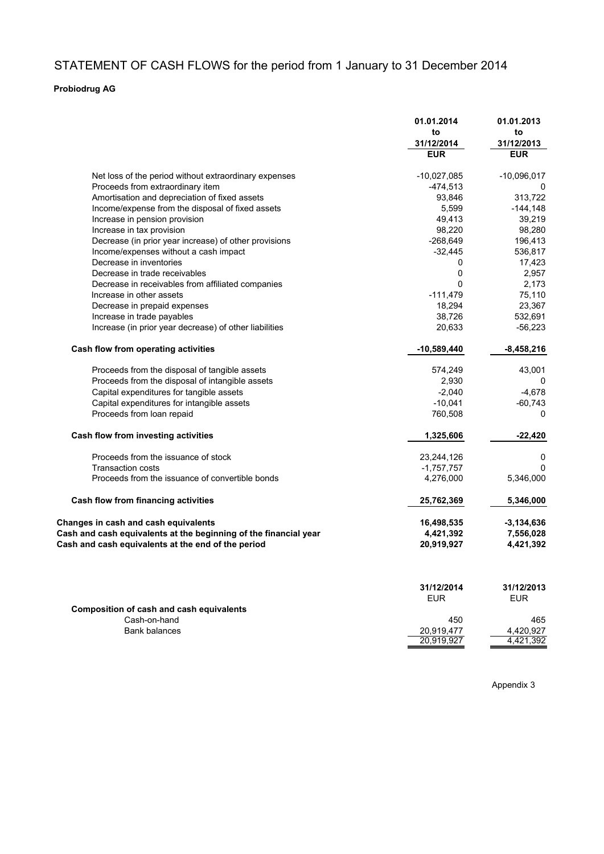## STATEMENT OF CASH FLOWS for the period from 1 January to 31 December 2014

#### **Probiodrug AG**

|                                                                  | 01.01.2014       | 01.01.2013       |
|------------------------------------------------------------------|------------------|------------------|
|                                                                  | to<br>31/12/2014 | to<br>31/12/2013 |
|                                                                  | <b>EUR</b>       | <b>EUR</b>       |
| Net loss of the period without extraordinary expenses            | $-10,027,085$    | $-10,096,017$    |
| Proceeds from extraordinary item                                 | $-474,513$       | 0                |
| Amortisation and depreciation of fixed assets                    | 93,846           | 313,722          |
| Income/expense from the disposal of fixed assets                 | 5,599            | $-144,148$       |
| Increase in pension provision                                    | 49,413           | 39,219           |
| Increase in tax provision                                        | 98,220           | 98,280           |
| Decrease (in prior year increase) of other provisions            | $-268,649$       | 196,413          |
| Income/expenses without a cash impact                            | $-32,445$        | 536,817          |
| Decrease in inventories                                          | 0                | 17,423           |
| Decrease in trade receivables                                    | 0                | 2,957            |
| Decrease in receivables from affiliated companies                | 0                | 2,173            |
| Increase in other assets                                         | $-111,479$       | 75,110           |
| Decrease in prepaid expenses                                     | 18,294           | 23,367           |
| Increase in trade payables                                       | 38,726           | 532,691          |
| Increase (in prior year decrease) of other liabilities           | 20,633           | $-56,223$        |
| Cash flow from operating activities                              | $-10,589,440$    | $-8,458,216$     |
| Proceeds from the disposal of tangible assets                    | 574,249          | 43,001           |
| Proceeds from the disposal of intangible assets                  | 2,930            | 0                |
| Capital expenditures for tangible assets                         | $-2,040$         | $-4,678$         |
| Capital expenditures for intangible assets                       | $-10,041$        | $-60,743$        |
| Proceeds from loan repaid                                        | 760,508          | 0                |
| Cash flow from investing activities                              | 1,325,606        | $-22,420$        |
| Proceeds from the issuance of stock                              | 23,244,126       | 0                |
| <b>Transaction costs</b>                                         | $-1,757,757$     | $\mathbf{0}$     |
| Proceeds from the issuance of convertible bonds                  | 4,276,000        | 5,346,000        |
| Cash flow from financing activities                              | 25,762,369       | 5,346,000        |
| <b>Changes in cash and cash equivalents</b>                      | 16,498,535       | $-3,134,636$     |
| Cash and cash equivalents at the beginning of the financial year | 4,421,392        | 7,556,028        |
| Cash and cash equivalents at the end of the period               | 20,919,927       | 4,421,392        |
|                                                                  |                  |                  |
|                                                                  | 31/12/2014       | 31/12/2013       |
|                                                                  | <b>EUR</b>       | <b>EUR</b>       |
| <b>Composition of cash and cash equivalents</b>                  |                  |                  |
| Cash-on-hand                                                     | 450              | 465              |
| <b>Bank balances</b>                                             | 20,919,477       | 4,420,927        |
|                                                                  | 20,919,927       | 4,421,392        |

Appendix 3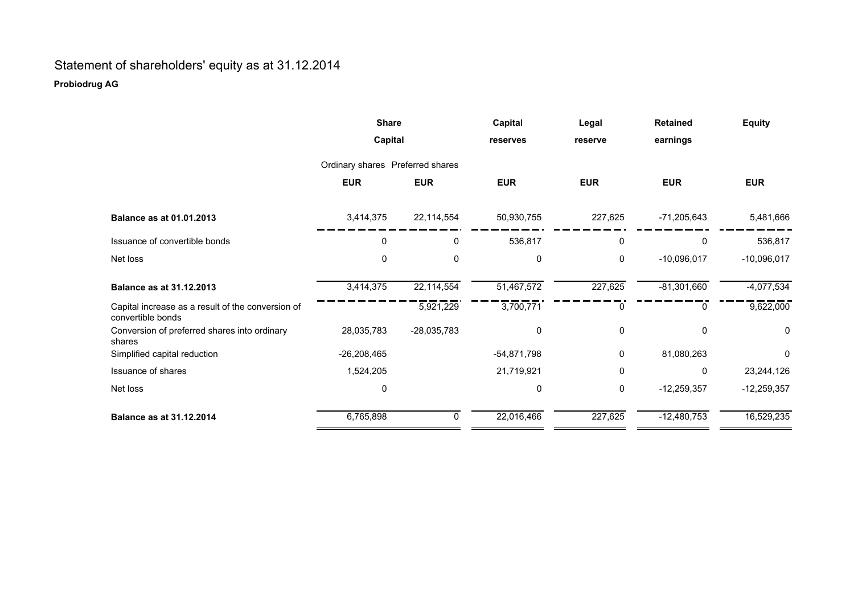## Statement of shareholders' equity as at 31.12.2014 **Probiodrug AG**

|                                                                        | <b>Share</b>                     |               | Capital       | Legal      | <b>Retained</b> | <b>Equity</b>          |
|------------------------------------------------------------------------|----------------------------------|---------------|---------------|------------|-----------------|------------------------|
|                                                                        | Capital                          |               | reserves      | reserve    | earnings        |                        |
|                                                                        | Ordinary shares Preferred shares |               |               |            |                 |                        |
|                                                                        | <b>EUR</b>                       | <b>EUR</b>    | <b>EUR</b>    | <b>EUR</b> | <b>EUR</b>      | <b>EUR</b>             |
| <b>Balance as at 01.01.2013</b>                                        | 3,414,375                        | 22,114,554    | 50,930,755    | 227,625    | $-71,205,643$   | 5,481,666              |
| Issuance of convertible bonds                                          | 0                                | 0             | 536,817       | 0          | 0               | 536,817                |
| Net loss                                                               | 0                                | 0             | $\mathbf 0$   | 0          | $-10,096,017$   | $-10,096,017$          |
| <b>Balance as at 31.12.2013</b>                                        | 3,414,375                        | 22,114,554    | 51,467,572    | 227,625    | $-81,301,660$   | $-4,077,534$           |
| Capital increase as a result of the conversion of<br>convertible bonds |                                  | 5,921,229     | 3,700,771     | 0          | 0               | $\overline{9,622,000}$ |
| Conversion of preferred shares into ordinary<br>shares                 | 28,035,783                       | $-28,035,783$ | 0             | 0          | 0               | 0                      |
| Simplified capital reduction                                           | $-26,208,465$                    |               | $-54,871,798$ | 0          | 81,080,263      | 0                      |
| Issuance of shares                                                     | 1,524,205                        |               | 21,719,921    | 0          | 0               | 23,244,126             |
| Net loss                                                               | 0                                |               | 0             | 0          | $-12,259,357$   | $-12,259,357$          |
| <b>Balance as at 31.12.2014</b>                                        | 6,765,898                        | 0             | 22,016,466    | 227,625    | $-12,480,753$   | 16,529,235             |
|                                                                        |                                  |               |               |            |                 |                        |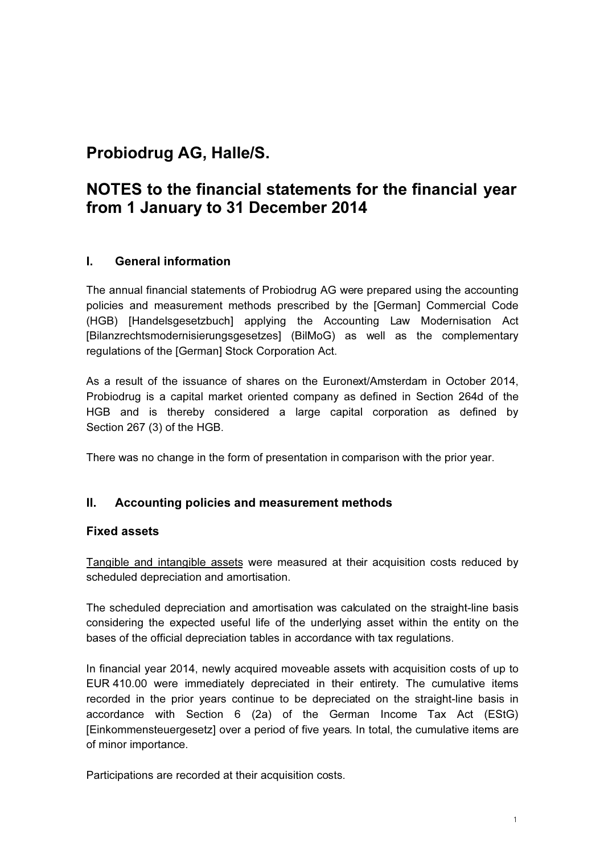## Probiodrug AG, Halle/S.

## NOTES to the financial statements for the financial year from 1 January to 31 December 2014

## I. General information

The annual financial statements of Probiodrug AG were prepared using the accounting policies and measurement methods prescribed by the [German] Commercial Code (HGB) [Handelsgesetzbuch] applying the Accounting Law Modernisation Act [Bilanzrechtsmodernisierungsgesetzes] (BilMoG) as well as the complementary regulations of the [German] Stock Corporation Act.

As a result of the issuance of shares on the Euronext/Amsterdam in October 2014, Probiodrug is a capital market oriented company as defined in Section 264d of the HGB and is thereby considered a large capital corporation as defined by Section 267 (3) of the HGB.

There was no change in the form of presentation in comparison with the prior year.

## II. Accounting policies and measurement methods

### Fixed assets

Tangible and intangible assets were measured at their acquisition costs reduced by scheduled depreciation and amortisation.

The scheduled depreciation and amortisation was calculated on the straight-line basis considering the expected useful life of the underlying asset within the entity on the bases of the official depreciation tables in accordance with tax regulations.

In financial year 2014, newly acquired moveable assets with acquisition costs of up to EUR 410.00 were immediately depreciated in their entirety. The cumulative items recorded in the prior years continue to be depreciated on the straight-line basis in accordance with Section 6 (2a) of the German Income Tax Act (EStG) [Einkommensteuergesetz] over a period of five years. In total, the cumulative items are of minor importance.

Participations are recorded at their acquisition costs.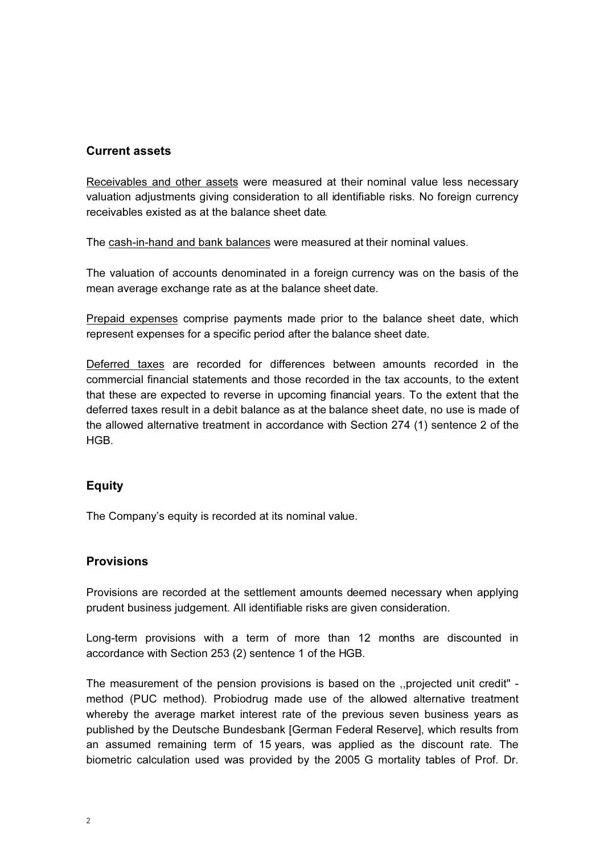#### Current assets

Receivables and other assets were measured at their nominal value less necessary valuation adjustments giving consideration to all identifiable risks. No foreign currency receivables existed as at the balance sheet date.

The cash-in-hand and bank balances were measured at their nominal values.

The valuation of accounts denominated in a foreign currency was on the basis of the mean average exchange rate as at the balance sheet date.

Prepaid expenses comprise payments made prior to the balance sheet date, which represent expenses for a specific period after the balance sheet date.

Deferred taxes are recorded for differences between amounts recorded in the commercial financial statements and those recorded in the tax accounts, to the extent that these are expected to reverse in upcoming financial years. To the extent that the deferred taxes result in a debit balance as at the balance sheet date, no use is made of the allowed alternative treatment in accordance with Section 274 (1) sentence 2 of the HGB.

### Equity

The Company's equity is recorded at its nominal value.

#### **Provisions**

Provisions are recorded at the settlement amounts deemed necessary when applying prudent business judgement. All identifiable risks are given consideration.

Long-term provisions with a term of more than 12 months are discounted in accordance with Section 253 (2) sentence 1 of the HGB.

The measurement of the pension provisions is based on the ,,projected unit credit" method (PUC method). Probiodrug made use of the allowed alternative treatment whereby the average market interest rate of the previous seven business years as published by the Deutsche Bundesbank [German Federal Reserve], which results from an assumed remaining term of 15 years, was applied as the discount rate. The biometric calculation used was provided by the 2005 G mortality tables of Prof. Dr.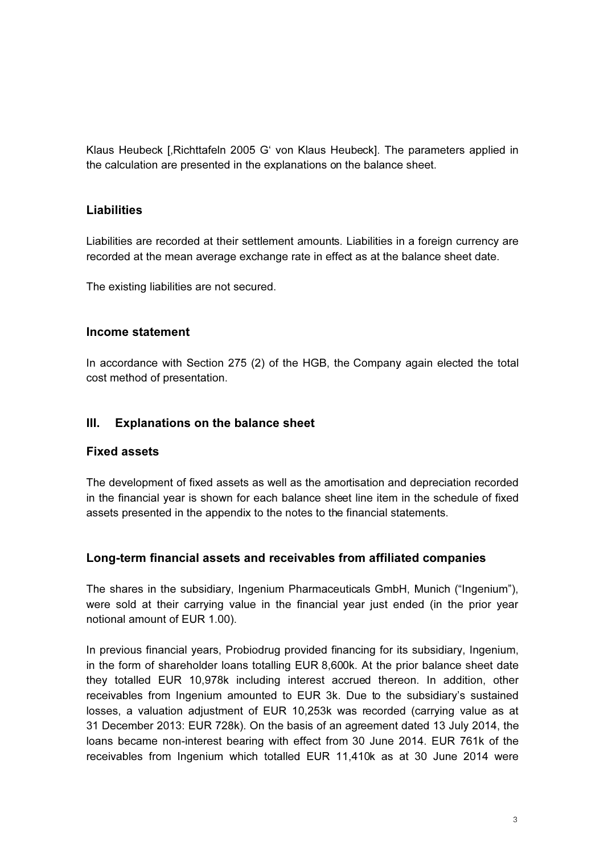Klaus Heubeck [, Richttafeln 2005 G' von Klaus Heubeck]. The parameters applied in the calculation are presented in the explanations on the balance sheet.

## Liabilities

Liabilities are recorded at their settlement amounts. Liabilities in a foreign currency are recorded at the mean average exchange rate in effect as at the balance sheet date.

The existing liabilities are not secured.

### Income statement

In accordance with Section 275 (2) of the HGB, the Company again elected the total cost method of presentation.

#### III. Explanations on the balance sheet

### Fixed assets

The development of fixed assets as well as the amortisation and depreciation recorded in the financial year is shown for each balance sheet line item in the schedule of fixed assets presented in the appendix to the notes to the financial statements.

### Long-term financial assets and receivables from affiliated companies

The shares in the subsidiary, Ingenium Pharmaceuticals GmbH, Munich ("Ingenium"), were sold at their carrying value in the financial year just ended (in the prior year notional amount of EUR 1.00).

In previous financial years, Probiodrug provided financing for its subsidiary, Ingenium, in the form of shareholder loans totalling EUR 8,600k. At the prior balance sheet date they totalled EUR 10,978k including interest accrued thereon. In addition, other receivables from Ingenium amounted to EUR 3k. Due to the subsidiary's sustained losses, a valuation adjustment of EUR 10,253k was recorded (carrying value as at 31 December 2013: EUR 728k). On the basis of an agreement dated 13 July 2014, the loans became non-interest bearing with effect from 30 June 2014. EUR 761k of the receivables from Ingenium which totalled EUR 11,410k as at 30 June 2014 were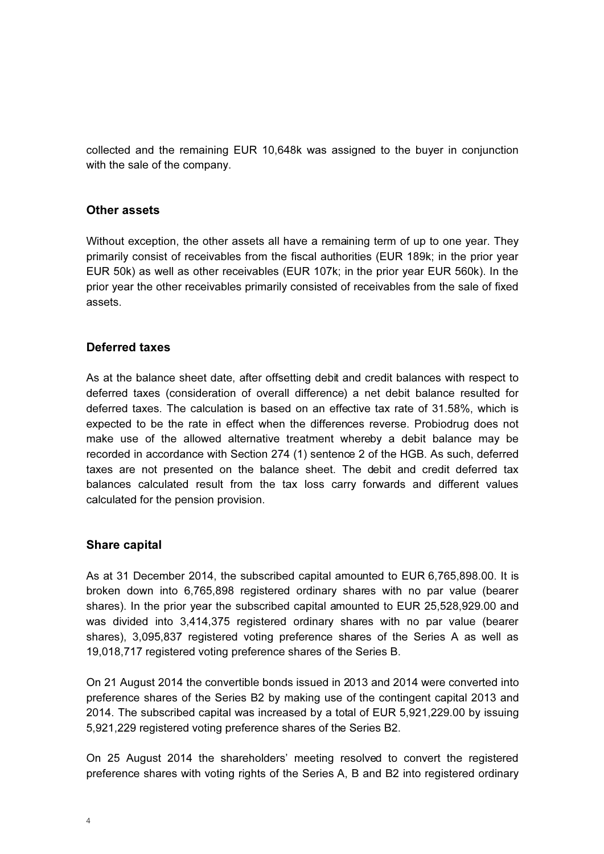collected and the remaining EUR 10,648k was assigned to the buyer in conjunction with the sale of the company.

#### Other assets

Without exception, the other assets all have a remaining term of up to one year. They primarily consist of receivables from the fiscal authorities (EUR 189k; in the prior year EUR 50k) as well as other receivables (EUR 107k; in the prior year EUR 560k). In the prior year the other receivables primarily consisted of receivables from the sale of fixed assets.

### Deferred taxes

As at the balance sheet date, after offsetting debit and credit balances with respect to deferred taxes (consideration of overall difference) a net debit balance resulted for deferred taxes. The calculation is based on an effective tax rate of 31.58%, which is expected to be the rate in effect when the differences reverse. Probiodrug does not make use of the allowed alternative treatment whereby a debit balance may be recorded in accordance with Section 274 (1) sentence 2 of the HGB. As such, deferred taxes are not presented on the balance sheet. The debit and credit deferred tax balances calculated result from the tax loss carry forwards and different values calculated for the pension provision.

#### Share capital

As at 31 December 2014, the subscribed capital amounted to EUR 6,765,898.00. It is broken down into 6,765,898 registered ordinary shares with no par value (bearer shares). In the prior year the subscribed capital amounted to EUR 25,528,929.00 and was divided into 3,414,375 registered ordinary shares with no par value (bearer shares), 3,095,837 registered voting preference shares of the Series A as well as 19,018,717 registered voting preference shares of the Series B.

On 21 August 2014 the convertible bonds issued in 2013 and 2014 were converted into preference shares of the Series B2 by making use of the contingent capital 2013 and 2014. The subscribed capital was increased by a total of EUR 5,921,229.00 by issuing 5,921,229 registered voting preference shares of the Series B2.

On 25 August 2014 the shareholders' meeting resolved to convert the registered preference shares with voting rights of the Series A, B and B2 into registered ordinary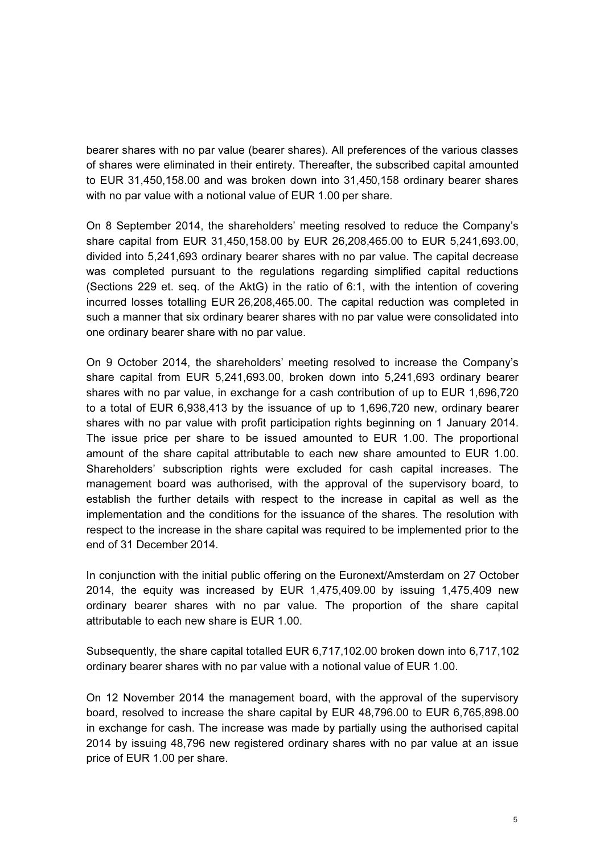bearer shares with no par value (bearer shares). All preferences of the various classes of shares were eliminated in their entirety. Thereafter, the subscribed capital amounted to EUR 31,450,158.00 and was broken down into 31,450,158 ordinary bearer shares with no par value with a notional value of EUR 1.00 per share.

On 8 September 2014, the shareholders' meeting resolved to reduce the Company's share capital from EUR 31,450,158.00 by EUR 26,208,465.00 to EUR 5,241,693.00, divided into 5,241,693 ordinary bearer shares with no par value. The capital decrease was completed pursuant to the regulations regarding simplified capital reductions (Sections 229 et. seq. of the AktG) in the ratio of 6:1, with the intention of covering incurred losses totalling EUR 26,208,465.00. The capital reduction was completed in such a manner that six ordinary bearer shares with no par value were consolidated into one ordinary bearer share with no par value.

On 9 October 2014, the shareholders' meeting resolved to increase the Company's share capital from EUR 5,241,693.00, broken down into 5,241,693 ordinary bearer shares with no par value, in exchange for a cash contribution of up to EUR 1,696,720 to a total of EUR 6,938,413 by the issuance of up to 1,696,720 new, ordinary bearer shares with no par value with profit participation rights beginning on 1 January 2014. The issue price per share to be issued amounted to EUR 1.00. The proportional amount of the share capital attributable to each new share amounted to EUR 1.00. Shareholders' subscription rights were excluded for cash capital increases. The management board was authorised, with the approval of the supervisory board, to establish the further details with respect to the increase in capital as well as the implementation and the conditions for the issuance of the shares. The resolution with respect to the increase in the share capital was required to be implemented prior to the end of 31 December 2014.

In conjunction with the initial public offering on the Euronext/Amsterdam on 27 October 2014, the equity was increased by EUR 1,475,409.00 by issuing 1,475,409 new ordinary bearer shares with no par value. The proportion of the share capital attributable to each new share is EUR 1.00.

Subsequently, the share capital totalled EUR 6,717,102.00 broken down into 6,717,102 ordinary bearer shares with no par value with a notional value of EUR 1.00.

On 12 November 2014 the management board, with the approval of the supervisory board, resolved to increase the share capital by EUR 48,796.00 to EUR 6,765,898.00 in exchange for cash. The increase was made by partially using the authorised capital 2014 by issuing 48,796 new registered ordinary shares with no par value at an issue price of EUR 1.00 per share.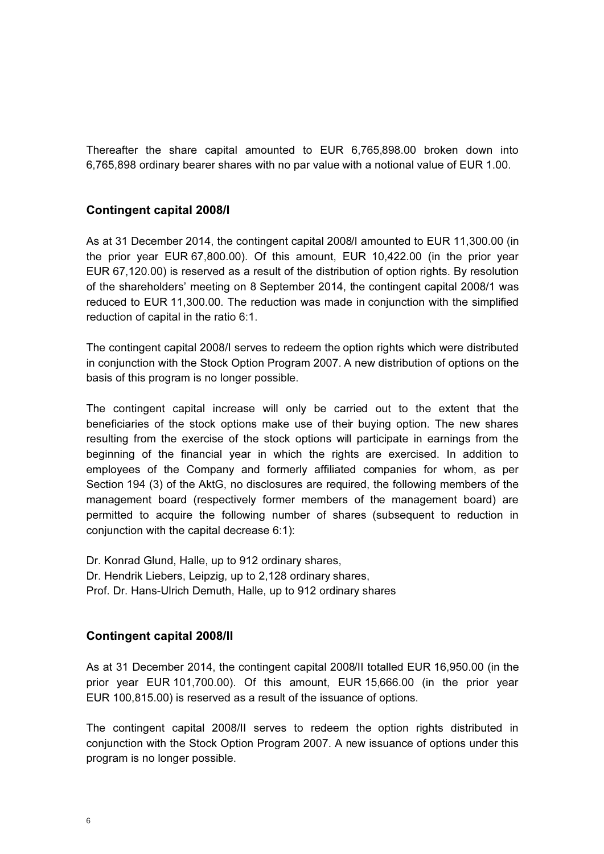Thereafter the share capital amounted to EUR 6,765,898.00 broken down into 6,765,898 ordinary bearer shares with no par value with a notional value of EUR 1.00.

#### Contingent capital 2008/I

As at 31 December 2014, the contingent capital 2008/I amounted to EUR 11,300.00 (in the prior year EUR 67,800.00). Of this amount, EUR 10,422.00 (in the prior year EUR 67,120.00) is reserved as a result of the distribution of option rights. By resolution of the shareholders' meeting on 8 September 2014, the contingent capital 2008/1 was reduced to EUR 11,300.00. The reduction was made in conjunction with the simplified reduction of capital in the ratio 6:1.

The contingent capital 2008/I serves to redeem the option rights which were distributed in conjunction with the Stock Option Program 2007. A new distribution of options on the basis of this program is no longer possible.

The contingent capital increase will only be carried out to the extent that the beneficiaries of the stock options make use of their buying option. The new shares resulting from the exercise of the stock options will participate in earnings from the beginning of the financial year in which the rights are exercised. In addition to employees of the Company and formerly affiliated companies for whom, as per Section 194 (3) of the AktG, no disclosures are required, the following members of the management board (respectively former members of the management board) are permitted to acquire the following number of shares (subsequent to reduction in conjunction with the capital decrease 6:1):

Dr. Konrad Glund, Halle, up to 912 ordinary shares, Dr. Hendrik Liebers, Leipzig, up to 2,128 ordinary shares, Prof. Dr. Hans-Ulrich Demuth, Halle, up to 912 ordinary shares

#### Contingent capital 2008/II

As at 31 December 2014, the contingent capital 2008/II totalled EUR 16,950.00 (in the prior year EUR 101,700.00). Of this amount, EUR 15,666.00 (in the prior year EUR 100,815.00) is reserved as a result of the issuance of options.

The contingent capital 2008/II serves to redeem the option rights distributed in conjunction with the Stock Option Program 2007. A new issuance of options under this program is no longer possible.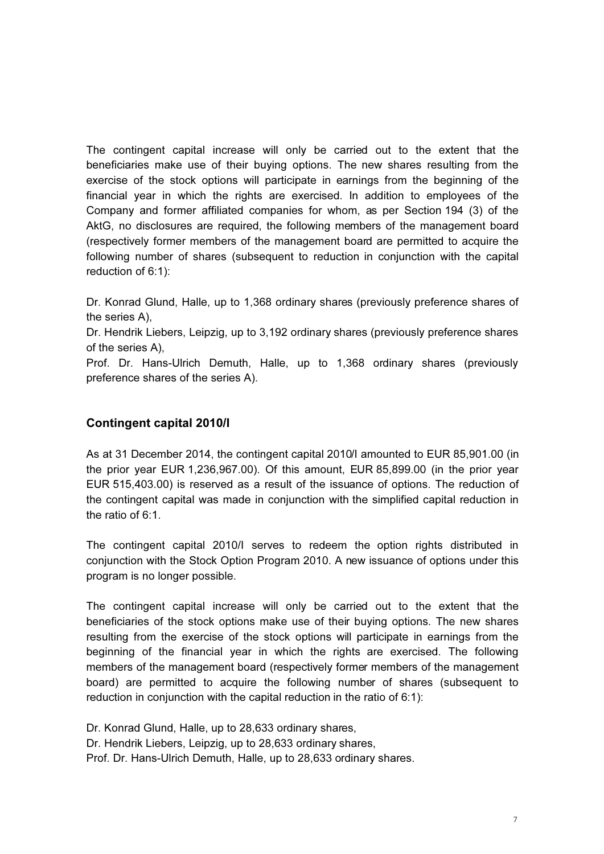The contingent capital increase will only be carried out to the extent that the beneficiaries make use of their buying options. The new shares resulting from the exercise of the stock options will participate in earnings from the beginning of the financial year in which the rights are exercised. In addition to employees of the Company and former affiliated companies for whom, as per Section 194 (3) of the AktG, no disclosures are required, the following members of the management board (respectively former members of the management board are permitted to acquire the following number of shares (subsequent to reduction in conjunction with the capital reduction of 6:1):

Dr. Konrad Glund, Halle, up to 1,368 ordinary shares (previously preference shares of the series A),

Dr. Hendrik Liebers, Leipzig, up to 3,192 ordinary shares (previously preference shares of the series A),

Prof. Dr. Hans-Ulrich Demuth, Halle, up to 1,368 ordinary shares (previously preference shares of the series A).

### Contingent capital 2010/I

As at 31 December 2014, the contingent capital 2010/I amounted to EUR 85,901.00 (in the prior year EUR 1,236,967.00). Of this amount, EUR 85,899.00 (in the prior year EUR 515,403.00) is reserved as a result of the issuance of options. The reduction of the contingent capital was made in conjunction with the simplified capital reduction in the ratio of 6:1.

The contingent capital 2010/I serves to redeem the option rights distributed in conjunction with the Stock Option Program 2010. A new issuance of options under this program is no longer possible.

The contingent capital increase will only be carried out to the extent that the beneficiaries of the stock options make use of their buying options. The new shares resulting from the exercise of the stock options will participate in earnings from the beginning of the financial year in which the rights are exercised. The following members of the management board (respectively former members of the management board) are permitted to acquire the following number of shares (subsequent to reduction in conjunction with the capital reduction in the ratio of 6:1):

Dr. Konrad Glund, Halle, up to 28,633 ordinary shares,

Dr. Hendrik Liebers, Leipzig, up to 28,633 ordinary shares,

Prof. Dr. Hans-Ulrich Demuth, Halle, up to 28,633 ordinary shares.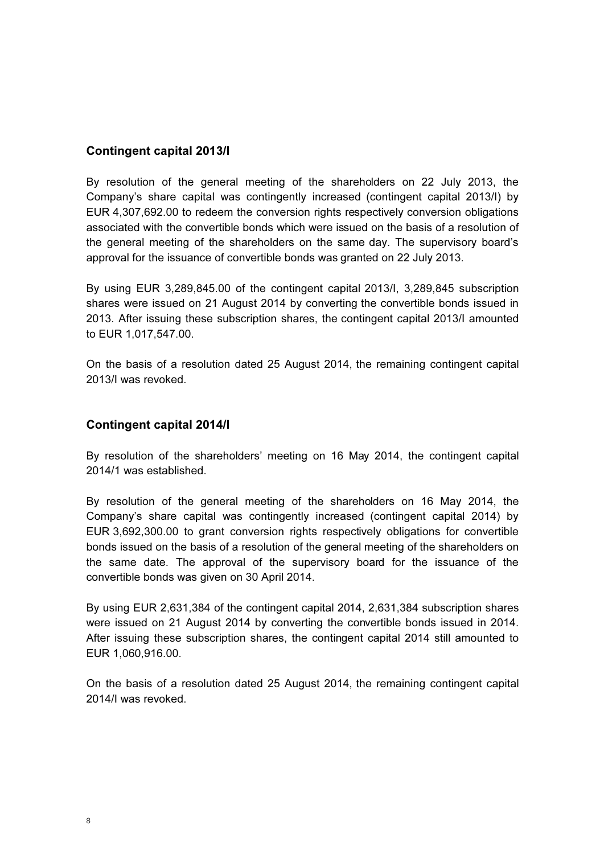### Contingent capital 2013/I

By resolution of the general meeting of the shareholders on 22 July 2013, the Company's share capital was contingently increased (contingent capital 2013/I) by EUR 4,307,692.00 to redeem the conversion rights respectively conversion obligations associated with the convertible bonds which were issued on the basis of a resolution of the general meeting of the shareholders on the same day. The supervisory board's approval for the issuance of convertible bonds was granted on 22 July 2013.

By using EUR 3,289,845.00 of the contingent capital 2013/I, 3,289,845 subscription shares were issued on 21 August 2014 by converting the convertible bonds issued in 2013. After issuing these subscription shares, the contingent capital 2013/I amounted to EUR 1,017,547.00.

On the basis of a resolution dated 25 August 2014, the remaining contingent capital 2013/I was revoked.

### Contingent capital 2014/I

By resolution of the shareholders' meeting on 16 May 2014, the contingent capital 2014/1 was established.

By resolution of the general meeting of the shareholders on 16 May 2014, the Company's share capital was contingently increased (contingent capital 2014) by EUR 3,692,300.00 to grant conversion rights respectively obligations for convertible bonds issued on the basis of a resolution of the general meeting of the shareholders on the same date. The approval of the supervisory board for the issuance of the convertible bonds was given on 30 April 2014.

By using EUR 2,631,384 of the contingent capital 2014, 2,631,384 subscription shares were issued on 21 August 2014 by converting the convertible bonds issued in 2014. After issuing these subscription shares, the contingent capital 2014 still amounted to EUR 1,060,916.00.

On the basis of a resolution dated 25 August 2014, the remaining contingent capital 2014/I was revoked.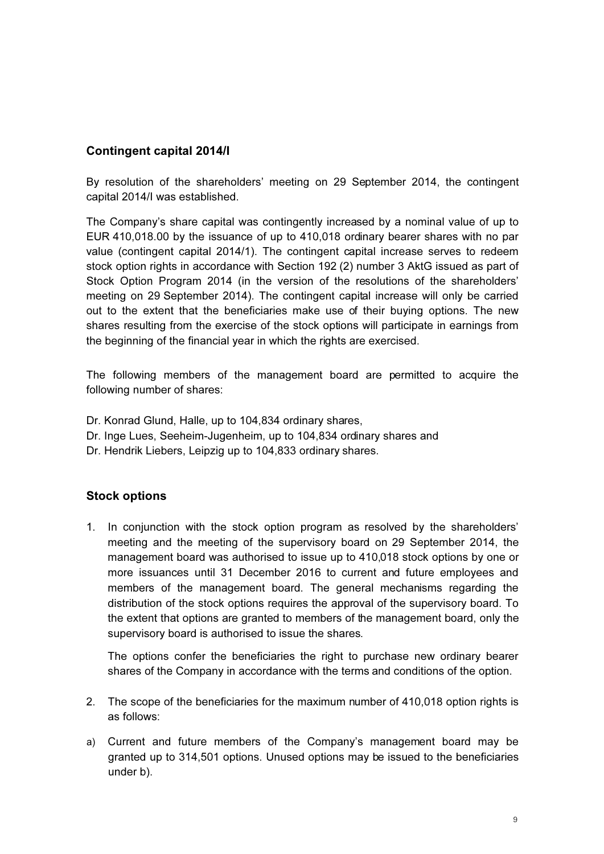## Contingent capital 2014/I

By resolution of the shareholders' meeting on 29 September 2014, the contingent capital 2014/I was established.

The Company's share capital was contingently increased by a nominal value of up to EUR 410,018.00 by the issuance of up to 410,018 ordinary bearer shares with no par value (contingent capital 2014/1). The contingent capital increase serves to redeem stock option rights in accordance with Section 192 (2) number 3 AktG issued as part of Stock Option Program 2014 (in the version of the resolutions of the shareholders' meeting on 29 September 2014). The contingent capital increase will only be carried out to the extent that the beneficiaries make use of their buying options. The new shares resulting from the exercise of the stock options will participate in earnings from the beginning of the financial year in which the rights are exercised.

The following members of the management board are permitted to acquire the following number of shares:

- Dr. Konrad Glund, Halle, up to 104,834 ordinary shares,
- Dr. Inge Lues, Seeheim-Jugenheim, up to 104,834 ordinary shares and
- Dr. Hendrik Liebers, Leipzig up to 104,833 ordinary shares.

## Stock options

1. In conjunction with the stock option program as resolved by the shareholders' meeting and the meeting of the supervisory board on 29 September 2014, the management board was authorised to issue up to 410,018 stock options by one or more issuances until 31 December 2016 to current and future employees and members of the management board. The general mechanisms regarding the distribution of the stock options requires the approval of the supervisory board. To the extent that options are granted to members of the management board, only the supervisory board is authorised to issue the shares.

The options confer the beneficiaries the right to purchase new ordinary bearer shares of the Company in accordance with the terms and conditions of the option.

- 2. The scope of the beneficiaries for the maximum number of 410,018 option rights is as follows:
- a) Current and future members of the Company's management board may be granted up to 314,501 options. Unused options may be issued to the beneficiaries under b).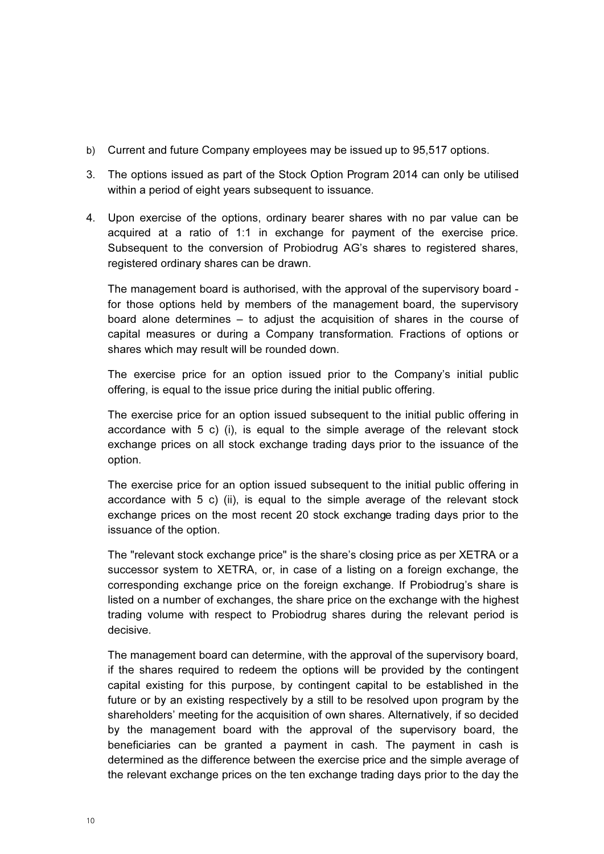- b) Current and future Company employees may be issued up to 95,517 options.
- 3. The options issued as part of the Stock Option Program 2014 can only be utilised within a period of eight years subsequent to issuance.
- 4. Upon exercise of the options, ordinary bearer shares with no par value can be acquired at a ratio of 1:1 in exchange for payment of the exercise price. Subsequent to the conversion of Probiodrug AG's shares to registered shares, registered ordinary shares can be drawn.

The management board is authorised, with the approval of the supervisory board for those options held by members of the management board, the supervisory board alone determines – to adjust the acquisition of shares in the course of capital measures or during a Company transformation. Fractions of options or shares which may result will be rounded down.

The exercise price for an option issued prior to the Company's initial public offering, is equal to the issue price during the initial public offering.

The exercise price for an option issued subsequent to the initial public offering in accordance with 5 c) (i), is equal to the simple average of the relevant stock exchange prices on all stock exchange trading days prior to the issuance of the option.

The exercise price for an option issued subsequent to the initial public offering in accordance with 5 c) (ii), is equal to the simple average of the relevant stock exchange prices on the most recent 20 stock exchange trading days prior to the issuance of the option.

The "relevant stock exchange price" is the share's closing price as per XETRA or a successor system to XETRA, or, in case of a listing on a foreign exchange, the corresponding exchange price on the foreign exchange. If Probiodrug's share is listed on a number of exchanges, the share price on the exchange with the highest trading volume with respect to Probiodrug shares during the relevant period is decisive.

The management board can determine, with the approval of the supervisory board, if the shares required to redeem the options will be provided by the contingent capital existing for this purpose, by contingent capital to be established in the future or by an existing respectively by a still to be resolved upon program by the shareholders' meeting for the acquisition of own shares. Alternatively, if so decided by the management board with the approval of the supervisory board, the beneficiaries can be granted a payment in cash. The payment in cash is determined as the difference between the exercise price and the simple average of the relevant exchange prices on the ten exchange trading days prior to the day the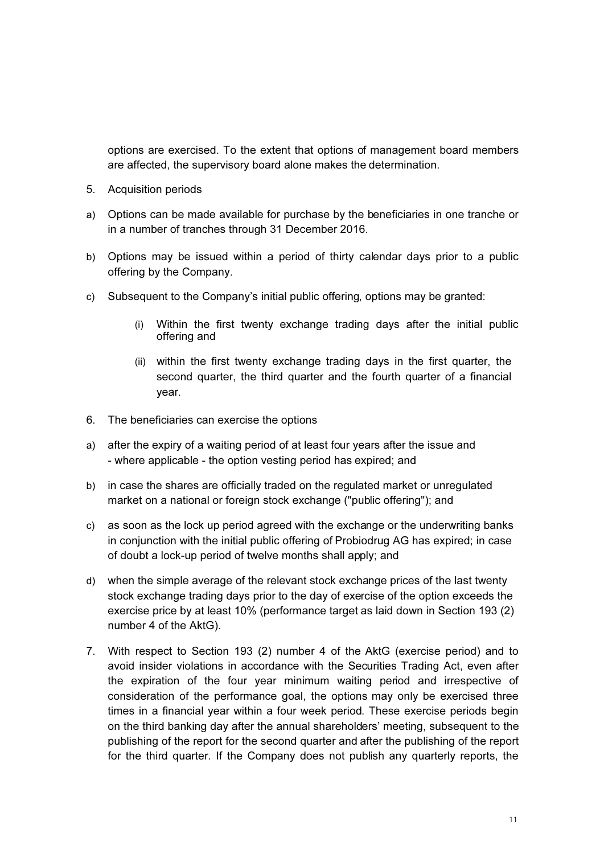options are exercised. To the extent that options of management board members are affected, the supervisory board alone makes the determination.

- 5. Acquisition periods
- a) Options can be made available for purchase by the beneficiaries in one tranche or in a number of tranches through 31 December 2016.
- b) Options may be issued within a period of thirty calendar days prior to a public offering by the Company.
- c) Subsequent to the Company's initial public offering, options may be granted:
	- (i) Within the first twenty exchange trading days after the initial public offering and
	- (ii) within the first twenty exchange trading days in the first quarter, the second quarter, the third quarter and the fourth quarter of a financial year.
- 6. The beneficiaries can exercise the options
- a) after the expiry of a waiting period of at least four years after the issue and - where applicable - the option vesting period has expired; and
- b) in case the shares are officially traded on the regulated market or unregulated market on a national or foreign stock exchange ("public offering"); and
- c) as soon as the lock up period agreed with the exchange or the underwriting banks in conjunction with the initial public offering of Probiodrug AG has expired; in case of doubt a lock-up period of twelve months shall apply; and
- d) when the simple average of the relevant stock exchange prices of the last twenty stock exchange trading days prior to the day of exercise of the option exceeds the exercise price by at least 10% (performance target as laid down in Section 193 (2) number 4 of the AktG).
- 7. With respect to Section 193 (2) number 4 of the AktG (exercise period) and to avoid insider violations in accordance with the Securities Trading Act, even after the expiration of the four year minimum waiting period and irrespective of consideration of the performance goal, the options may only be exercised three times in a financial year within a four week period. These exercise periods begin on the third banking day after the annual shareholders' meeting, subsequent to the publishing of the report for the second quarter and after the publishing of the report for the third quarter. If the Company does not publish any quarterly reports, the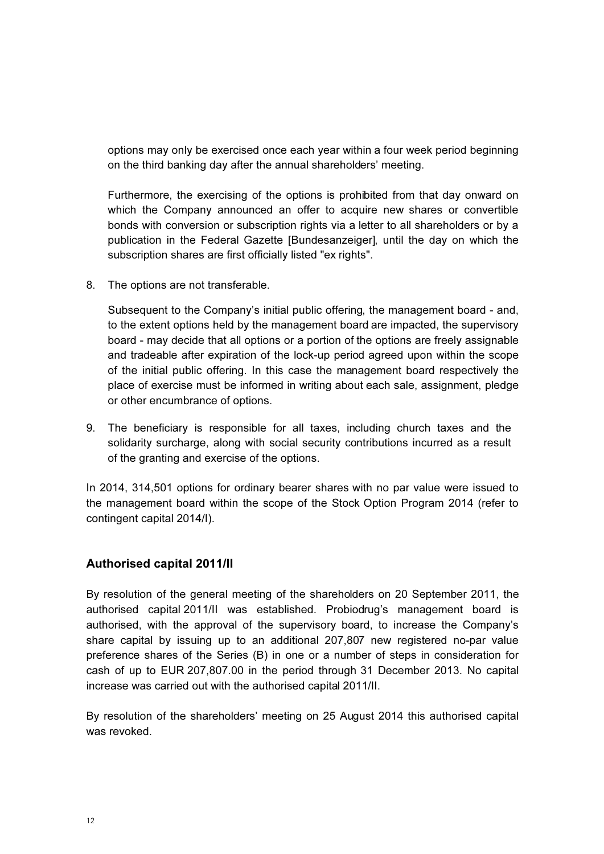options may only be exercised once each year within a four week period beginning on the third banking day after the annual shareholders' meeting.

Furthermore, the exercising of the options is prohibited from that day onward on which the Company announced an offer to acquire new shares or convertible bonds with conversion or subscription rights via a letter to all shareholders or by a publication in the Federal Gazette [Bundesanzeiger], until the day on which the subscription shares are first officially listed "ex rights".

8. The options are not transferable.

Subsequent to the Company's initial public offering, the management board - and, to the extent options held by the management board are impacted, the supervisory board - may decide that all options or a portion of the options are freely assignable and tradeable after expiration of the lock-up period agreed upon within the scope of the initial public offering. In this case the management board respectively the place of exercise must be informed in writing about each sale, assignment, pledge or other encumbrance of options.

9. The beneficiary is responsible for all taxes, including church taxes and the solidarity surcharge, along with social security contributions incurred as a result of the granting and exercise of the options.

In 2014, 314,501 options for ordinary bearer shares with no par value were issued to the management board within the scope of the Stock Option Program 2014 (refer to contingent capital 2014/I).

### Authorised capital 2011/II

By resolution of the general meeting of the shareholders on 20 September 2011, the authorised capital 2011/II was established. Probiodrug's management board is authorised, with the approval of the supervisory board, to increase the Company's share capital by issuing up to an additional 207,807 new registered no-par value preference shares of the Series (B) in one or a number of steps in consideration for cash of up to EUR 207,807.00 in the period through 31 December 2013. No capital increase was carried out with the authorised capital 2011/II.

By resolution of the shareholders' meeting on 25 August 2014 this authorised capital was revoked.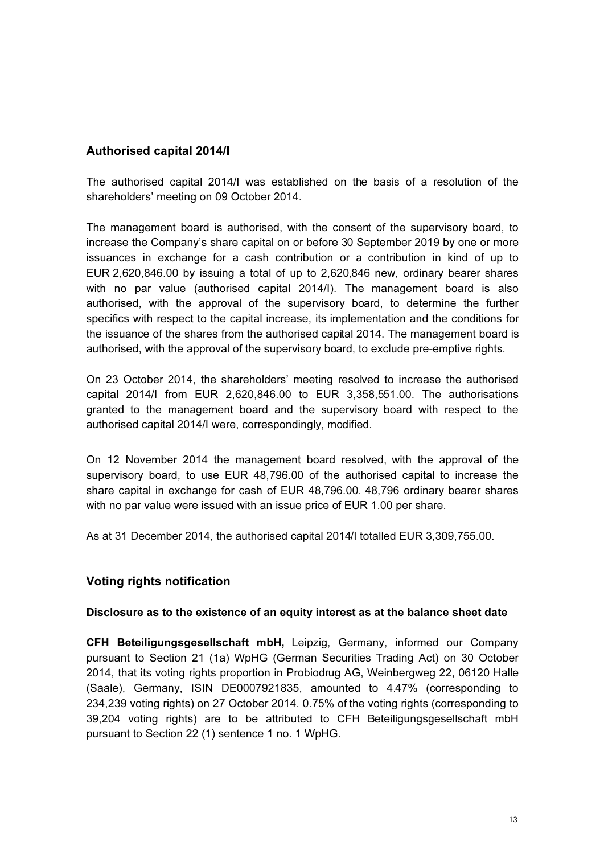## Authorised capital 2014/I

The authorised capital 2014/I was established on the basis of a resolution of the shareholders' meeting on 09 October 2014.

The management board is authorised, with the consent of the supervisory board, to increase the Company's share capital on or before 30 September 2019 by one or more issuances in exchange for a cash contribution or a contribution in kind of up to EUR 2,620,846.00 by issuing a total of up to 2,620,846 new, ordinary bearer shares with no par value (authorised capital 2014/I). The management board is also authorised, with the approval of the supervisory board, to determine the further specifics with respect to the capital increase, its implementation and the conditions for the issuance of the shares from the authorised capital 2014. The management board is authorised, with the approval of the supervisory board, to exclude pre-emptive rights.

On 23 October 2014, the shareholders' meeting resolved to increase the authorised capital 2014/I from EUR 2,620,846.00 to EUR 3,358,551.00. The authorisations granted to the management board and the supervisory board with respect to the authorised capital 2014/I were, correspondingly, modified.

On 12 November 2014 the management board resolved, with the approval of the supervisory board, to use EUR 48,796.00 of the authorised capital to increase the share capital in exchange for cash of EUR 48,796.00. 48,796 ordinary bearer shares with no par value were issued with an issue price of EUR 1.00 per share.

As at 31 December 2014, the authorised capital 2014/I totalled EUR 3,309,755.00.

## Voting rights notification

#### Disclosure as to the existence of an equity interest as at the balance sheet date

CFH Beteiligungsgesellschaft mbH, Leipzig, Germany, informed our Company pursuant to Section 21 (1a) WpHG (German Securities Trading Act) on 30 October 2014, that its voting rights proportion in Probiodrug AG, Weinbergweg 22, 06120 Halle (Saale), Germany, ISIN DE0007921835, amounted to 4.47% (corresponding to 234,239 voting rights) on 27 October 2014. 0.75% of the voting rights (corresponding to 39,204 voting rights) are to be attributed to CFH Beteiligungsgesellschaft mbH pursuant to Section 22 (1) sentence 1 no. 1 WpHG.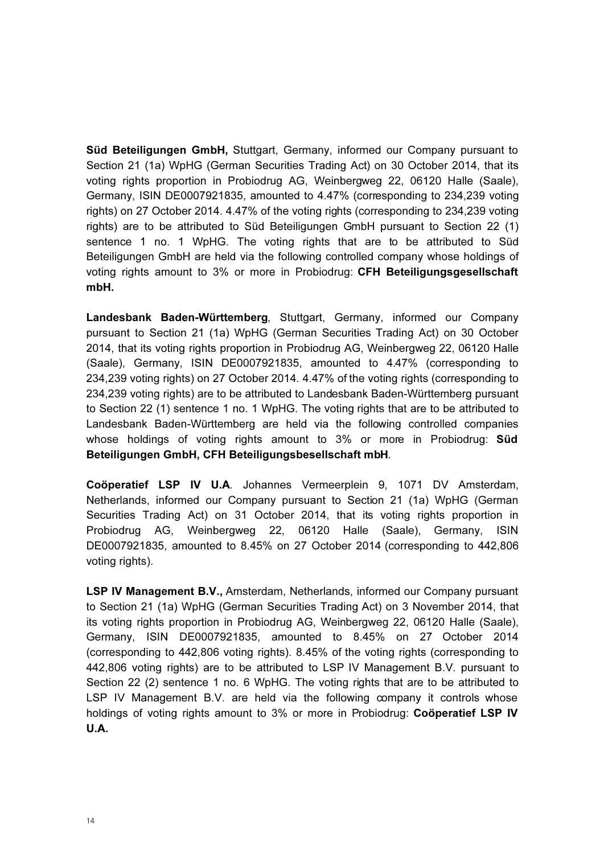Süd Beteiligungen GmbH, Stuttgart, Germany, informed our Company pursuant to Section 21 (1a) WpHG (German Securities Trading Act) on 30 October 2014, that its voting rights proportion in Probiodrug AG, Weinbergweg 22, 06120 Halle (Saale), Germany, ISIN DE0007921835, amounted to 4.47% (corresponding to 234,239 voting rights) on 27 October 2014. 4.47% of the voting rights (corresponding to 234,239 voting rights) are to be attributed to Süd Beteiligungen GmbH pursuant to Section 22 (1) sentence 1 no. 1 WpHG. The voting rights that are to be attributed to Süd Beteiligungen GmbH are held via the following controlled company whose holdings of voting rights amount to 3% or more in Probiodrug: CFH Beteiligungsgesellschaft mbH.

Landesbank Baden-Württemberg, Stuttgart, Germany, informed our Company pursuant to Section 21 (1a) WpHG (German Securities Trading Act) on 30 October 2014, that its voting rights proportion in Probiodrug AG, Weinbergweg 22, 06120 Halle (Saale), Germany, ISIN DE0007921835, amounted to 4.47% (corresponding to 234,239 voting rights) on 27 October 2014. 4.47% of the voting rights (corresponding to 234,239 voting rights) are to be attributed to Landesbank Baden-Württemberg pursuant to Section 22 (1) sentence 1 no. 1 WpHG. The voting rights that are to be attributed to Landesbank Baden-Württemberg are held via the following controlled companies whose holdings of voting rights amount to 3% or more in Probiodrug: **Sud** Beteiligungen GmbH, CFH Beteiligungsbesellschaft mbH.

Coöperatief LSP IV U.A. Johannes Vermeerplein 9, 1071 DV Amsterdam, Netherlands, informed our Company pursuant to Section 21 (1a) WpHG (German Securities Trading Act) on 31 October 2014, that its voting rights proportion in Probiodrug AG, Weinbergweg 22, 06120 Halle (Saale), Germany, ISIN DE0007921835, amounted to 8.45% on 27 October 2014 (corresponding to 442,806 voting rights).

LSP IV Management B.V., Amsterdam, Netherlands, informed our Company pursuant to Section 21 (1a) WpHG (German Securities Trading Act) on 3 November 2014, that its voting rights proportion in Probiodrug AG, Weinbergweg 22, 06120 Halle (Saale), Germany, ISIN DE0007921835, amounted to 8.45% on 27 October 2014 (corresponding to 442,806 voting rights). 8.45% of the voting rights (corresponding to 442,806 voting rights) are to be attributed to LSP IV Management B.V. pursuant to Section 22 (2) sentence 1 no. 6 WpHG. The voting rights that are to be attributed to LSP IV Management B.V. are held via the following company it controls whose holdings of voting rights amount to 3% or more in Probiodrug: Coöperatief LSP IV U.A.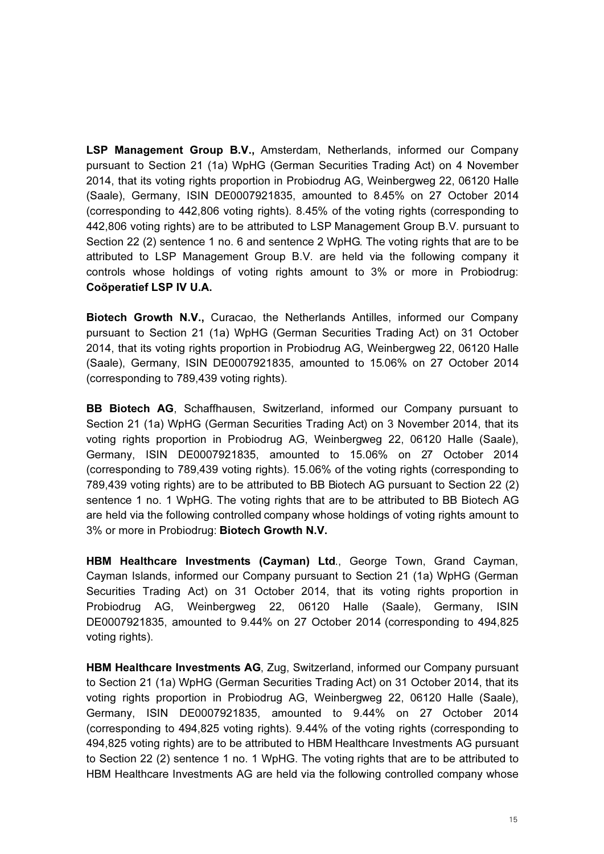LSP Management Group B.V., Amsterdam, Netherlands, informed our Company pursuant to Section 21 (1a) WpHG (German Securities Trading Act) on 4 November 2014, that its voting rights proportion in Probiodrug AG, Weinbergweg 22, 06120 Halle (Saale), Germany, ISIN DE0007921835, amounted to 8.45% on 27 October 2014 (corresponding to 442,806 voting rights). 8.45% of the voting rights (corresponding to 442,806 voting rights) are to be attributed to LSP Management Group B.V. pursuant to Section 22 (2) sentence 1 no. 6 and sentence 2 WpHG. The voting rights that are to be attributed to LSP Management Group B.V. are held via the following company it controls whose holdings of voting rights amount to 3% or more in Probiodrug: Coöperatief LSP IV U.A.

Biotech Growth N.V., Curacao, the Netherlands Antilles, informed our Company pursuant to Section 21 (1a) WpHG (German Securities Trading Act) on 31 October 2014, that its voting rights proportion in Probiodrug AG, Weinbergweg 22, 06120 Halle (Saale), Germany, ISIN DE0007921835, amounted to 15.06% on 27 October 2014 (corresponding to 789,439 voting rights).

BB Biotech AG, Schaffhausen, Switzerland, informed our Company pursuant to Section 21 (1a) WpHG (German Securities Trading Act) on 3 November 2014, that its voting rights proportion in Probiodrug AG, Weinbergweg 22, 06120 Halle (Saale), Germany, ISIN DE0007921835, amounted to 15.06% on 27 October 2014 (corresponding to 789,439 voting rights). 15.06% of the voting rights (corresponding to 789,439 voting rights) are to be attributed to BB Biotech AG pursuant to Section 22 (2) sentence 1 no. 1 WpHG. The voting rights that are to be attributed to BB Biotech AG are held via the following controlled company whose holdings of voting rights amount to 3% or more in Probiodrug: Biotech Growth N.V.

HBM Healthcare Investments (Cayman) Ltd., George Town, Grand Cayman, Cayman Islands, informed our Company pursuant to Section 21 (1a) WpHG (German Securities Trading Act) on 31 October 2014, that its voting rights proportion in Probiodrug AG, Weinbergweg 22, 06120 Halle (Saale), Germany, ISIN DE0007921835, amounted to 9.44% on 27 October 2014 (corresponding to 494,825 voting rights).

HBM Healthcare Investments AG, Zug, Switzerland, informed our Company pursuant to Section 21 (1a) WpHG (German Securities Trading Act) on 31 October 2014, that its voting rights proportion in Probiodrug AG, Weinbergweg 22, 06120 Halle (Saale), Germany, ISIN DE0007921835, amounted to 9.44% on 27 October 2014 (corresponding to 494,825 voting rights). 9.44% of the voting rights (corresponding to 494,825 voting rights) are to be attributed to HBM Healthcare Investments AG pursuant to Section 22 (2) sentence 1 no. 1 WpHG. The voting rights that are to be attributed to HBM Healthcare Investments AG are held via the following controlled company whose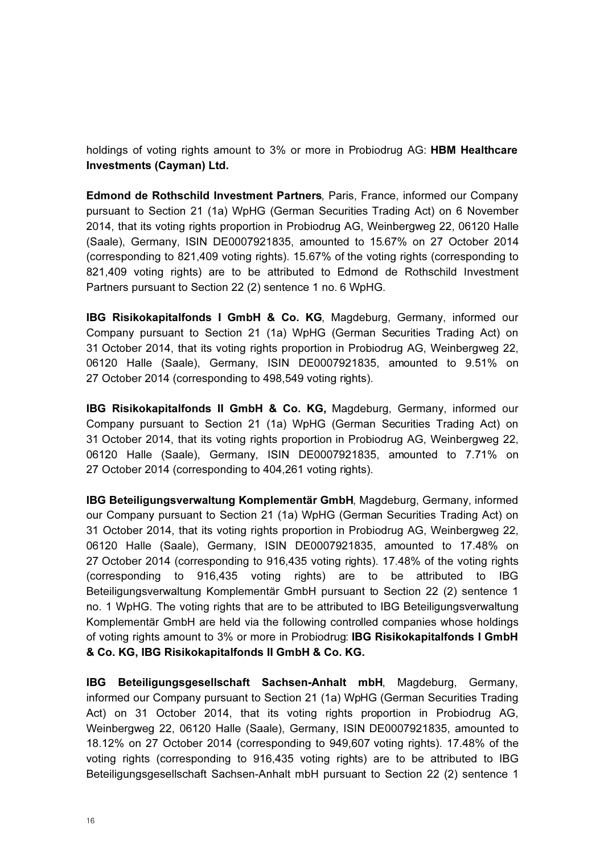holdings of voting rights amount to 3% or more in Probiodrug AG: **HBM Healthcare** Investments (Cayman) Ltd.

Edmond de Rothschild Investment Partners, Paris, France, informed our Company pursuant to Section 21 (1a) WpHG (German Securities Trading Act) on 6 November 2014, that its voting rights proportion in Probiodrug AG, Weinbergweg 22, 06120 Halle (Saale), Germany, ISIN DE0007921835, amounted to 15.67% on 27 October 2014 (corresponding to 821,409 voting rights). 15.67% of the voting rights (corresponding to 821,409 voting rights) are to be attributed to Edmond de Rothschild Investment Partners pursuant to Section 22 (2) sentence 1 no. 6 WpHG.

IBG Risikokapitalfonds I GmbH & Co. KG, Magdeburg, Germany, informed our Company pursuant to Section 21 (1a) WpHG (German Securities Trading Act) on 31 October 2014, that its voting rights proportion in Probiodrug AG, Weinbergweg 22, 06120 Halle (Saale), Germany, ISIN DE0007921835, amounted to 9.51% on 27 October 2014 (corresponding to 498,549 voting rights).

IBG Risikokapitalfonds II GmbH & Co. KG, Magdeburg, Germany, informed our Company pursuant to Section 21 (1a) WpHG (German Securities Trading Act) on 31 October 2014, that its voting rights proportion in Probiodrug AG, Weinbergweg 22, 06120 Halle (Saale), Germany, ISIN DE0007921835, amounted to 7.71% on 27 October 2014 (corresponding to 404,261 voting rights).

IBG Beteiligungsverwaltung Komplementär GmbH, Magdeburg, Germany, informed our Company pursuant to Section 21 (1a) WpHG (German Securities Trading Act) on 31 October 2014, that its voting rights proportion in Probiodrug AG, Weinbergweg 22, 06120 Halle (Saale), Germany, ISIN DE0007921835, amounted to 17.48% on 27 October 2014 (corresponding to 916,435 voting rights). 17.48% of the voting rights (corresponding to 916,435 voting rights) are to be attributed to IBG Beteiligungsverwaltung Komplementär GmbH pursuant to Section 22 (2) sentence 1 no. 1 WpHG. The voting rights that are to be attributed to IBG Beteiligungsverwaltung Komplementär GmbH are held via the following controlled companies whose holdings of voting rights amount to 3% or more in Probiodrug: IBG Risikokapitalfonds I GmbH & Co. KG, IBG Risikokapitalfonds II GmbH & Co. KG.

IBG Beteiligungsgesellschaft Sachsen-Anhalt mbH, Magdeburg, Germany, informed our Company pursuant to Section 21 (1a) WpHG (German Securities Trading Act) on 31 October 2014, that its voting rights proportion in Probiodrug AG, Weinbergweg 22, 06120 Halle (Saale), Germany, ISIN DE0007921835, amounted to 18.12% on 27 October 2014 (corresponding to 949,607 voting rights). 17.48% of the voting rights (corresponding to 916,435 voting rights) are to be attributed to IBG Beteiligungsgesellschaft Sachsen-Anhalt mbH pursuant to Section 22 (2) sentence 1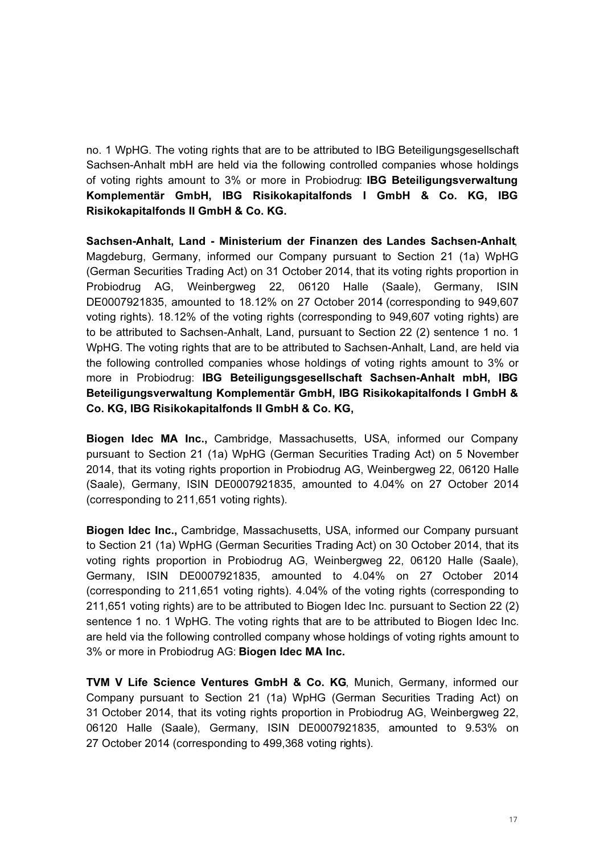no. 1 WpHG. The voting rights that are to be attributed to IBG Beteiligungsgesellschaft Sachsen-Anhalt mbH are held via the following controlled companies whose holdings of voting rights amount to 3% or more in Probiodrug: IBG Beteiligungsverwaltung Komplementär GmbH, IBG Risikokapitalfonds I GmbH & Co. KG, IBG Risikokapitalfonds II GmbH & Co. KG.

Sachsen-Anhalt, Land - Ministerium der Finanzen des Landes Sachsen-Anhalt, Magdeburg, Germany, informed our Company pursuant to Section 21 (1a) WpHG (German Securities Trading Act) on 31 October 2014, that its voting rights proportion in Probiodrug AG, Weinbergweg 22, 06120 Halle (Saale), Germany, ISIN DE0007921835, amounted to 18.12% on 27 October 2014 (corresponding to 949,607 voting rights). 18.12% of the voting rights (corresponding to 949,607 voting rights) are to be attributed to Sachsen-Anhalt, Land, pursuant to Section 22 (2) sentence 1 no. 1 WpHG. The voting rights that are to be attributed to Sachsen-Anhalt, Land, are held via the following controlled companies whose holdings of voting rights amount to 3% or more in Probiodrug: IBG Beteiligungsgesellschaft Sachsen-Anhalt mbH, IBG Beteiligungsverwaltung Komplementär GmbH, IBG Risikokapitalfonds I GmbH & Co. KG, IBG Risikokapitalfonds II GmbH & Co. KG,

Biogen Idec MA Inc., Cambridge, Massachusetts, USA, informed our Company pursuant to Section 21 (1a) WpHG (German Securities Trading Act) on 5 November 2014, that its voting rights proportion in Probiodrug AG, Weinbergweg 22, 06120 Halle (Saale), Germany, ISIN DE0007921835, amounted to 4.04% on 27 October 2014 (corresponding to 211,651 voting rights).

Biogen Idec Inc., Cambridge, Massachusetts, USA, informed our Company pursuant to Section 21 (1a) WpHG (German Securities Trading Act) on 30 October 2014, that its voting rights proportion in Probiodrug AG, Weinbergweg 22, 06120 Halle (Saale), Germany, ISIN DE0007921835, amounted to 4.04% on 27 October 2014 (corresponding to 211,651 voting rights). 4.04% of the voting rights (corresponding to 211,651 voting rights) are to be attributed to Biogen Idec Inc. pursuant to Section 22 (2) sentence 1 no. 1 WpHG. The voting rights that are to be attributed to Biogen Idec Inc. are held via the following controlled company whose holdings of voting rights amount to 3% or more in Probiodrug AG: Biogen Idec MA Inc.

TVM V Life Science Ventures GmbH & Co. KG, Munich, Germany, informed our Company pursuant to Section 21 (1a) WpHG (German Securities Trading Act) on 31 October 2014, that its voting rights proportion in Probiodrug AG, Weinbergweg 22, 06120 Halle (Saale), Germany, ISIN DE0007921835, amounted to 9.53% on 27 October 2014 (corresponding to 499,368 voting rights).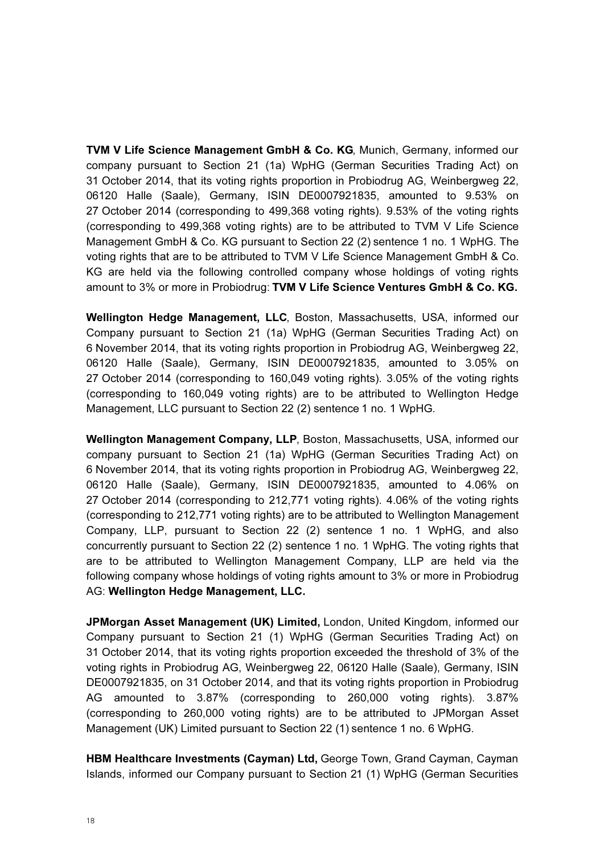TVM V Life Science Management GmbH & Co. KG, Munich, Germany, informed our company pursuant to Section 21 (1a) WpHG (German Securities Trading Act) on 31 October 2014, that its voting rights proportion in Probiodrug AG, Weinbergweg 22, 06120 Halle (Saale), Germany, ISIN DE0007921835, amounted to 9.53% on 27 October 2014 (corresponding to 499,368 voting rights). 9.53% of the voting rights (corresponding to 499,368 voting rights) are to be attributed to TVM V Life Science Management GmbH & Co. KG pursuant to Section 22 (2) sentence 1 no. 1 WpHG. The voting rights that are to be attributed to TVM V Life Science Management GmbH & Co. KG are held via the following controlled company whose holdings of voting rights amount to 3% or more in Probiodrug: TVM V Life Science Ventures GmbH & Co. KG.

Wellington Hedge Management, LLC, Boston, Massachusetts, USA, informed our Company pursuant to Section 21 (1a) WpHG (German Securities Trading Act) on 6 November 2014, that its voting rights proportion in Probiodrug AG, Weinbergweg 22, 06120 Halle (Saale), Germany, ISIN DE0007921835, amounted to 3.05% on 27 October 2014 (corresponding to 160,049 voting rights). 3.05% of the voting rights (corresponding to 160,049 voting rights) are to be attributed to Wellington Hedge Management, LLC pursuant to Section 22 (2) sentence 1 no. 1 WpHG.

Wellington Management Company, LLP, Boston, Massachusetts, USA, informed our company pursuant to Section 21 (1a) WpHG (German Securities Trading Act) on 6 November 2014, that its voting rights proportion in Probiodrug AG, Weinbergweg 22, 06120 Halle (Saale), Germany, ISIN DE0007921835, amounted to 4.06% on 27 October 2014 (corresponding to 212,771 voting rights). 4.06% of the voting rights (corresponding to 212,771 voting rights) are to be attributed to Wellington Management Company, LLP, pursuant to Section 22 (2) sentence 1 no. 1 WpHG, and also concurrently pursuant to Section 22 (2) sentence 1 no. 1 WpHG. The voting rights that are to be attributed to Wellington Management Company, LLP are held via the following company whose holdings of voting rights amount to 3% or more in Probiodrug AG: Wellington Hedge Management, LLC.

JPMorgan Asset Management (UK) Limited, London, United Kingdom, informed our Company pursuant to Section 21 (1) WpHG (German Securities Trading Act) on 31 October 2014, that its voting rights proportion exceeded the threshold of 3% of the voting rights in Probiodrug AG, Weinbergweg 22, 06120 Halle (Saale), Germany, ISIN DE0007921835, on 31 October 2014, and that its voting rights proportion in Probiodrug AG amounted to 3.87% (corresponding to 260,000 voting rights). 3.87% (corresponding to 260,000 voting rights) are to be attributed to JPMorgan Asset Management (UK) Limited pursuant to Section 22 (1) sentence 1 no. 6 WpHG.

HBM Healthcare Investments (Cayman) Ltd, George Town, Grand Cayman, Cayman Islands, informed our Company pursuant to Section 21 (1) WpHG (German Securities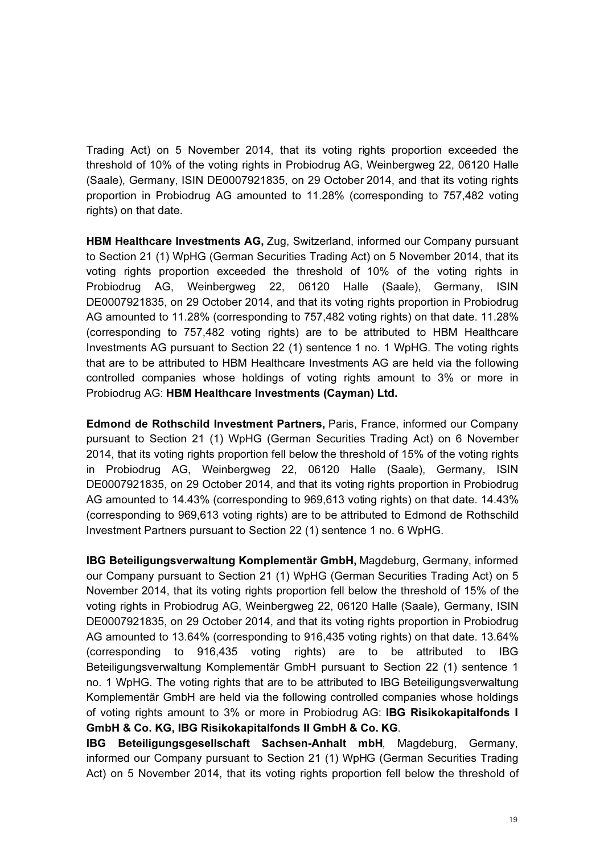Trading Act) on 5 November 2014, that its voting rights proportion exceeded the threshold of 10% of the voting rights in Probiodrug AG, Weinbergweg 22, 06120 Halle (Saale), Germany, ISIN DE0007921835, on 29 October 2014, and that its voting rights proportion in Probiodrug AG amounted to 11.28% (corresponding to 757,482 voting rights) on that date.

HBM Healthcare Investments AG, Zug, Switzerland, informed our Company pursuant to Section 21 (1) WpHG (German Securities Trading Act) on 5 November 2014, that its voting rights proportion exceeded the threshold of 10% of the voting rights in Probiodrug AG, Weinbergweg 22, 06120 Halle (Saale), Germany, ISIN DE0007921835, on 29 October 2014, and that its voting rights proportion in Probiodrug AG amounted to 11.28% (corresponding to 757,482 voting rights) on that date. 11.28% (corresponding to 757,482 voting rights) are to be attributed to HBM Healthcare Investments AG pursuant to Section 22 (1) sentence 1 no. 1 WpHG. The voting rights that are to be attributed to HBM Healthcare Investments AG are held via the following controlled companies whose holdings of voting rights amount to 3% or more in Probiodrug AG: HBM Healthcare Investments (Cayman) Ltd.

Edmond de Rothschild Investment Partners, Paris, France, informed our Company pursuant to Section 21 (1) WpHG (German Securities Trading Act) on 6 November 2014, that its voting rights proportion fell below the threshold of 15% of the voting rights in Probiodrug AG, Weinbergweg 22, 06120 Halle (Saale), Germany, ISIN DE0007921835, on 29 October 2014, and that its voting rights proportion in Probiodrug AG amounted to 14.43% (corresponding to 969,613 voting rights) on that date. 14.43% (corresponding to 969,613 voting rights) are to be attributed to Edmond de Rothschild Investment Partners pursuant to Section 22 (1) sentence 1 no. 6 WpHG.

IBG Beteiligungsverwaltung Komplementär GmbH, Magdeburg, Germany, informed our Company pursuant to Section 21 (1) WpHG (German Securities Trading Act) on 5 November 2014, that its voting rights proportion fell below the threshold of 15% of the voting rights in Probiodrug AG, Weinbergweg 22, 06120 Halle (Saale), Germany, ISIN DE0007921835, on 29 October 2014, and that its voting rights proportion in Probiodrug AG amounted to 13.64% (corresponding to 916,435 voting rights) on that date. 13.64% (corresponding to 916,435 voting rights) are to be attributed to IBG Beteiligungsverwaltung Komplementär GmbH pursuant to Section 22 (1) sentence 1 no. 1 WpHG. The voting rights that are to be attributed to IBG Beteiligungsverwaltung Komplementär GmbH are held via the following controlled companies whose holdings of voting rights amount to 3% or more in Probiodrug AG: IBG Risikokapitalfonds I GmbH & Co. KG, IBG Risikokapitalfonds II GmbH & Co. KG.

IBG Beteiligungsgesellschaft Sachsen-Anhalt mbH, Magdeburg, Germany, informed our Company pursuant to Section 21 (1) WpHG (German Securities Trading Act) on 5 November 2014, that its voting rights proportion fell below the threshold of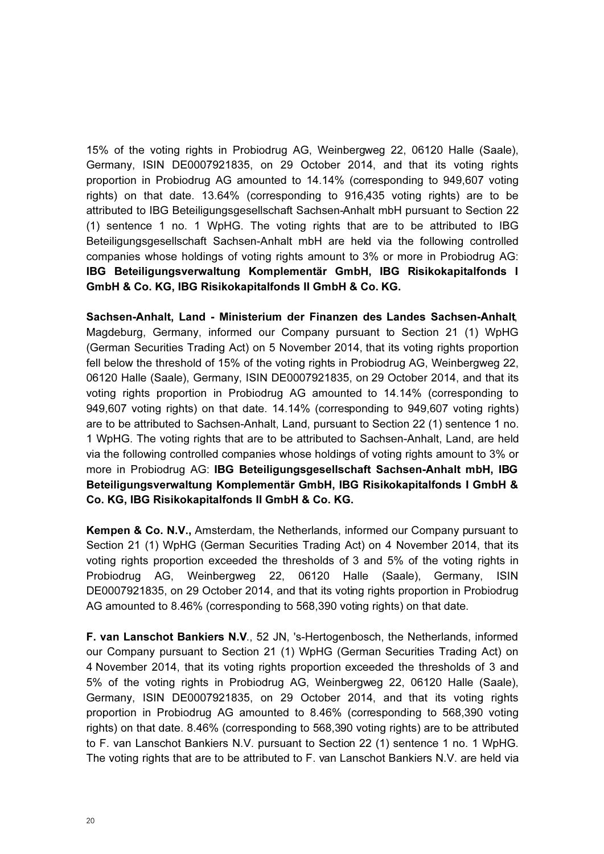15% of the voting rights in Probiodrug AG, Weinbergweg 22, 06120 Halle (Saale), Germany, ISIN DE0007921835, on 29 October 2014, and that its voting rights proportion in Probiodrug AG amounted to 14.14% (corresponding to 949,607 voting rights) on that date. 13.64% (corresponding to 916,435 voting rights) are to be attributed to IBG Beteiligungsgesellschaft Sachsen-Anhalt mbH pursuant to Section 22 (1) sentence 1 no. 1 WpHG. The voting rights that are to be attributed to IBG Beteiligungsgesellschaft Sachsen-Anhalt mbH are held via the following controlled companies whose holdings of voting rights amount to 3% or more in Probiodrug AG: IBG Beteiligungsverwaltung Komplementär GmbH, IBG Risikokapitalfonds I GmbH & Co. KG, IBG Risikokapitalfonds II GmbH & Co. KG.

Sachsen-Anhalt, Land - Ministerium der Finanzen des Landes Sachsen-Anhalt, Magdeburg, Germany, informed our Company pursuant to Section 21 (1) WpHG (German Securities Trading Act) on 5 November 2014, that its voting rights proportion fell below the threshold of 15% of the voting rights in Probiodrug AG, Weinbergweg 22, 06120 Halle (Saale), Germany, ISIN DE0007921835, on 29 October 2014, and that its voting rights proportion in Probiodrug AG amounted to 14.14% (corresponding to 949,607 voting rights) on that date. 14.14% (corresponding to 949,607 voting rights) are to be attributed to Sachsen-Anhalt, Land, pursuant to Section 22 (1) sentence 1 no. 1 WpHG. The voting rights that are to be attributed to Sachsen-Anhalt, Land, are held via the following controlled companies whose holdings of voting rights amount to 3% or more in Probiodrug AG: IBG Beteiligungsgesellschaft Sachsen-Anhalt mbH, IBG Beteiligungsverwaltung Komplementär GmbH, IBG Risikokapitalfonds I GmbH & Co. KG, IBG Risikokapitalfonds II GmbH & Co. KG.

Kempen & Co. N.V., Amsterdam, the Netherlands, informed our Company pursuant to Section 21 (1) WpHG (German Securities Trading Act) on 4 November 2014, that its voting rights proportion exceeded the thresholds of 3 and 5% of the voting rights in Probiodrug AG, Weinbergweg 22, 06120 Halle (Saale), Germany, ISIN DE0007921835, on 29 October 2014, and that its voting rights proportion in Probiodrug AG amounted to 8.46% (corresponding to 568,390 voting rights) on that date.

F. van Lanschot Bankiers N.V., 52 JN, 's-Hertogenbosch, the Netherlands, informed our Company pursuant to Section 21 (1) WpHG (German Securities Trading Act) on 4 November 2014, that its voting rights proportion exceeded the thresholds of 3 and 5% of the voting rights in Probiodrug AG, Weinbergweg 22, 06120 Halle (Saale), Germany, ISIN DE0007921835, on 29 October 2014, and that its voting rights proportion in Probiodrug AG amounted to 8.46% (corresponding to 568,390 voting rights) on that date. 8.46% (corresponding to 568,390 voting rights) are to be attributed to F. van Lanschot Bankiers N.V. pursuant to Section 22 (1) sentence 1 no. 1 WpHG. The voting rights that are to be attributed to F. van Lanschot Bankiers N.V. are held via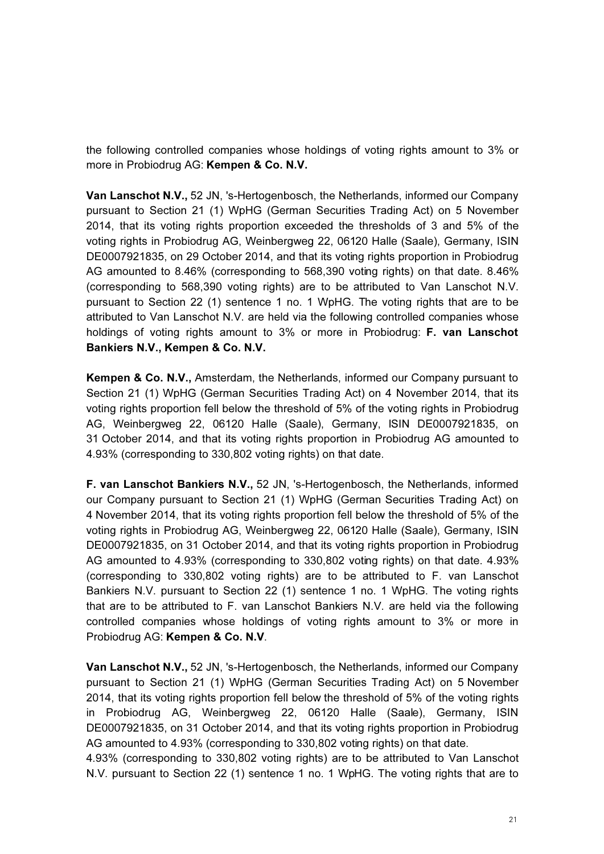the following controlled companies whose holdings of voting rights amount to 3% or more in Probiodrug AG: Kempen & Co. N.V.

Van Lanschot N.V., 52 JN, 's-Hertogenbosch, the Netherlands, informed our Company pursuant to Section 21 (1) WpHG (German Securities Trading Act) on 5 November 2014, that its voting rights proportion exceeded the thresholds of 3 and 5% of the voting rights in Probiodrug AG, Weinbergweg 22, 06120 Halle (Saale), Germany, ISIN DE0007921835, on 29 October 2014, and that its voting rights proportion in Probiodrug AG amounted to 8.46% (corresponding to 568,390 voting rights) on that date. 8.46% (corresponding to 568,390 voting rights) are to be attributed to Van Lanschot N.V. pursuant to Section 22 (1) sentence 1 no. 1 WpHG. The voting rights that are to be attributed to Van Lanschot N.V. are held via the following controlled companies whose holdings of voting rights amount to 3% or more in Probiodrug: F. van Lanschot Bankiers N.V., Kempen & Co. N.V.

Kempen & Co. N.V., Amsterdam, the Netherlands, informed our Company pursuant to Section 21 (1) WpHG (German Securities Trading Act) on 4 November 2014, that its voting rights proportion fell below the threshold of 5% of the voting rights in Probiodrug AG, Weinbergweg 22, 06120 Halle (Saale), Germany, ISIN DE0007921835, on 31 October 2014, and that its voting rights proportion in Probiodrug AG amounted to 4.93% (corresponding to 330,802 voting rights) on that date.

F. van Lanschot Bankiers N.V., 52 JN, 's-Hertogenbosch, the Netherlands, informed our Company pursuant to Section 21 (1) WpHG (German Securities Trading Act) on 4 November 2014, that its voting rights proportion fell below the threshold of 5% of the voting rights in Probiodrug AG, Weinbergweg 22, 06120 Halle (Saale), Germany, ISIN DE0007921835, on 31 October 2014, and that its voting rights proportion in Probiodrug AG amounted to 4.93% (corresponding to 330,802 voting rights) on that date. 4.93% (corresponding to 330,802 voting rights) are to be attributed to F. van Lanschot Bankiers N.V. pursuant to Section 22 (1) sentence 1 no. 1 WpHG. The voting rights that are to be attributed to F. van Lanschot Bankiers N.V. are held via the following controlled companies whose holdings of voting rights amount to 3% or more in Probiodrug AG: Kempen & Co. N.V.

Van Lanschot N.V., 52 JN, 's-Hertogenbosch, the Netherlands, informed our Company pursuant to Section 21 (1) WpHG (German Securities Trading Act) on 5 November 2014, that its voting rights proportion fell below the threshold of 5% of the voting rights in Probiodrug AG, Weinbergweg 22, 06120 Halle (Saale), Germany, ISIN DE0007921835, on 31 October 2014, and that its voting rights proportion in Probiodrug AG amounted to 4.93% (corresponding to 330,802 voting rights) on that date.

4.93% (corresponding to 330,802 voting rights) are to be attributed to Van Lanschot N.V. pursuant to Section 22 (1) sentence 1 no. 1 WpHG. The voting rights that are to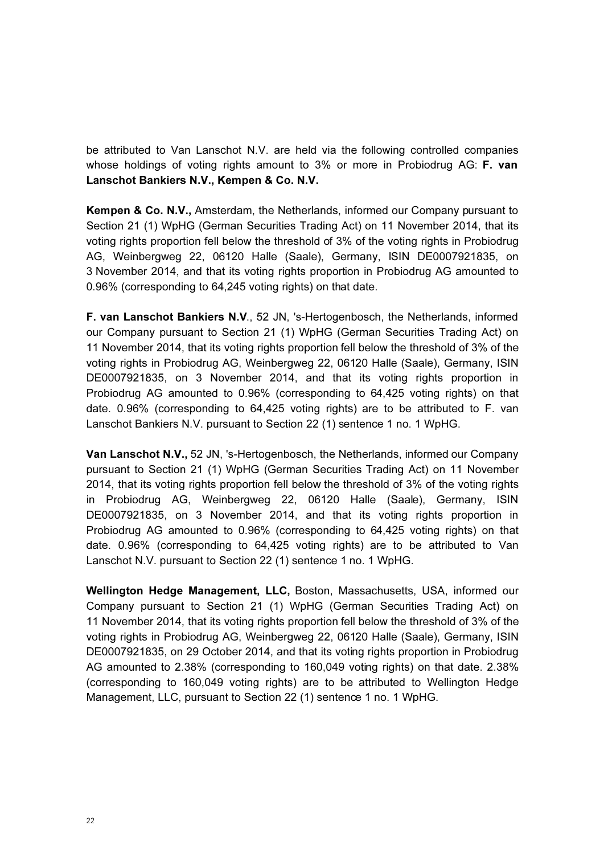be attributed to Van Lanschot N.V. are held via the following controlled companies whose holdings of voting rights amount to 3% or more in Probiodrug AG: F. van Lanschot Bankiers N.V., Kempen & Co. N.V.

Kempen & Co. N.V., Amsterdam, the Netherlands, informed our Company pursuant to Section 21 (1) WpHG (German Securities Trading Act) on 11 November 2014, that its voting rights proportion fell below the threshold of 3% of the voting rights in Probiodrug AG, Weinbergweg 22, 06120 Halle (Saale), Germany, ISIN DE0007921835, on 3 November 2014, and that its voting rights proportion in Probiodrug AG amounted to 0.96% (corresponding to 64,245 voting rights) on that date.

F. van Lanschot Bankiers N.V., 52 JN, 's-Hertogenbosch, the Netherlands, informed our Company pursuant to Section 21 (1) WpHG (German Securities Trading Act) on 11 November 2014, that its voting rights proportion fell below the threshold of 3% of the voting rights in Probiodrug AG, Weinbergweg 22, 06120 Halle (Saale), Germany, ISIN DE0007921835, on 3 November 2014, and that its voting rights proportion in Probiodrug AG amounted to 0.96% (corresponding to 64,425 voting rights) on that date. 0.96% (corresponding to 64,425 voting rights) are to be attributed to F. van Lanschot Bankiers N.V. pursuant to Section 22 (1) sentence 1 no. 1 WpHG.

Van Lanschot N.V., 52 JN, 's-Hertogenbosch, the Netherlands, informed our Company pursuant to Section 21 (1) WpHG (German Securities Trading Act) on 11 November 2014, that its voting rights proportion fell below the threshold of 3% of the voting rights in Probiodrug AG, Weinbergweg 22, 06120 Halle (Saale), Germany, ISIN DE0007921835, on 3 November 2014, and that its voting rights proportion in Probiodrug AG amounted to 0.96% (corresponding to 64,425 voting rights) on that date. 0.96% (corresponding to 64,425 voting rights) are to be attributed to Van Lanschot N.V. pursuant to Section 22 (1) sentence 1 no. 1 WpHG.

Wellington Hedge Management, LLC, Boston, Massachusetts, USA, informed our Company pursuant to Section 21 (1) WpHG (German Securities Trading Act) on 11 November 2014, that its voting rights proportion fell below the threshold of 3% of the voting rights in Probiodrug AG, Weinbergweg 22, 06120 Halle (Saale), Germany, ISIN DE0007921835, on 29 October 2014, and that its voting rights proportion in Probiodrug AG amounted to 2.38% (corresponding to 160,049 voting rights) on that date. 2.38% (corresponding to 160,049 voting rights) are to be attributed to Wellington Hedge Management, LLC, pursuant to Section 22 (1) sentence 1 no. 1 WpHG.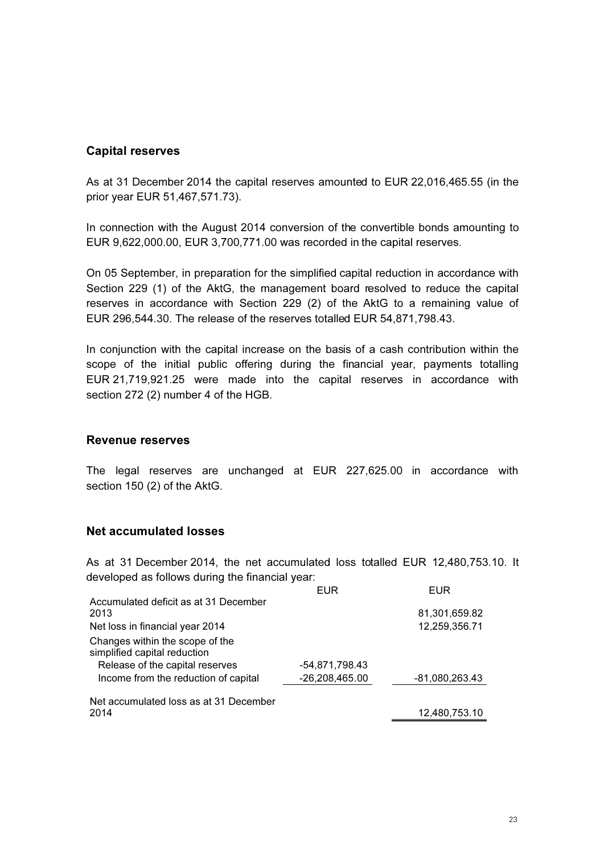### Capital reserves

As at 31 December 2014 the capital reserves amounted to EUR 22,016,465.55 (in the prior year EUR 51,467,571.73).

In connection with the August 2014 conversion of the convertible bonds amounting to EUR 9,622,000.00, EUR 3,700,771.00 was recorded in the capital reserves.

On 05 September, in preparation for the simplified capital reduction in accordance with Section 229 (1) of the AktG, the management board resolved to reduce the capital reserves in accordance with Section 229 (2) of the AktG to a remaining value of EUR 296,544.30. The release of the reserves totalled EUR 54,871,798.43.

In conjunction with the capital increase on the basis of a cash contribution within the scope of the initial public offering during the financial year, payments totalling EUR 21,719,921.25 were made into the capital reserves in accordance with section 272 (2) number 4 of the HGB.

#### Revenue reserves

The legal reserves are unchanged at EUR 227,625.00 in accordance with section 150 (2) of the AktG.

#### Net accumulated losses

As at 31 December 2014, the net accumulated loss totalled EUR 12,480,753.10. It developed as follows during the financial year:

|                                                                                  | <b>EUR</b>       | <b>EUR</b>                     |
|----------------------------------------------------------------------------------|------------------|--------------------------------|
| Accumulated deficit as at 31 December<br>2013<br>Net loss in financial year 2014 |                  | 81,301,659.82<br>12,259,356.71 |
| Changes within the scope of the<br>simplified capital reduction                  |                  |                                |
| Release of the capital reserves                                                  | -54,871,798.43   |                                |
| Income from the reduction of capital                                             | $-26,208,465.00$ | $-81,080,263.43$               |
| Net accumulated loss as at 31 December                                           |                  |                                |
| 2014                                                                             |                  | 12,480,753.10                  |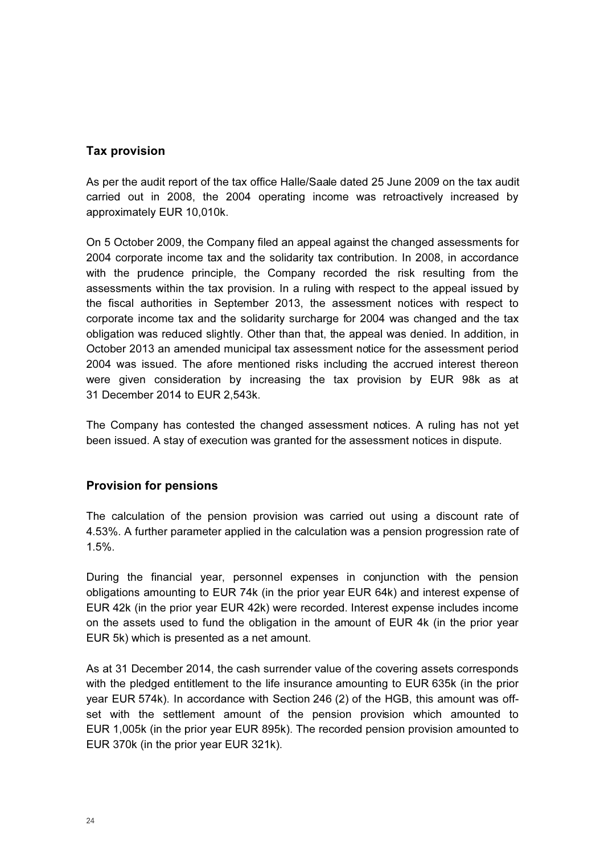## Tax provision

As per the audit report of the tax office Halle/Saale dated 25 June 2009 on the tax audit carried out in 2008, the 2004 operating income was retroactively increased by approximately EUR 10,010k.

On 5 October 2009, the Company filed an appeal against the changed assessments for 2004 corporate income tax and the solidarity tax contribution. In 2008, in accordance with the prudence principle, the Company recorded the risk resulting from the assessments within the tax provision. In a ruling with respect to the appeal issued by the fiscal authorities in September 2013, the assessment notices with respect to corporate income tax and the solidarity surcharge for 2004 was changed and the tax obligation was reduced slightly. Other than that, the appeal was denied. In addition, in October 2013 an amended municipal tax assessment notice for the assessment period 2004 was issued. The afore mentioned risks including the accrued interest thereon were given consideration by increasing the tax provision by EUR 98k as at 31 December 2014 to EUR 2,543k.

The Company has contested the changed assessment notices. A ruling has not yet been issued. A stay of execution was granted for the assessment notices in dispute.

### Provision for pensions

The calculation of the pension provision was carried out using a discount rate of 4.53%. A further parameter applied in the calculation was a pension progression rate of 1.5%.

During the financial year, personnel expenses in conjunction with the pension obligations amounting to EUR 74k (in the prior year EUR 64k) and interest expense of EUR 42k (in the prior year EUR 42k) were recorded. Interest expense includes income on the assets used to fund the obligation in the amount of EUR 4k (in the prior year EUR 5k) which is presented as a net amount.

As at 31 December 2014, the cash surrender value of the covering assets corresponds with the pledged entitlement to the life insurance amounting to EUR 635k (in the prior year EUR 574k). In accordance with Section 246 (2) of the HGB, this amount was offset with the settlement amount of the pension provision which amounted to EUR 1,005k (in the prior year EUR 895k). The recorded pension provision amounted to EUR 370k (in the prior year EUR 321k).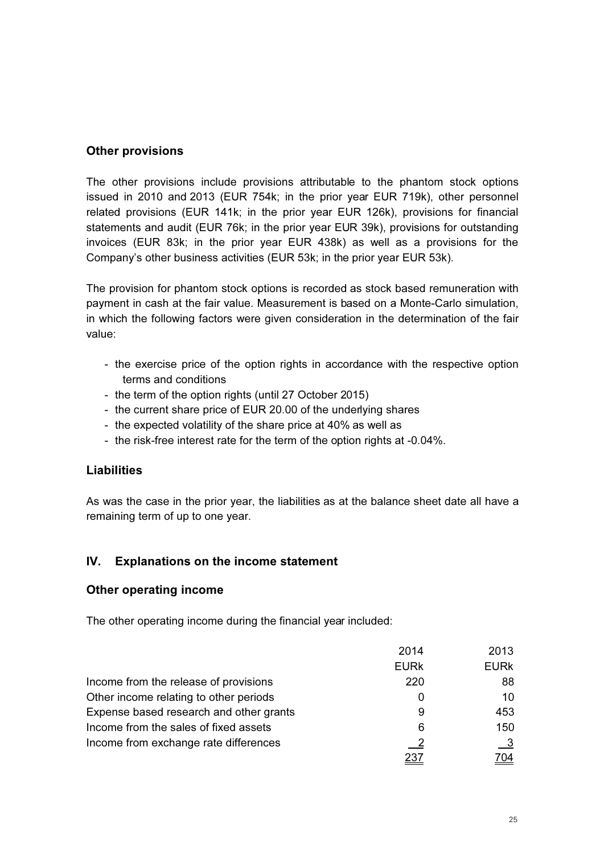## Other provisions

The other provisions include provisions attributable to the phantom stock options issued in 2010 and 2013 (EUR 754k; in the prior year EUR 719k), other personnel related provisions (EUR 141k; in the prior year EUR 126k), provisions for financial statements and audit (EUR 76k; in the prior year EUR 39k), provisions for outstanding invoices (EUR 83k; in the prior year EUR 438k) as well as a provisions for the Company's other business activities (EUR 53k; in the prior year EUR 53k).

The provision for phantom stock options is recorded as stock based remuneration with payment in cash at the fair value. Measurement is based on a Monte-Carlo simulation, in which the following factors were given consideration in the determination of the fair value:

- the exercise price of the option rights in accordance with the respective option terms and conditions
- the term of the option rights (until 27 October 2015)
- the current share price of EUR 20.00 of the underlying shares
- the expected volatility of the share price at 40% as well as
- the risk-free interest rate for the term of the option rights at -0.04%.

## **Liabilities**

As was the case in the prior year, the liabilities as at the balance sheet date all have a remaining term of up to one year.

## IV. Explanations on the income statement

### Other operating income

The other operating income during the financial year included:

|                                         | 2014                       | 2013         |
|-----------------------------------------|----------------------------|--------------|
|                                         | <b>EURK</b>                | <b>EURK</b>  |
| Income from the release of provisions   | 220                        | 88           |
| Other income relating to other periods  | O                          | 10           |
| Expense based research and other grants | 9                          | 453          |
| Income from the sales of fixed assets   | 6                          | 150          |
| Income from exchange rate differences   | $\overline{\phantom{0}}^2$ | $\mathbf{3}$ |
|                                         |                            | '04          |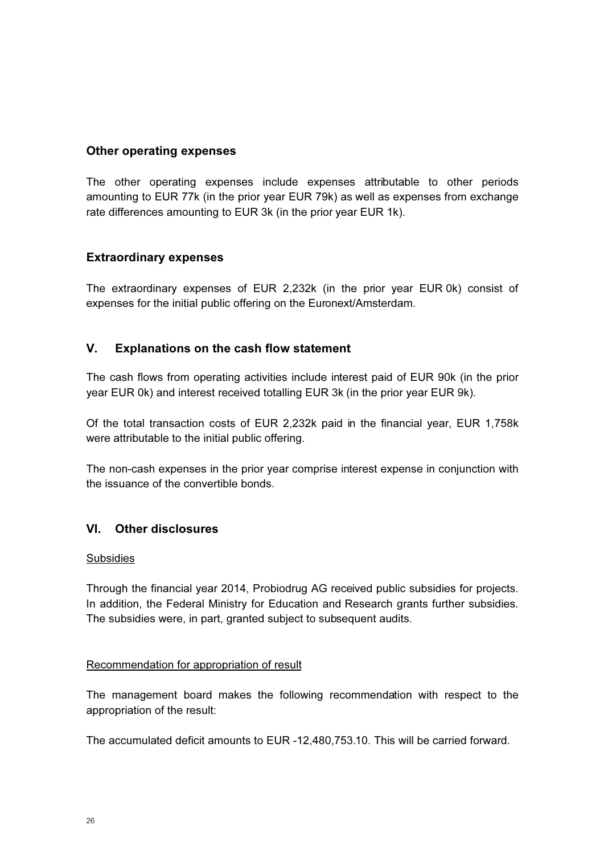#### Other operating expenses

The other operating expenses include expenses attributable to other periods amounting to EUR 77k (in the prior year EUR 79k) as well as expenses from exchange rate differences amounting to EUR 3k (in the prior year EUR 1k).

#### Extraordinary expenses

The extraordinary expenses of EUR 2,232k (in the prior year EUR 0k) consist of expenses for the initial public offering on the Euronext/Amsterdam.

### V. Explanations on the cash flow statement

The cash flows from operating activities include interest paid of EUR 90k (in the prior year EUR 0k) and interest received totalling EUR 3k (in the prior year EUR 9k).

Of the total transaction costs of EUR 2,232k paid in the financial year, EUR 1,758k were attributable to the initial public offering.

The non-cash expenses in the prior year comprise interest expense in conjunction with the issuance of the convertible bonds.

### VI. Other disclosures

#### Subsidies

Through the financial year 2014, Probiodrug AG received public subsidies for projects. In addition, the Federal Ministry for Education and Research grants further subsidies. The subsidies were, in part, granted subject to subsequent audits.

#### Recommendation for appropriation of result

The management board makes the following recommendation with respect to the appropriation of the result:

The accumulated deficit amounts to EUR -12,480,753.10. This will be carried forward.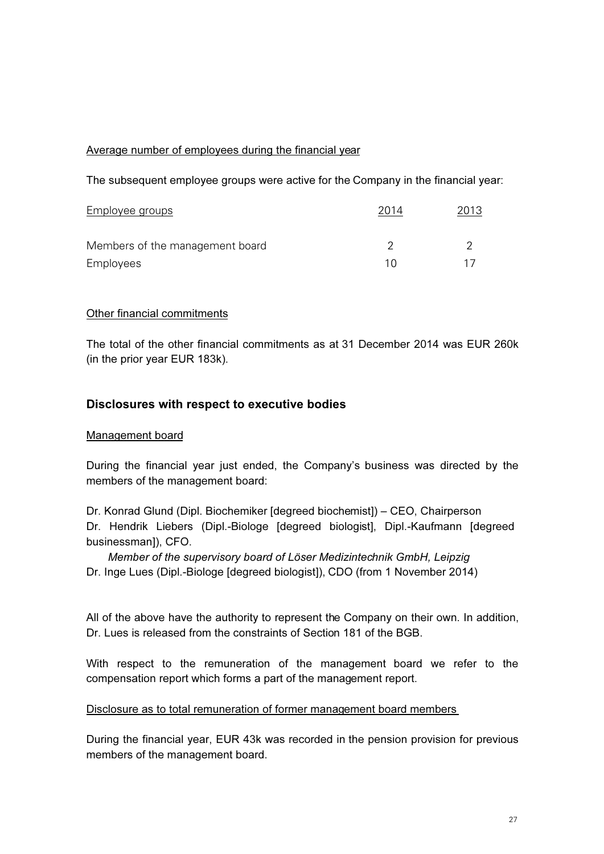#### Average number of employees during the financial year

The subsequent employee groups were active for the Company in the financial year:

| <b>Employee groups</b>          | 2014 | 2013 |  |
|---------------------------------|------|------|--|
| Members of the management board |      |      |  |
| Employees                       |      |      |  |

#### Other financial commitments

The total of the other financial commitments as at 31 December 2014 was EUR 260k (in the prior year EUR 183k).

### Disclosures with respect to executive bodies

#### Management board

During the financial year just ended, the Company's business was directed by the members of the management board:

Dr. Konrad Glund (Dipl. Biochemiker [degreed biochemist]) – CEO, Chairperson Dr. Hendrik Liebers (Dipl.-Biologe [degreed biologist], Dipl.-Kaufmann [degreed businessman]), CFO.

 Member of the supervisory board of Löser Medizintechnik GmbH, Leipzig Dr. Inge Lues (Dipl.-Biologe [degreed biologist]), CDO (from 1 November 2014)

All of the above have the authority to represent the Company on their own. In addition, Dr. Lues is released from the constraints of Section 181 of the BGB.

With respect to the remuneration of the management board we refer to the compensation report which forms a part of the management report.

#### Disclosure as to total remuneration of former management board members

During the financial year, EUR 43k was recorded in the pension provision for previous members of the management board.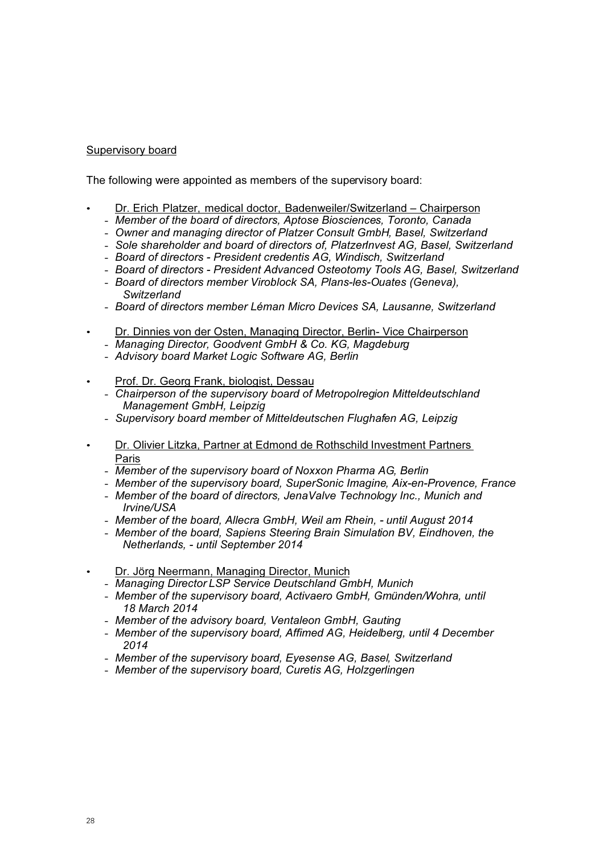#### Supervisory board

The following were appointed as members of the supervisory board:

- Dr. Erich Platzer, medical doctor, Badenweiler/Switzerland Chairperson
	- Member of the board of directors, Aptose Biosciences, Toronto, Canada
	- Owner and managing director of Platzer Consult GmbH, Basel, Switzerland
	- Sole shareholder and board of directors of, PlatzerInvest AG, Basel, Switzerland
	- Board of directors President credentis AG, Windisch, Switzerland
	- Board of directors President Advanced Osteotomy Tools AG, Basel, Switzerland
	- Board of directors member Viroblock SA, Plans-les-Ouates (Geneva), **Switzerland**
	- Board of directors member Léman Micro Devices SA, Lausanne, Switzerland
- Dr. Dinnies von der Osten, Managing Director, Berlin- Vice Chairperson
	- Managing Director, Goodvent GmbH & Co. KG, Magdeburg
	- Advisory board Market Logic Software AG, Berlin
- Prof. Dr. Georg Frank, biologist, Dessau
	- Chairperson of the supervisory board of Metropolregion Mitteldeutschland Management GmbH, Leipzig
	- Supervisory board member of Mitteldeutschen Flughafen AG, Leipzig
- Dr. Olivier Litzka, Partner at Edmond de Rothschild Investment Partners Paris
	- Member of the supervisory board of Noxxon Pharma AG, Berlin
	- Member of the supervisory board, SuperSonic Imagine, Aix-en-Provence, France
	- Member of the board of directors, JenaValve Technology Inc., Munich and Irvine/USA
	- Member of the board, Allecra GmbH, Weil am Rhein, until August 2014
	- Member of the board, Sapiens Steering Brain Simulation BV, Eindhoven, the Netherlands, - until September 2014
- Dr. Jörg Neermann, Managing Director, Munich
	- Managing Director LSP Service Deutschland GmbH, Munich
	- Member of the supervisory board, Activaero GmbH, Gmünden/Wohra, until 18 March 2014
	- Member of the advisory board, Ventaleon GmbH, Gauting
	- Member of the supervisory board, Affimed AG, Heidelberg, until 4 December 2014
	- Member of the supervisory board, Eyesense AG, Basel, Switzerland
	- Member of the supervisory board, Curetis AG, Holzgerlingen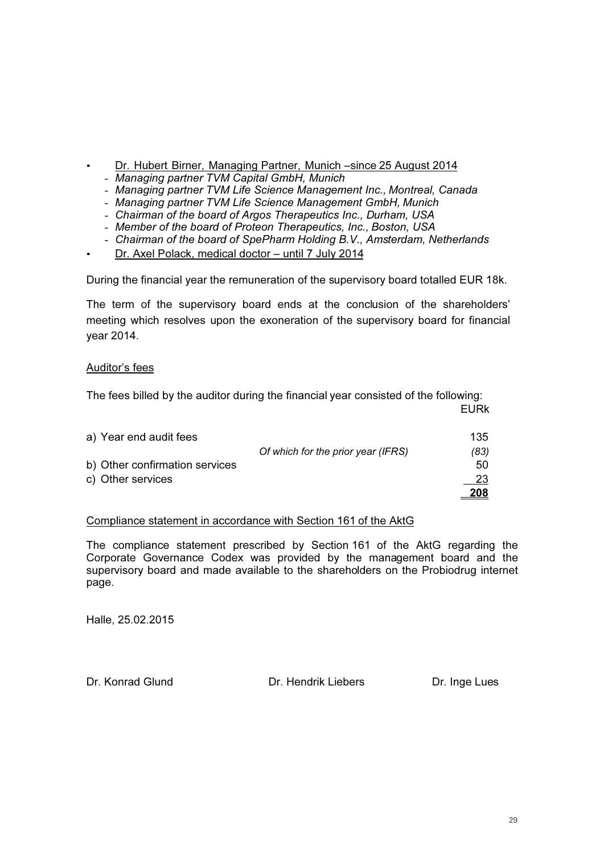- Dr. Hubert Birner, Managing Partner, Munich –since 25 August 2014
	- Managing partner TVM Capital GmbH, Munich
	- Managing partner TVM Life Science Management Inc., Montreal, Canada
	- Managing partner TVM Life Science Management GmbH, Munich
	- Chairman of the board of Argos Therapeutics Inc., Durham, USA
	- Member of the board of Proteon Therapeutics, Inc., Boston, USA
	- Chairman of the board of SpePharm Holding B.V., Amsterdam, Netherlands
- Dr. Axel Polack, medical doctor until 7 July 2014

During the financial year the remuneration of the supervisory board totalled EUR 18k.

The term of the supervisory board ends at the conclusion of the shareholders' meeting which resolves upon the exoneration of the supervisory board for financial year 2014.

#### Auditor's fees

The fees billed by the auditor during the financial year consisted of the following: en de la construction de la construction de la construction de la construction de la construction de la constr

| a) Year end audit fees         |                                    | 135.        |
|--------------------------------|------------------------------------|-------------|
|                                |                                    |             |
|                                | Of which for the prior year (IFRS) | (83)        |
| b) Other confirmation services |                                    | 50          |
| c) Other services              |                                    | 23.         |
|                                |                                    | <u> 208</u> |

#### Compliance statement in accordance with Section 161 of the AktG

The compliance statement prescribed by Section 161 of the AktG regarding the Corporate Governance Codex was provided by the management board and the supervisory board and made available to the shareholders on the Probiodrug internet page.

Halle, 25.02.2015

Dr. Konrad Glund Dr. Hendrik Liebers Dr. Inge Lues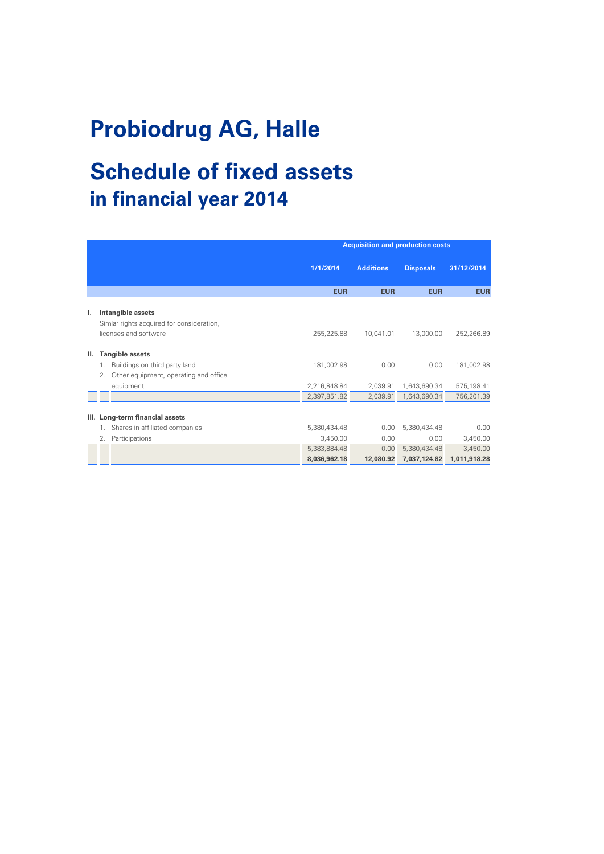# **Probiodrug AG, Halle**

# **Schedule of fixed assets in financial year 2014**

|    |    |                                                                | <b>Acquisition and production costs</b> |                  |                  |              |
|----|----|----------------------------------------------------------------|-----------------------------------------|------------------|------------------|--------------|
|    |    |                                                                | 1/1/2014                                | <b>Additions</b> | <b>Disposals</b> | 31/12/2014   |
|    |    |                                                                | <b>EUR</b>                              | <b>EUR</b>       | <b>EUR</b>       | <b>EUR</b>   |
| ı. |    | Intangible assets<br>Simlar rights acquired for consideration, |                                         |                  |                  |              |
|    |    | licenses and software                                          | 255,225.88                              | 10,041.01        | 13,000.00        | 252,266.89   |
| Ш. |    | <b>Tangible assets</b>                                         |                                         |                  |                  |              |
|    | 1. | Buildings on third party land                                  | 181,002.98                              | 0.00             | 0.00             | 181,002.98   |
|    | 2. | Other equipment, operating and office                          |                                         |                  |                  |              |
|    |    | equipment                                                      | 2,216,848.84                            | 2,039.91         | 1,643,690.34     | 575,198.41   |
|    |    |                                                                | 2,397,851.82                            | 2,039.91         | 1,643,690.34     | 756,201.39   |
| Ш. |    | Long-term financial assets                                     |                                         |                  |                  |              |
|    | 1. | Shares in affiliated companies                                 | 5,380,434.48                            | 0.00             | 5,380,434.48     | 0.00         |
|    | 2. | Participations                                                 | 3,450.00                                | 0.00             | 0.00             | 3,450.00     |
|    |    |                                                                | 5,383,884.48                            | 0.00             | 5,380,434.48     | 3,450.00     |
|    |    |                                                                | 8,036,962.18                            | 12,080.92        | 7,037,124.82     | 1,011,918.28 |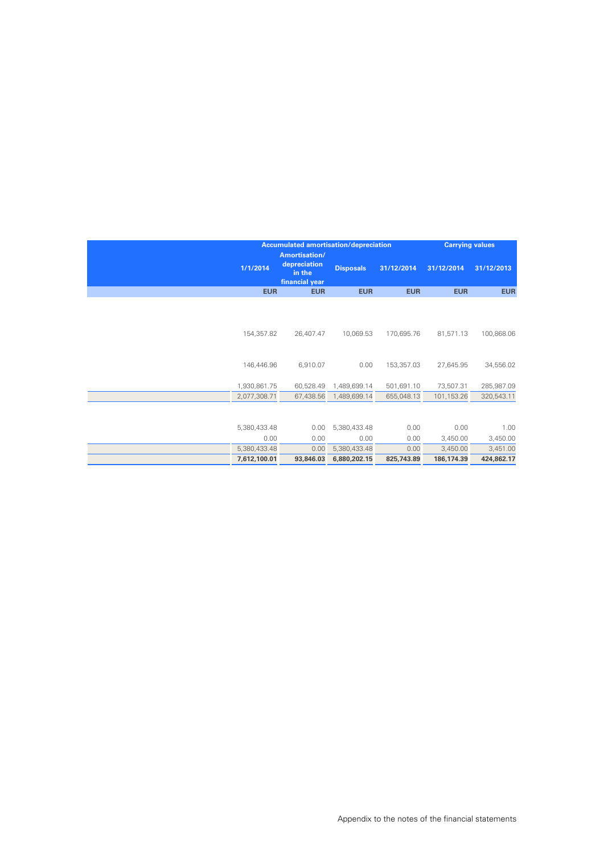| <b>Accumulated amortisation/depreciation</b> |                                                           |                  | <b>Carrying values</b> |            |            |
|----------------------------------------------|-----------------------------------------------------------|------------------|------------------------|------------|------------|
| 1/1/2014                                     | Amortisation/<br>depreciation<br>in the<br>financial year | <b>Disposals</b> | 31/12/2014             | 31/12/2014 | 31/12/2013 |
| <b>EUR</b>                                   | <b>EUR</b>                                                | <b>EUR</b>       | <b>EUR</b>             | <b>EUR</b> | <b>EUR</b> |
| 154,357.82                                   | 26,407.47                                                 | 10,069.53        | 170,695.76             | 81,571.13  | 100,868.06 |
| 146,446.96                                   | 6,910.07                                                  | 0.00             | 153,357.03             | 27,645.95  | 34,556.02  |
|                                              |                                                           |                  |                        |            |            |
| 1,930,861.75                                 | 60,528.49                                                 | 1,489,699.14     | 501,691.10             | 73,507.31  | 285,987.09 |
| 2,077,308.71                                 | 67,438.56                                                 | 1,489,699.14     | 655,048.13             | 101,153.26 | 320,543.11 |
|                                              |                                                           |                  |                        |            |            |
| 5,380,433.48                                 | 0.00                                                      | 5,380,433.48     | 0.00                   | 0.00       | 1.00       |
| 0.00                                         | 0.00                                                      | 0.00             | 0.00                   | 3,450.00   | 3,450.00   |
| 5,380,433.48                                 | 0.00                                                      | 5,380,433.48     | 0.00                   | 3,450.00   | 3,451.00   |
| 7,612,100.01                                 | 93,846.03                                                 | 6,880,202.15     | 825,743.89             | 186,174.39 | 424,862.17 |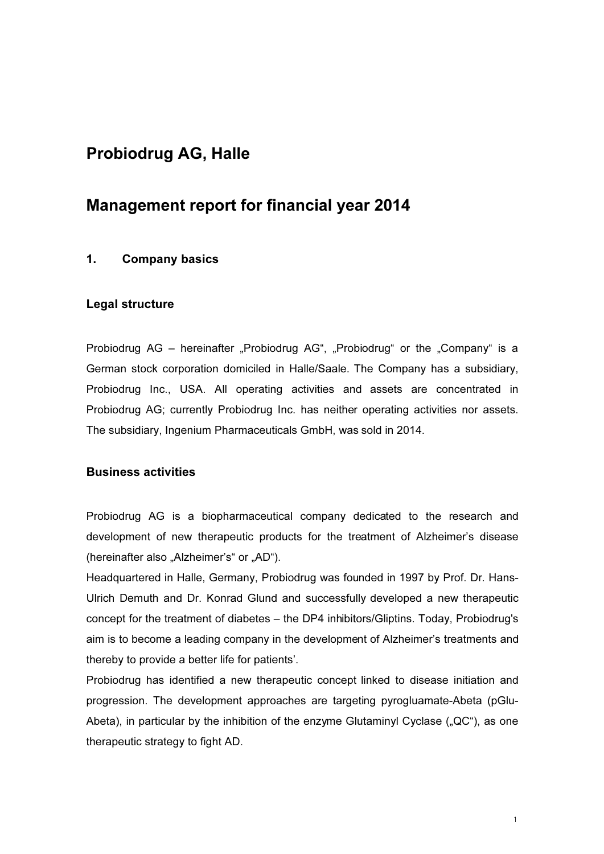# Probiodrug AG, Halle

# Management report for financial year 2014

# 1. Company basics

#### Legal structure

Probiodrug AG – hereinafter "Probiodrug AG", "Probiodrug" or the "Company" is a German stock corporation domiciled in Halle/Saale. The Company has a subsidiary, Probiodrug Inc., USA. All operating activities and assets are concentrated in Probiodrug AG; currently Probiodrug Inc. has neither operating activities nor assets. The subsidiary, Ingenium Pharmaceuticals GmbH, was sold in 2014.

# Business activities

Probiodrug AG is a biopharmaceutical company dedicated to the research and development of new therapeutic products for the treatment of Alzheimer's disease (hereinafter also "Alzheimer's" or "AD").

Headquartered in Halle, Germany, Probiodrug was founded in 1997 by Prof. Dr. Hans-Ulrich Demuth and Dr. Konrad Glund and successfully developed a new therapeutic concept for the treatment of diabetes – the DP4 inhibitors/Gliptins. Today, Probiodrug's aim is to become a leading company in the development of Alzheimer's treatments and thereby to provide a better life for patients'.

Probiodrug has identified a new therapeutic concept linked to disease initiation and progression. The development approaches are targeting pyrogluamate-Abeta (pGlu-Abeta), in particular by the inhibition of the enzyme Glutaminyl Cyclase  $($ "QC"), as one therapeutic strategy to fight AD.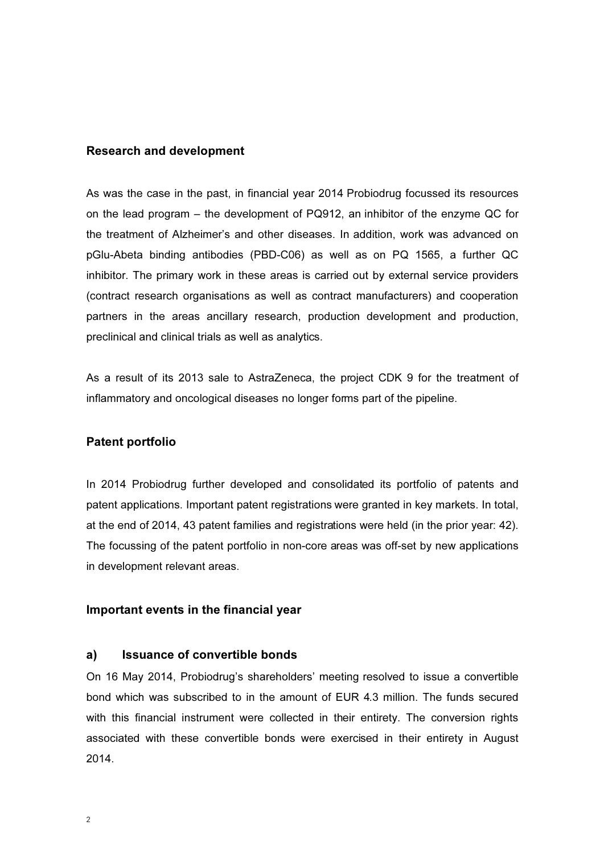# Research and development

As was the case in the past, in financial year 2014 Probiodrug focussed its resources on the lead program – the development of PQ912, an inhibitor of the enzyme QC for the treatment of Alzheimer's and other diseases. In addition, work was advanced on pGlu-Abeta binding antibodies (PBD-C06) as well as on PQ 1565, a further QC inhibitor. The primary work in these areas is carried out by external service providers (contract research organisations as well as contract manufacturers) and cooperation partners in the areas ancillary research, production development and production, preclinical and clinical trials as well as analytics.

As a result of its 2013 sale to AstraZeneca, the project CDK 9 for the treatment of inflammatory and oncological diseases no longer forms part of the pipeline.

# Patent portfolio

In 2014 Probiodrug further developed and consolidated its portfolio of patents and patent applications. Important patent registrations were granted in key markets. In total, at the end of 2014, 43 patent families and registrations were held (in the prior year: 42). The focussing of the patent portfolio in non-core areas was off-set by new applications in development relevant areas.

#### Important events in the financial year

#### a) Issuance of convertible bonds

On 16 May 2014, Probiodrug's shareholders' meeting resolved to issue a convertible bond which was subscribed to in the amount of EUR 4.3 million. The funds secured with this financial instrument were collected in their entirety. The conversion rights associated with these convertible bonds were exercised in their entirety in August 2014.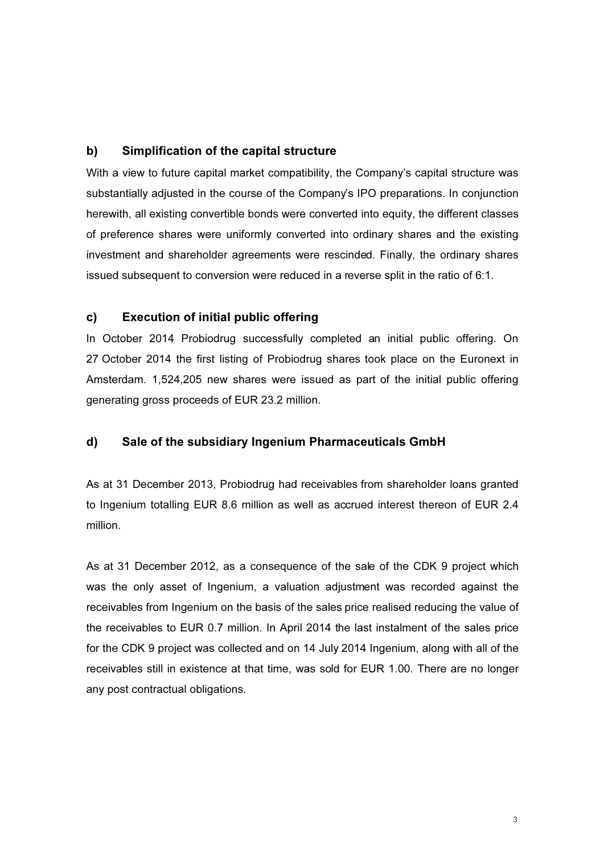# b) Simplification of the capital structure

With a view to future capital market compatibility, the Company's capital structure was substantially adjusted in the course of the Company's IPO preparations. In conjunction herewith, all existing convertible bonds were converted into equity, the different classes of preference shares were uniformly converted into ordinary shares and the existing investment and shareholder agreements were rescinded. Finally, the ordinary shares issued subsequent to conversion were reduced in a reverse split in the ratio of 6:1.

# c) Execution of initial public offering

In October 2014 Probiodrug successfully completed an initial public offering. On 27 October 2014 the first listing of Probiodrug shares took place on the Euronext in Amsterdam. 1,524,205 new shares were issued as part of the initial public offering generating gross proceeds of EUR 23.2 million.

# d) Sale of the subsidiary Ingenium Pharmaceuticals GmbH

As at 31 December 2013, Probiodrug had receivables from shareholder loans granted to Ingenium totalling EUR 8.6 million as well as accrued interest thereon of EUR 2.4 million.

As at 31 December 2012, as a consequence of the sale of the CDK 9 project which was the only asset of Ingenium, a valuation adjustment was recorded against the receivables from Ingenium on the basis of the sales price realised reducing the value of the receivables to EUR 0.7 million. In April 2014 the last instalment of the sales price for the CDK 9 project was collected and on 14 July 2014 Ingenium, along with all of the receivables still in existence at that time, was sold for EUR 1.00. There are no longer any post contractual obligations.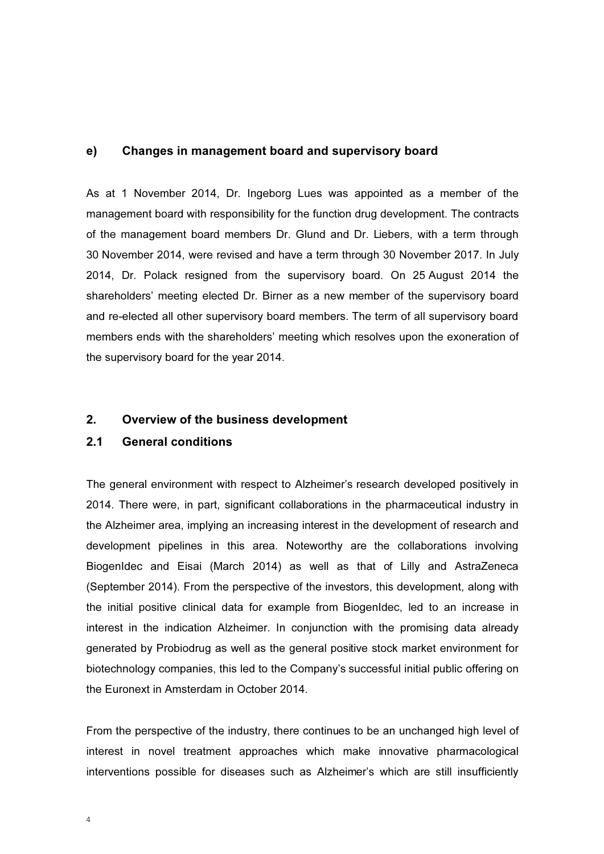#### e) Changes in management board and supervisory board

As at 1 November 2014, Dr. Ingeborg Lues was appointed as a member of the management board with responsibility for the function drug development. The contracts of the management board members Dr. Glund and Dr. Liebers, with a term through 30 November 2014, were revised and have a term through 30 November 2017. In July 2014, Dr. Polack resigned from the supervisory board. On 25 August 2014 the shareholders' meeting elected Dr. Birner as a new member of the supervisory board and re-elected all other supervisory board members. The term of all supervisory board members ends with the shareholders' meeting which resolves upon the exoneration of the supervisory board for the year 2014.

#### 2. Overview of the business development

#### 2.1 General conditions

The general environment with respect to Alzheimer's research developed positively in 2014. There were, in part, significant collaborations in the pharmaceutical industry in the Alzheimer area, implying an increasing interest in the development of research and development pipelines in this area. Noteworthy are the collaborations involving BiogenIdec and Eisai (March 2014) as well as that of Lilly and AstraZeneca (September 2014). From the perspective of the investors, this development, along with the initial positive clinical data for example from BiogenIdec, led to an increase in interest in the indication Alzheimer. In conjunction with the promising data already generated by Probiodrug as well as the general positive stock market environment for biotechnology companies, this led to the Company's successful initial public offering on the Euronext in Amsterdam in October 2014.

From the perspective of the industry, there continues to be an unchanged high level of interest in novel treatment approaches which make innovative pharmacological interventions possible for diseases such as Alzheimer's which are still insufficiently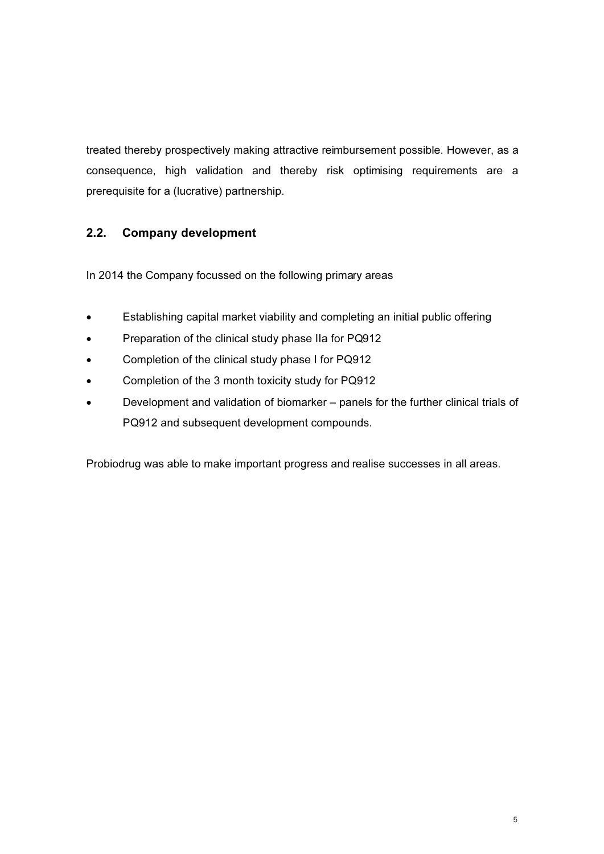treated thereby prospectively making attractive reimbursement possible. However, as a consequence, high validation and thereby risk optimising requirements are a prerequisite for a (lucrative) partnership.

# 2.2. Company development

In 2014 the Company focussed on the following primary areas

- Establishing capital market viability and completing an initial public offering
- Preparation of the clinical study phase IIa for PQ912
- Completion of the clinical study phase I for PQ912
- Completion of the 3 month toxicity study for PQ912
- Development and validation of biomarker panels for the further clinical trials of PQ912 and subsequent development compounds.

Probiodrug was able to make important progress and realise successes in all areas.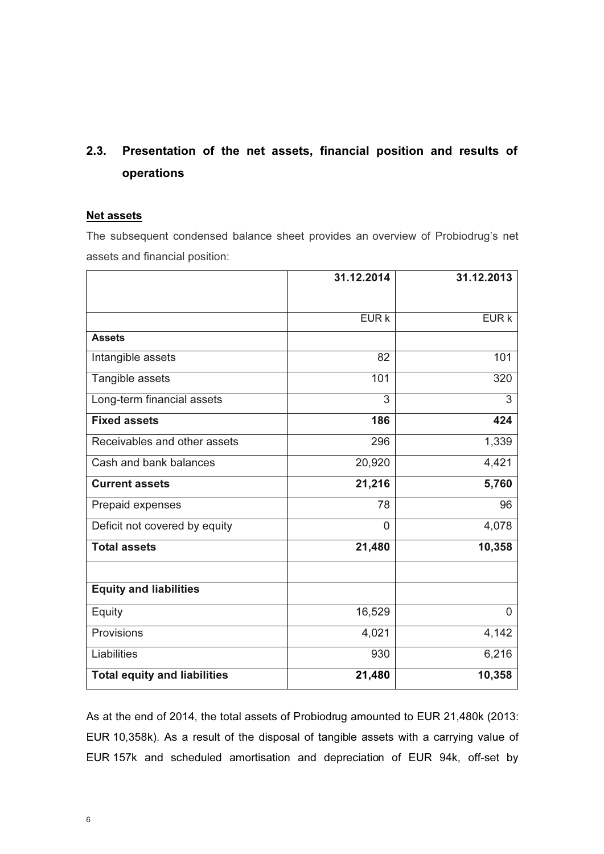# 2.3. Presentation of the net assets, financial position and results of operations

# Net assets

The subsequent condensed balance sheet provides an overview of Probiodrug's net assets and financial position:

|                                     | 31.12.2014 | 31.12.2013 |
|-------------------------------------|------------|------------|
|                                     |            |            |
|                                     | EURK       | EUR k      |
| <b>Assets</b>                       |            |            |
| Intangible assets                   | 82         | 101        |
| Tangible assets                     | 101        | 320        |
| Long-term financial assets          | 3          | 3          |
| <b>Fixed assets</b>                 | 186        | 424        |
| Receivables and other assets        | 296        | 1,339      |
| Cash and bank balances              | 20,920     | 4,421      |
| <b>Current assets</b>               | 21,216     | 5,760      |
| Prepaid expenses                    | 78         | 96         |
| Deficit not covered by equity       | 0          | 4,078      |
| <b>Total assets</b>                 | 21,480     | 10,358     |
|                                     |            |            |
| <b>Equity and liabilities</b>       |            |            |
| Equity                              | 16,529     | $\Omega$   |
| Provisions                          | 4,021      | 4,142      |
| Liabilities                         | 930        | 6,216      |
| <b>Total equity and liabilities</b> | 21,480     | 10,358     |

As at the end of 2014, the total assets of Probiodrug amounted to EUR 21,480k (2013: EUR 10,358k). As a result of the disposal of tangible assets with a carrying value of EUR 157k and scheduled amortisation and depreciation of EUR 94k, off-set by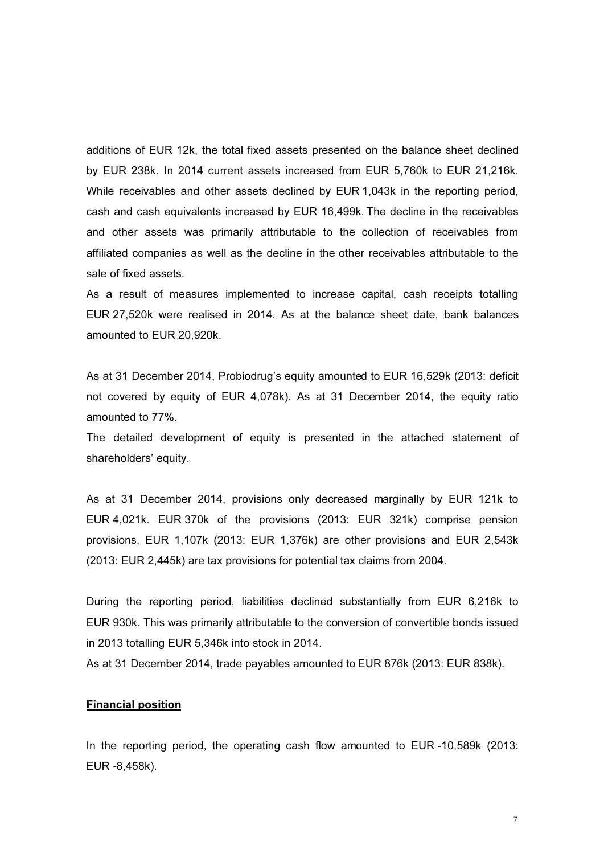additions of EUR 12k, the total fixed assets presented on the balance sheet declined by EUR 238k. In 2014 current assets increased from EUR 5,760k to EUR 21,216k. While receivables and other assets declined by EUR 1,043k in the reporting period, cash and cash equivalents increased by EUR 16,499k. The decline in the receivables and other assets was primarily attributable to the collection of receivables from affiliated companies as well as the decline in the other receivables attributable to the sale of fixed assets.

As a result of measures implemented to increase capital, cash receipts totalling EUR 27,520k were realised in 2014. As at the balance sheet date, bank balances amounted to EUR 20,920k.

As at 31 December 2014, Probiodrug's equity amounted to EUR 16,529k (2013: deficit not covered by equity of EUR 4,078k). As at 31 December 2014, the equity ratio amounted to 77%.

The detailed development of equity is presented in the attached statement of shareholders' equity.

As at 31 December 2014, provisions only decreased marginally by EUR 121k to EUR 4,021k. EUR 370k of the provisions (2013: EUR 321k) comprise pension provisions, EUR 1,107k (2013: EUR 1,376k) are other provisions and EUR 2,543k (2013: EUR 2,445k) are tax provisions for potential tax claims from 2004.

During the reporting period, liabilities declined substantially from EUR 6,216k to EUR 930k. This was primarily attributable to the conversion of convertible bonds issued in 2013 totalling EUR 5,346k into stock in 2014.

As at 31 December 2014, trade payables amounted to EUR 876k (2013: EUR 838k).

#### Financial position

In the reporting period, the operating cash flow amounted to EUR -10,589k (2013: EUR -8,458k).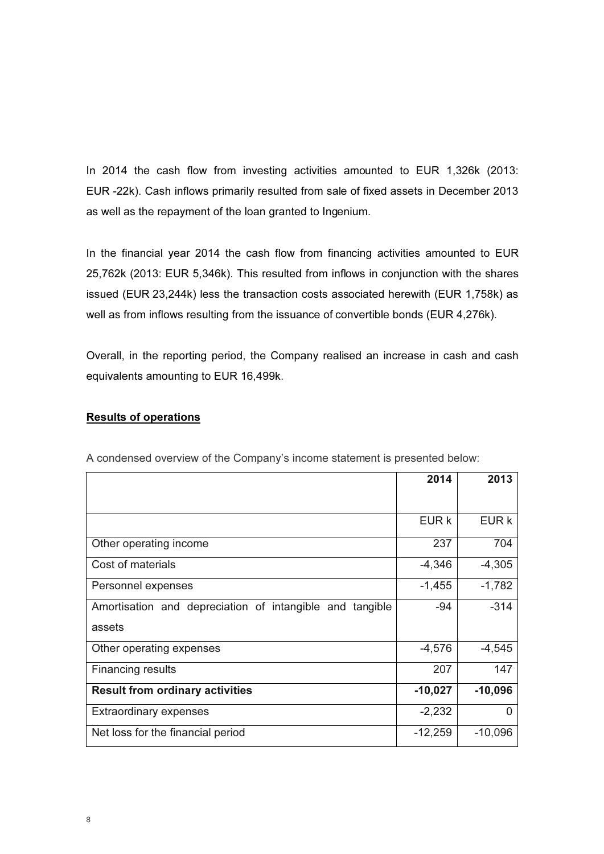In 2014 the cash flow from investing activities amounted to EUR 1,326k (2013: EUR -22k). Cash inflows primarily resulted from sale of fixed assets in December 2013 as well as the repayment of the loan granted to Ingenium.

In the financial year 2014 the cash flow from financing activities amounted to EUR 25,762k (2013: EUR 5,346k). This resulted from inflows in conjunction with the shares issued (EUR 23,244k) less the transaction costs associated herewith (EUR 1,758k) as well as from inflows resulting from the issuance of convertible bonds (EUR 4,276k).

Overall, in the reporting period, the Company realised an increase in cash and cash equivalents amounting to EUR 16,499k.

# Results of operations

|                                                          | 2014      | 2013      |
|----------------------------------------------------------|-----------|-----------|
|                                                          |           |           |
|                                                          | EUR k     | EUR k     |
| Other operating income                                   | 237       | 704       |
| Cost of materials                                        | $-4,346$  | $-4,305$  |
| Personnel expenses                                       | $-1,455$  | $-1,782$  |
| Amortisation and depreciation of intangible and tangible | $-94$     | $-314$    |
| assets                                                   |           |           |
| Other operating expenses                                 | $-4,576$  | $-4,545$  |
| Financing results                                        | 207       | 147       |
| <b>Result from ordinary activities</b>                   | $-10,027$ | $-10,096$ |
| <b>Extraordinary expenses</b>                            | $-2,232$  | 0         |
| Net loss for the financial period                        | $-12,259$ | $-10,096$ |

A condensed overview of the Company's income statement is presented below: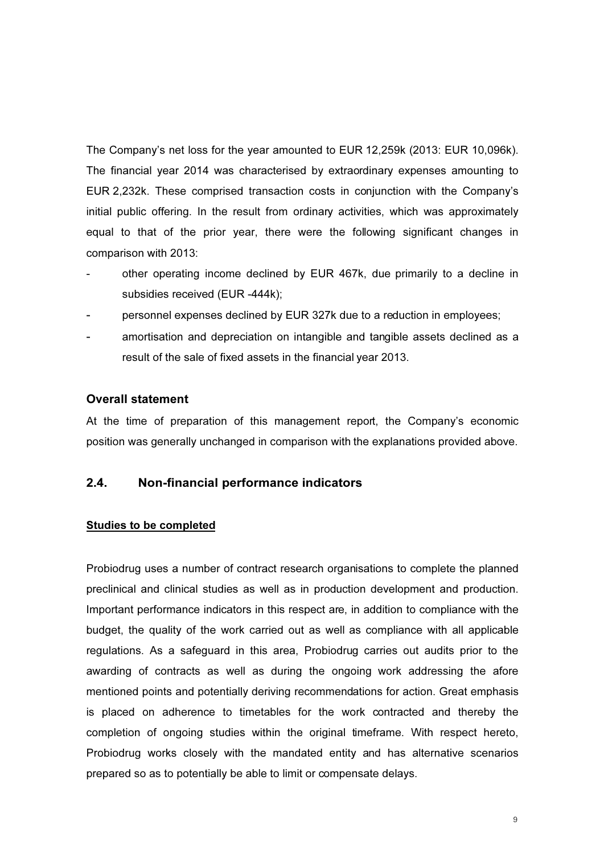The Company's net loss for the year amounted to EUR 12,259k (2013: EUR 10,096k). The financial year 2014 was characterised by extraordinary expenses amounting to EUR 2,232k. These comprised transaction costs in conjunction with the Company's initial public offering. In the result from ordinary activities, which was approximately equal to that of the prior year, there were the following significant changes in comparison with 2013:

- other operating income declined by EUR 467k, due primarily to a decline in subsidies received (EUR -444k);
- personnel expenses declined by EUR 327k due to a reduction in employees;
- amortisation and depreciation on intangible and tangible assets declined as a result of the sale of fixed assets in the financial year 2013.

#### Overall statement

At the time of preparation of this management report, the Company's economic position was generally unchanged in comparison with the explanations provided above.

# 2.4. Non-financial performance indicators

#### Studies to be completed

Probiodrug uses a number of contract research organisations to complete the planned preclinical and clinical studies as well as in production development and production. Important performance indicators in this respect are, in addition to compliance with the budget, the quality of the work carried out as well as compliance with all applicable regulations. As a safeguard in this area, Probiodrug carries out audits prior to the awarding of contracts as well as during the ongoing work addressing the afore mentioned points and potentially deriving recommendations for action. Great emphasis is placed on adherence to timetables for the work contracted and thereby the completion of ongoing studies within the original timeframe. With respect hereto, Probiodrug works closely with the mandated entity and has alternative scenarios prepared so as to potentially be able to limit or compensate delays.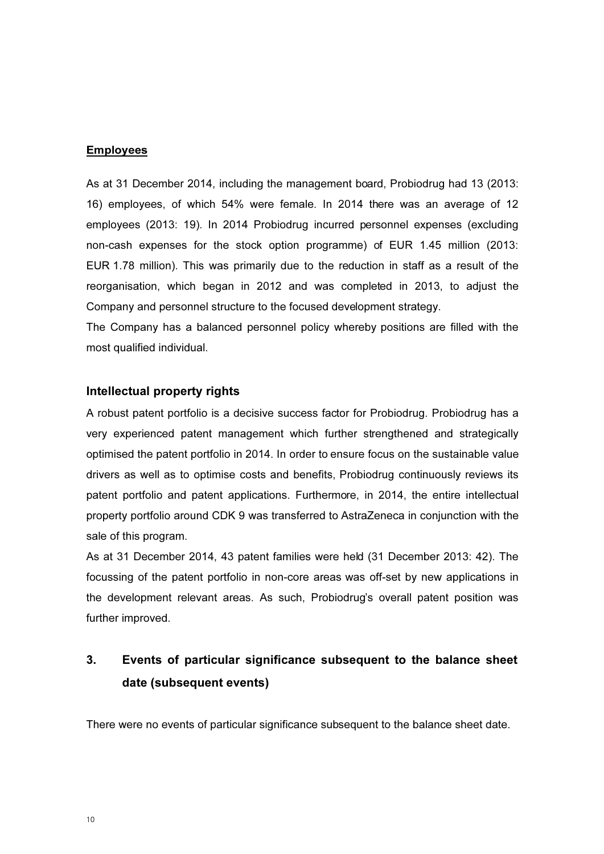#### Employees

As at 31 December 2014, including the management board, Probiodrug had 13 (2013: 16) employees, of which 54% were female. In 2014 there was an average of 12 employees (2013: 19). In 2014 Probiodrug incurred personnel expenses (excluding non-cash expenses for the stock option programme) of EUR 1.45 million (2013: EUR 1.78 million). This was primarily due to the reduction in staff as a result of the reorganisation, which began in 2012 and was completed in 2013, to adjust the Company and personnel structure to the focused development strategy.

The Company has a balanced personnel policy whereby positions are filled with the most qualified individual.

#### Intellectual property rights

A robust patent portfolio is a decisive success factor for Probiodrug. Probiodrug has a very experienced patent management which further strengthened and strategically optimised the patent portfolio in 2014. In order to ensure focus on the sustainable value drivers as well as to optimise costs and benefits, Probiodrug continuously reviews its patent portfolio and patent applications. Furthermore, in 2014, the entire intellectual property portfolio around CDK 9 was transferred to AstraZeneca in conjunction with the sale of this program.

As at 31 December 2014, 43 patent families were held (31 December 2013: 42). The focussing of the patent portfolio in non-core areas was off-set by new applications in the development relevant areas. As such, Probiodrug's overall patent position was further improved.

# 3. Events of particular significance subsequent to the balance sheet date (subsequent events)

There were no events of particular significance subsequent to the balance sheet date.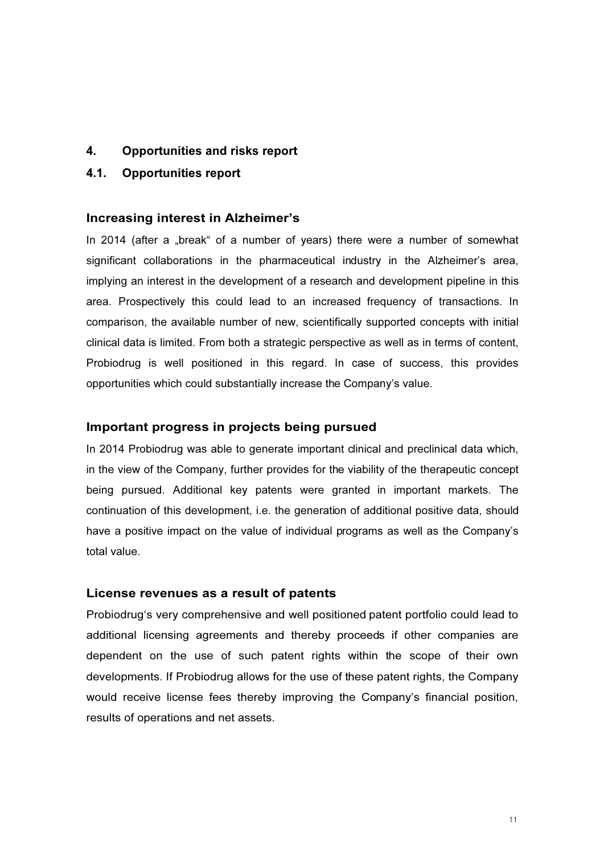- 4. Opportunities and risks report
- 4.1. Opportunities report

#### Increasing interest in Alzheimer's

In 2014 (after a "break" of a number of years) there were a number of somewhat significant collaborations in the pharmaceutical industry in the Alzheimer's area, implying an interest in the development of a research and development pipeline in this area. Prospectively this could lead to an increased frequency of transactions. In comparison, the available number of new, scientifically supported concepts with initial clinical data is limited. From both a strategic perspective as well as in terms of content, Probiodrug is well positioned in this regard. In case of success, this provides opportunities which could substantially increase the Company's value.

# Important progress in projects being pursued

In 2014 Probiodrug was able to generate important clinical and preclinical data which, in the view of the Company, further provides for the viability of the therapeutic concept being pursued. Additional key patents were granted in important markets. The continuation of this development, i.e. the generation of additional positive data, should have a positive impact on the value of individual programs as well as the Company's total value.

#### License revenues as a result of patents

Probiodrug's very comprehensive and well positioned patent portfolio could lead to additional licensing agreements and thereby proceeds if other companies are dependent on the use of such patent rights within the scope of their own developments. If Probiodrug allows for the use of these patent rights, the Company would receive license fees thereby improving the Company's financial position, results of operations and net assets.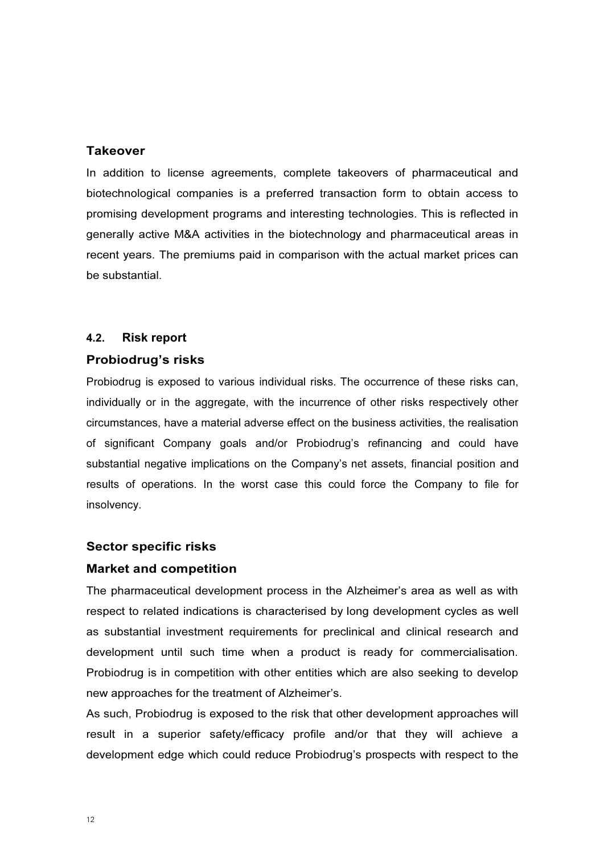# **Takeover**

In addition to license agreements, complete takeovers of pharmaceutical and biotechnological companies is a preferred transaction form to obtain access to promising development programs and interesting technologies. This is reflected in generally active M&A activities in the biotechnology and pharmaceutical areas in recent years. The premiums paid in comparison with the actual market prices can be substantial.

#### 4.2. Risk report

# Probiodrug's risks

Probiodrug is exposed to various individual risks. The occurrence of these risks can, individually or in the aggregate, with the incurrence of other risks respectively other circumstances, have a material adverse effect on the business activities, the realisation of significant Company goals and/or Probiodrug's refinancing and could have substantial negative implications on the Company's net assets, financial position and results of operations. In the worst case this could force the Company to file for insolvency.

# Sector specific risks

# Market and competition

The pharmaceutical development process in the Alzheimer's area as well as with respect to related indications is characterised by long development cycles as well as substantial investment requirements for preclinical and clinical research and development until such time when a product is ready for commercialisation. Probiodrug is in competition with other entities which are also seeking to develop new approaches for the treatment of Alzheimer's.

As such, Probiodrug is exposed to the risk that other development approaches will result in a superior safety/efficacy profile and/or that they will achieve a development edge which could reduce Probiodrug's prospects with respect to the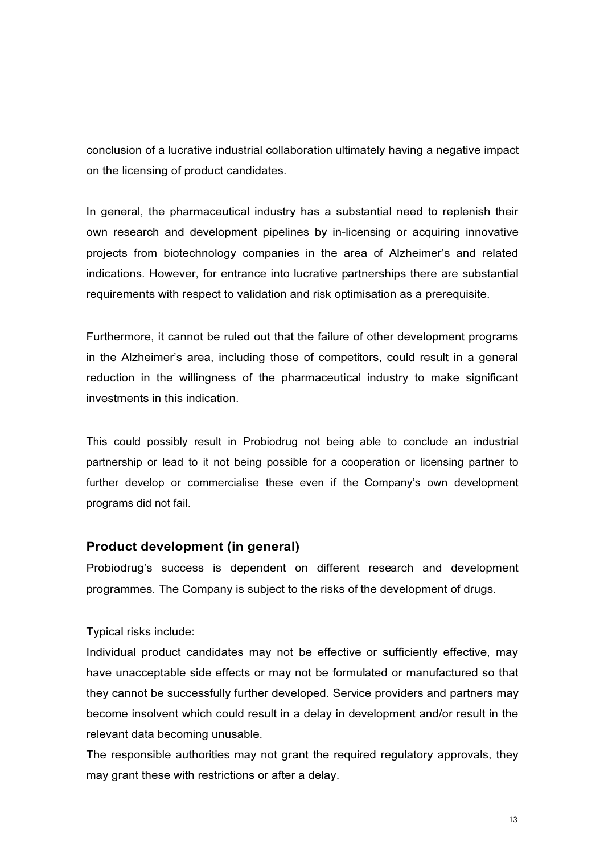conclusion of a lucrative industrial collaboration ultimately having a negative impact on the licensing of product candidates.

In general, the pharmaceutical industry has a substantial need to replenish their own research and development pipelines by in-licensing or acquiring innovative projects from biotechnology companies in the area of Alzheimer's and related indications. However, for entrance into lucrative partnerships there are substantial requirements with respect to validation and risk optimisation as a prerequisite.

Furthermore, it cannot be ruled out that the failure of other development programs in the Alzheimer's area, including those of competitors, could result in a general reduction in the willingness of the pharmaceutical industry to make significant investments in this indication.

This could possibly result in Probiodrug not being able to conclude an industrial partnership or lead to it not being possible for a cooperation or licensing partner to further develop or commercialise these even if the Company's own development programs did not fail.

# Product development (in general)

Probiodrug's success is dependent on different research and development programmes. The Company is subject to the risks of the development of drugs.

# Typical risks include:

Individual product candidates may not be effective or sufficiently effective, may have unacceptable side effects or may not be formulated or manufactured so that they cannot be successfully further developed. Service providers and partners may become insolvent which could result in a delay in development and/or result in the relevant data becoming unusable.

The responsible authorities may not grant the required regulatory approvals, they may grant these with restrictions or after a delay.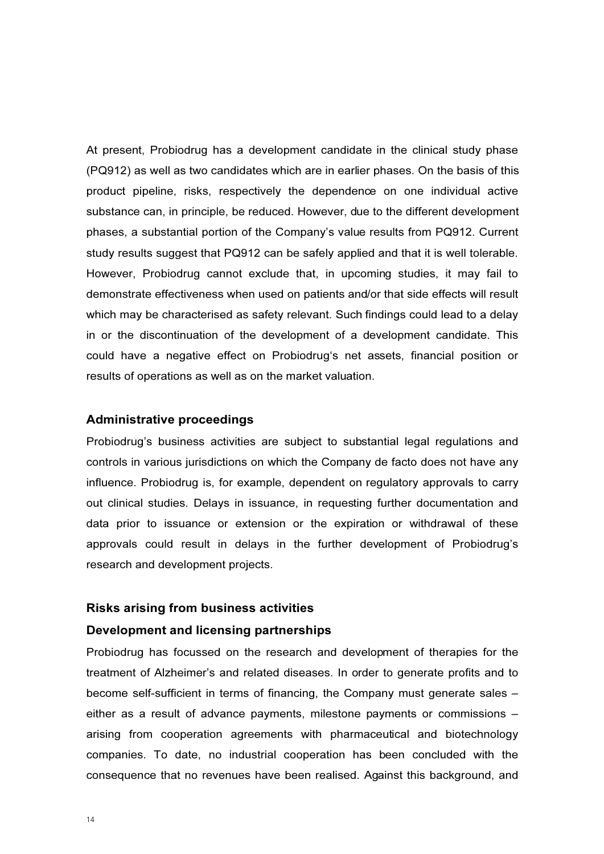At present, Probiodrug has a development candidate in the clinical study phase (PQ912) as well as two candidates which are in earlier phases. On the basis of this product pipeline, risks, respectively the dependence on one individual active substance can, in principle, be reduced. However, due to the different development phases, a substantial portion of the Company's value results from PQ912. Current study results suggest that PQ912 can be safely applied and that it is well tolerable. However, Probiodrug cannot exclude that, in upcoming studies, it may fail to demonstrate effectiveness when used on patients and/or that side effects will result which may be characterised as safety relevant. Such findings could lead to a delay in or the discontinuation of the development of a development candidate. This could have a negative effect on Probiodrug's net assets, financial position or results of operations as well as on the market valuation.

#### Administrative proceedings

Probiodrug's business activities are subject to substantial legal regulations and controls in various jurisdictions on which the Company de facto does not have any influence. Probiodrug is, for example, dependent on regulatory approvals to carry out clinical studies. Delays in issuance, in requesting further documentation and data prior to issuance or extension or the expiration or withdrawal of these approvals could result in delays in the further development of Probiodrug's research and development projects.

#### Risks arising from business activities

#### Development and licensing partnerships

Probiodrug has focussed on the research and development of therapies for the treatment of Alzheimer's and related diseases. In order to generate profits and to become self-sufficient in terms of financing, the Company must generate sales – either as a result of advance payments, milestone payments or commissions – arising from cooperation agreements with pharmaceutical and biotechnology companies. To date, no industrial cooperation has been concluded with the consequence that no revenues have been realised. Against this background, and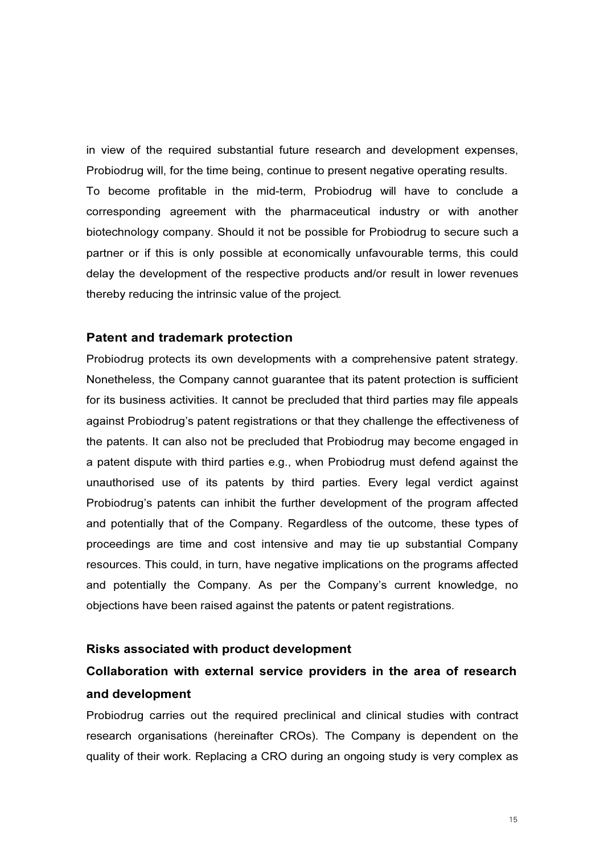in view of the required substantial future research and development expenses, Probiodrug will, for the time being, continue to present negative operating results. To become profitable in the mid-term, Probiodrug will have to conclude a corresponding agreement with the pharmaceutical industry or with another biotechnology company. Should it not be possible for Probiodrug to secure such a partner or if this is only possible at economically unfavourable terms, this could delay the development of the respective products and/or result in lower revenues thereby reducing the intrinsic value of the project.

#### Patent and trademark protection

Probiodrug protects its own developments with a comprehensive patent strategy. Nonetheless, the Company cannot guarantee that its patent protection is sufficient for its business activities. It cannot be precluded that third parties may file appeals against Probiodrug's patent registrations or that they challenge the effectiveness of the patents. It can also not be precluded that Probiodrug may become engaged in a patent dispute with third parties e.g., when Probiodrug must defend against the unauthorised use of its patents by third parties. Every legal verdict against Probiodrug's patents can inhibit the further development of the program affected and potentially that of the Company. Regardless of the outcome, these types of proceedings are time and cost intensive and may tie up substantial Company resources. This could, in turn, have negative implications on the programs affected and potentially the Company. As per the Company's current knowledge, no objections have been raised against the patents or patent registrations.

#### Risks associated with product development

# Collaboration with external service providers in the area of research and development

Probiodrug carries out the required preclinical and clinical studies with contract research organisations (hereinafter CROs). The Company is dependent on the quality of their work. Replacing a CRO during an ongoing study is very complex as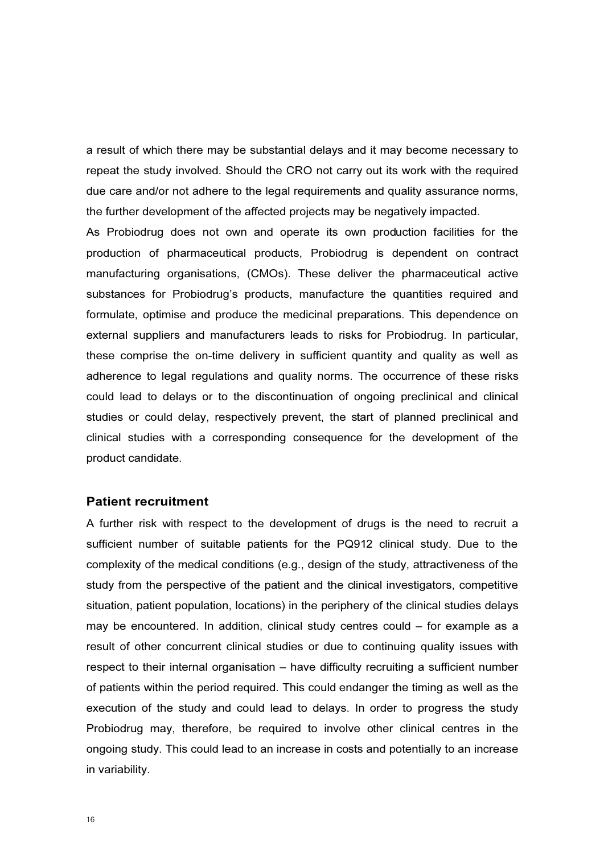a result of which there may be substantial delays and it may become necessary to repeat the study involved. Should the CRO not carry out its work with the required due care and/or not adhere to the legal requirements and quality assurance norms, the further development of the affected projects may be negatively impacted.

As Probiodrug does not own and operate its own production facilities for the production of pharmaceutical products, Probiodrug is dependent on contract manufacturing organisations, (CMOs). These deliver the pharmaceutical active substances for Probiodrug's products, manufacture the quantities required and formulate, optimise and produce the medicinal preparations. This dependence on external suppliers and manufacturers leads to risks for Probiodrug. In particular, these comprise the on-time delivery in sufficient quantity and quality as well as adherence to legal regulations and quality norms. The occurrence of these risks could lead to delays or to the discontinuation of ongoing preclinical and clinical studies or could delay, respectively prevent, the start of planned preclinical and clinical studies with a corresponding consequence for the development of the product candidate.

#### Patient recruitment

A further risk with respect to the development of drugs is the need to recruit a sufficient number of suitable patients for the PQ912 clinical study. Due to the complexity of the medical conditions (e.g., design of the study, attractiveness of the study from the perspective of the patient and the clinical investigators, competitive situation, patient population, locations) in the periphery of the clinical studies delays may be encountered. In addition, clinical study centres could – for example as a result of other concurrent clinical studies or due to continuing quality issues with respect to their internal organisation – have difficulty recruiting a sufficient number of patients within the period required. This could endanger the timing as well as the execution of the study and could lead to delays. In order to progress the study Probiodrug may, therefore, be required to involve other clinical centres in the ongoing study. This could lead to an increase in costs and potentially to an increase in variability.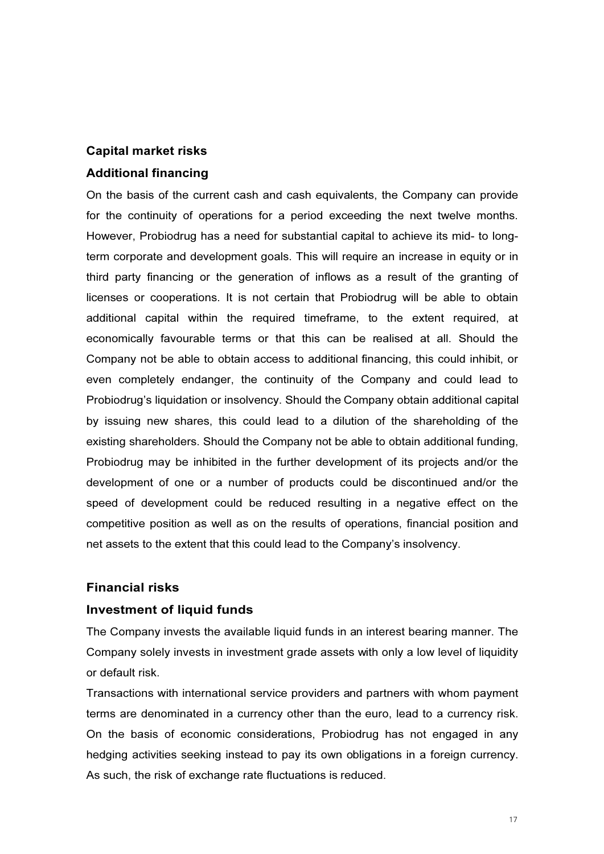# Capital market risks

# Additional financing

On the basis of the current cash and cash equivalents, the Company can provide for the continuity of operations for a period exceeding the next twelve months. However, Probiodrug has a need for substantial capital to achieve its mid- to longterm corporate and development goals. This will require an increase in equity or in third party financing or the generation of inflows as a result of the granting of licenses or cooperations. It is not certain that Probiodrug will be able to obtain additional capital within the required timeframe, to the extent required, at economically favourable terms or that this can be realised at all. Should the Company not be able to obtain access to additional financing, this could inhibit, or even completely endanger, the continuity of the Company and could lead to Probiodrug's liquidation or insolvency. Should the Company obtain additional capital by issuing new shares, this could lead to a dilution of the shareholding of the existing shareholders. Should the Company not be able to obtain additional funding, Probiodrug may be inhibited in the further development of its projects and/or the development of one or a number of products could be discontinued and/or the speed of development could be reduced resulting in a negative effect on the competitive position as well as on the results of operations, financial position and net assets to the extent that this could lead to the Company's insolvency.

# Financial risks

# Investment of liquid funds

The Company invests the available liquid funds in an interest bearing manner. The Company solely invests in investment grade assets with only a low level of liquidity or default risk.

Transactions with international service providers and partners with whom payment terms are denominated in a currency other than the euro, lead to a currency risk. On the basis of economic considerations, Probiodrug has not engaged in any hedging activities seeking instead to pay its own obligations in a foreign currency. As such, the risk of exchange rate fluctuations is reduced.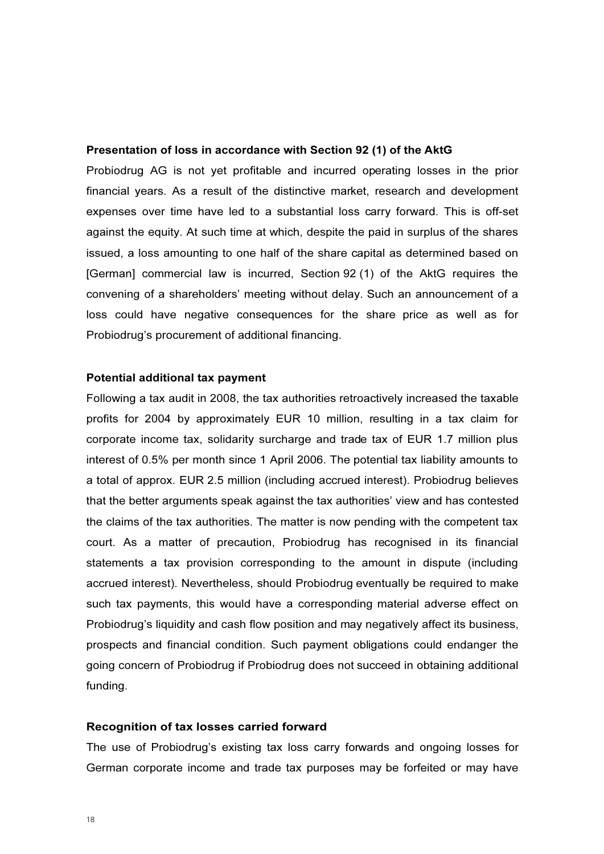#### Presentation of loss in accordance with Section 92 (1) of the AktG

Probiodrug AG is not yet profitable and incurred operating losses in the prior financial years. As a result of the distinctive market, research and development expenses over time have led to a substantial loss carry forward. This is off-set against the equity. At such time at which, despite the paid in surplus of the shares issued, a loss amounting to one half of the share capital as determined based on [German] commercial law is incurred, Section 92 (1) of the AktG requires the convening of a shareholders' meeting without delay. Such an announcement of a loss could have negative consequences for the share price as well as for Probiodrug's procurement of additional financing.

#### Potential additional tax payment

Following a tax audit in 2008, the tax authorities retroactively increased the taxable profits for 2004 by approximately EUR 10 million, resulting in a tax claim for corporate income tax, solidarity surcharge and trade tax of EUR 1.7 million plus interest of 0.5% per month since 1 April 2006. The potential tax liability amounts to a total of approx. EUR 2.5 million (including accrued interest). Probiodrug believes that the better arguments speak against the tax authorities' view and has contested the claims of the tax authorities. The matter is now pending with the competent tax court. As a matter of precaution, Probiodrug has recognised in its financial statements a tax provision corresponding to the amount in dispute (including accrued interest). Nevertheless, should Probiodrug eventually be required to make such tax payments, this would have a corresponding material adverse effect on Probiodrug's liquidity and cash flow position and may negatively affect its business, prospects and financial condition. Such payment obligations could endanger the going concern of Probiodrug if Probiodrug does not succeed in obtaining additional funding.

#### Recognition of tax losses carried forward

The use of Probiodrug's existing tax loss carry forwards and ongoing losses for German corporate income and trade tax purposes may be forfeited or may have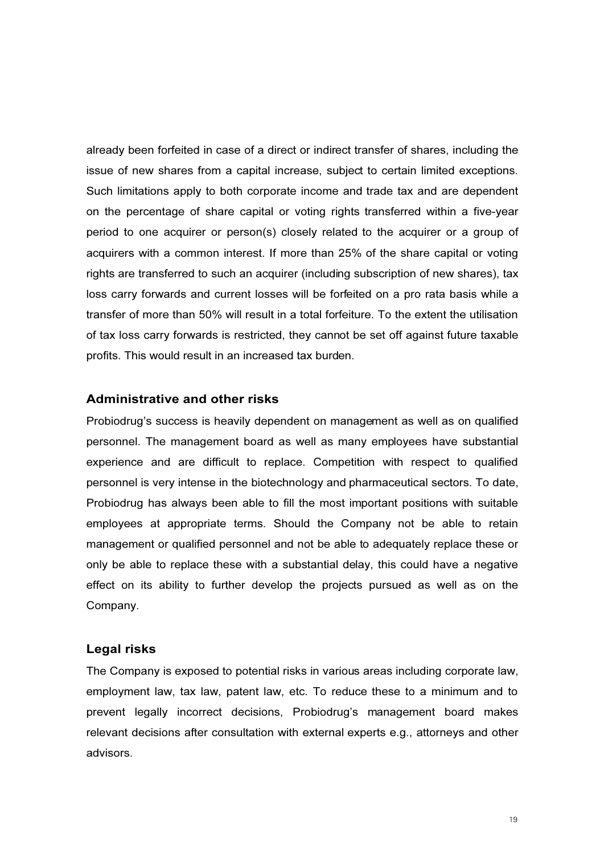already been forfeited in case of a direct or indirect transfer of shares, including the issue of new shares from a capital increase, subject to certain limited exceptions. Such limitations apply to both corporate income and trade tax and are dependent on the percentage of share capital or voting rights transferred within a five-year period to one acquirer or person(s) closely related to the acquirer or a group of acquirers with a common interest. If more than 25% of the share capital or voting rights are transferred to such an acquirer (including subscription of new shares), tax loss carry forwards and current losses will be forfeited on a pro rata basis while a transfer of more than 50% will result in a total forfeiture. To the extent the utilisation of tax loss carry forwards is restricted, they cannot be set off against future taxable profits. This would result in an increased tax burden.

#### Administrative and other risks

Probiodrug's success is heavily dependent on management as well as on qualified personnel. The management board as well as many employees have substantial experience and are difficult to replace. Competition with respect to qualified personnel is very intense in the biotechnology and pharmaceutical sectors. To date, Probiodrug has always been able to fill the most important positions with suitable employees at appropriate terms. Should the Company not be able to retain management or qualified personnel and not be able to adequately replace these or only be able to replace these with a substantial delay, this could have a negative effect on its ability to further develop the projects pursued as well as on the Company.

#### Legal risks

The Company is exposed to potential risks in various areas including corporate law, employment law, tax law, patent law, etc. To reduce these to a minimum and to prevent legally incorrect decisions, Probiodrug's management board makes relevant decisions after consultation with external experts e.g., attorneys and other advisors.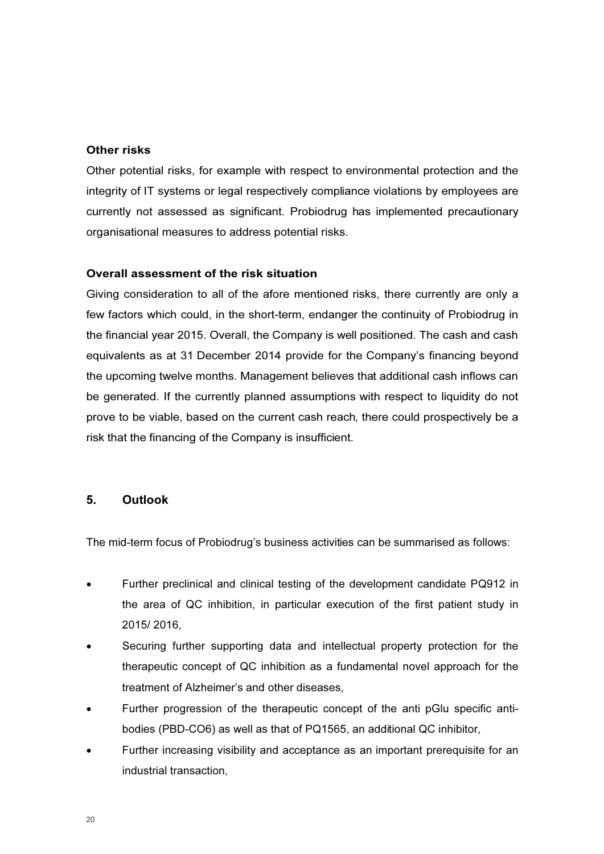# Other risks

Other potential risks, for example with respect to environmental protection and the integrity of IT systems or legal respectively compliance violations by employees are currently not assessed as significant. Probiodrug has implemented precautionary organisational measures to address potential risks.

# Overall assessment of the risk situation

Giving consideration to all of the afore mentioned risks, there currently are only a few factors which could, in the short-term, endanger the continuity of Probiodrug in the financial year 2015. Overall, the Company is well positioned. The cash and cash equivalents as at 31 December 2014 provide for the Company's financing beyond the upcoming twelve months. Management believes that additional cash inflows can be generated. If the currently planned assumptions with respect to liquidity do not prove to be viable, based on the current cash reach, there could prospectively be a risk that the financing of the Company is insufficient.

# 5. Outlook

The mid-term focus of Probiodrug's business activities can be summarised as follows:

- Further preclinical and clinical testing of the development candidate PQ912 in the area of QC inhibition, in particular execution of the first patient study in 2015/ 2016,
- Securing further supporting data and intellectual property protection for the therapeutic concept of QC inhibition as a fundamental novel approach for the treatment of Alzheimer's and other diseases,
- Further progression of the therapeutic concept of the anti pGlu specific antibodies (PBD-CO6) as well as that of PQ1565, an additional QC inhibitor,
- Further increasing visibility and acceptance as an important prerequisite for an industrial transaction,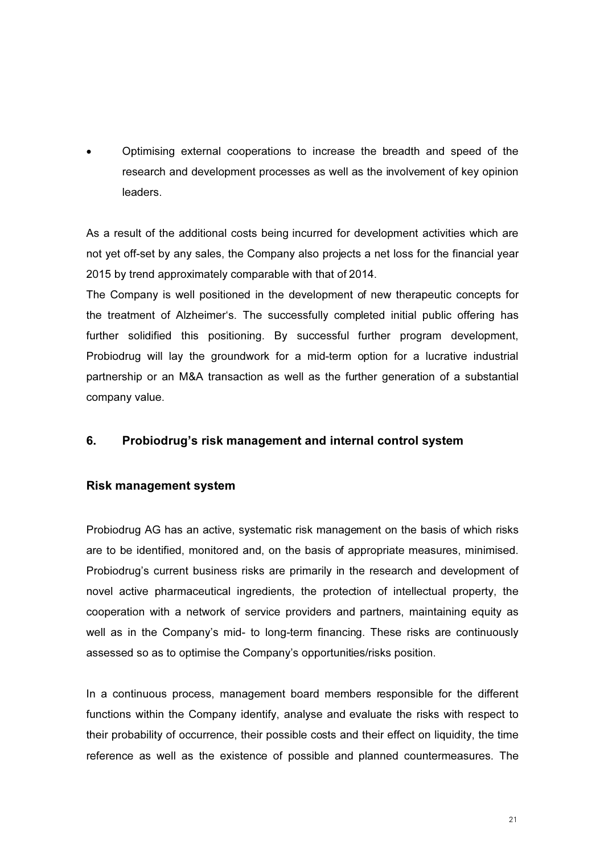• Optimising external cooperations to increase the breadth and speed of the research and development processes as well as the involvement of key opinion leaders.

As a result of the additional costs being incurred for development activities which are not yet off-set by any sales, the Company also projects a net loss for the financial year 2015 by trend approximately comparable with that of 2014.

The Company is well positioned in the development of new therapeutic concepts for the treatment of Alzheimer's. The successfully completed initial public offering has further solidified this positioning. By successful further program development, Probiodrug will lay the groundwork for a mid-term option for a lucrative industrial partnership or an M&A transaction as well as the further generation of a substantial company value.

# 6. Probiodrug's risk management and internal control system

# Risk management system

Probiodrug AG has an active, systematic risk management on the basis of which risks are to be identified, monitored and, on the basis of appropriate measures, minimised. Probiodrug's current business risks are primarily in the research and development of novel active pharmaceutical ingredients, the protection of intellectual property, the cooperation with a network of service providers and partners, maintaining equity as well as in the Company's mid- to long-term financing. These risks are continuously assessed so as to optimise the Company's opportunities/risks position.

In a continuous process, management board members responsible for the different functions within the Company identify, analyse and evaluate the risks with respect to their probability of occurrence, their possible costs and their effect on liquidity, the time reference as well as the existence of possible and planned countermeasures. The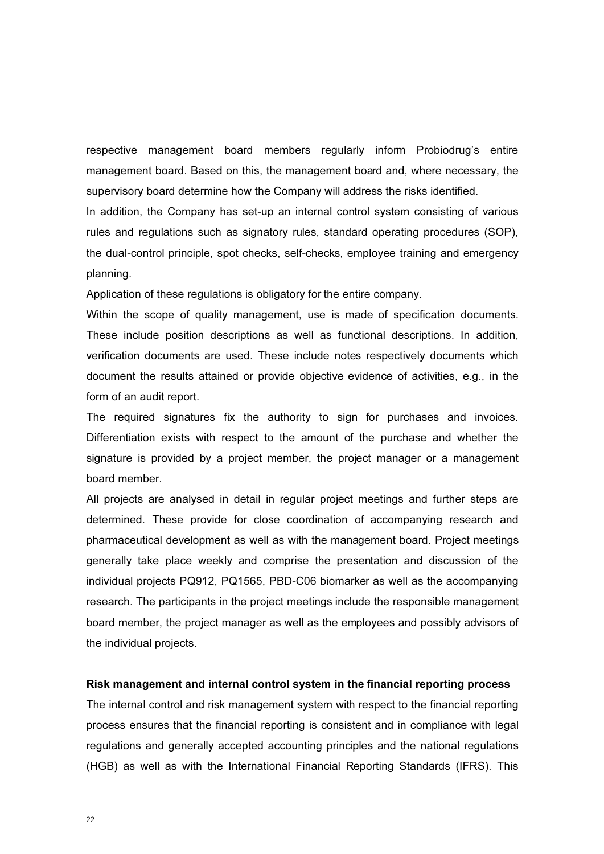respective management board members regularly inform Probiodrug's entire management board. Based on this, the management board and, where necessary, the supervisory board determine how the Company will address the risks identified.

In addition, the Company has set-up an internal control system consisting of various rules and regulations such as signatory rules, standard operating procedures (SOP), the dual-control principle, spot checks, self-checks, employee training and emergency planning.

Application of these regulations is obligatory for the entire company.

Within the scope of quality management, use is made of specification documents. These include position descriptions as well as functional descriptions. In addition, verification documents are used. These include notes respectively documents which document the results attained or provide objective evidence of activities, e.g., in the form of an audit report.

The required signatures fix the authority to sign for purchases and invoices. Differentiation exists with respect to the amount of the purchase and whether the signature is provided by a project member, the project manager or a management board member.

All projects are analysed in detail in regular project meetings and further steps are determined. These provide for close coordination of accompanying research and pharmaceutical development as well as with the management board. Project meetings generally take place weekly and comprise the presentation and discussion of the individual projects PQ912, PQ1565, PBD-C06 biomarker as well as the accompanying research. The participants in the project meetings include the responsible management board member, the project manager as well as the employees and possibly advisors of the individual projects.

#### Risk management and internal control system in the financial reporting process

The internal control and risk management system with respect to the financial reporting process ensures that the financial reporting is consistent and in compliance with legal regulations and generally accepted accounting principles and the national regulations (HGB) as well as with the International Financial Reporting Standards (IFRS). This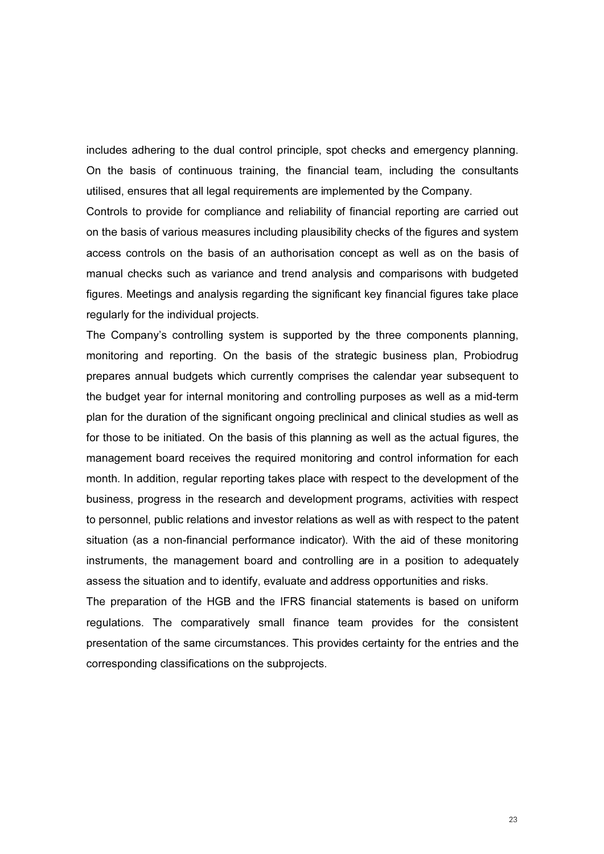includes adhering to the dual control principle, spot checks and emergency planning. On the basis of continuous training, the financial team, including the consultants utilised, ensures that all legal requirements are implemented by the Company.

Controls to provide for compliance and reliability of financial reporting are carried out on the basis of various measures including plausibility checks of the figures and system access controls on the basis of an authorisation concept as well as on the basis of manual checks such as variance and trend analysis and comparisons with budgeted figures. Meetings and analysis regarding the significant key financial figures take place regularly for the individual projects.

The Company's controlling system is supported by the three components planning, monitoring and reporting. On the basis of the strategic business plan, Probiodrug prepares annual budgets which currently comprises the calendar year subsequent to the budget year for internal monitoring and controlling purposes as well as a mid-term plan for the duration of the significant ongoing preclinical and clinical studies as well as for those to be initiated. On the basis of this planning as well as the actual figures, the management board receives the required monitoring and control information for each month. In addition, regular reporting takes place with respect to the development of the business, progress in the research and development programs, activities with respect to personnel, public relations and investor relations as well as with respect to the patent situation (as a non-financial performance indicator). With the aid of these monitoring instruments, the management board and controlling are in a position to adequately assess the situation and to identify, evaluate and address opportunities and risks.

The preparation of the HGB and the IFRS financial statements is based on uniform regulations. The comparatively small finance team provides for the consistent presentation of the same circumstances. This provides certainty for the entries and the corresponding classifications on the subprojects.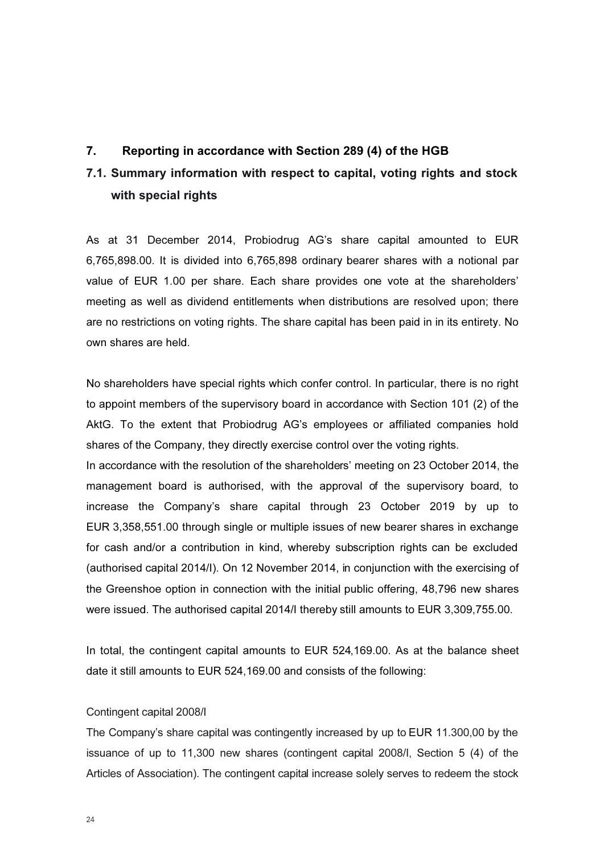# 7. Reporting in accordance with Section 289 (4) of the HGB

# 7.1. Summary information with respect to capital, voting rights and stock with special rights

As at 31 December 2014, Probiodrug AG's share capital amounted to EUR 6,765,898.00. It is divided into 6,765,898 ordinary bearer shares with a notional par value of EUR 1.00 per share. Each share provides one vote at the shareholders' meeting as well as dividend entitlements when distributions are resolved upon; there are no restrictions on voting rights. The share capital has been paid in in its entirety. No own shares are held.

No shareholders have special rights which confer control. In particular, there is no right to appoint members of the supervisory board in accordance with Section 101 (2) of the AktG. To the extent that Probiodrug AG's employees or affiliated companies hold shares of the Company, they directly exercise control over the voting rights.

In accordance with the resolution of the shareholders' meeting on 23 October 2014, the management board is authorised, with the approval of the supervisory board, to increase the Company's share capital through 23 October 2019 by up to EUR 3,358,551.00 through single or multiple issues of new bearer shares in exchange for cash and/or a contribution in kind, whereby subscription rights can be excluded (authorised capital 2014/I). On 12 November 2014, in conjunction with the exercising of the Greenshoe option in connection with the initial public offering, 48,796 new shares were issued. The authorised capital 2014/I thereby still amounts to EUR 3,309,755.00.

In total, the contingent capital amounts to EUR 524,169.00. As at the balance sheet date it still amounts to EUR 524,169.00 and consists of the following:

#### Contingent capital 2008/I

The Company's share capital was contingently increased by up to EUR 11.300,00 by the issuance of up to 11,300 new shares (contingent capital 2008/I, Section 5 (4) of the Articles of Association). The contingent capital increase solely serves to redeem the stock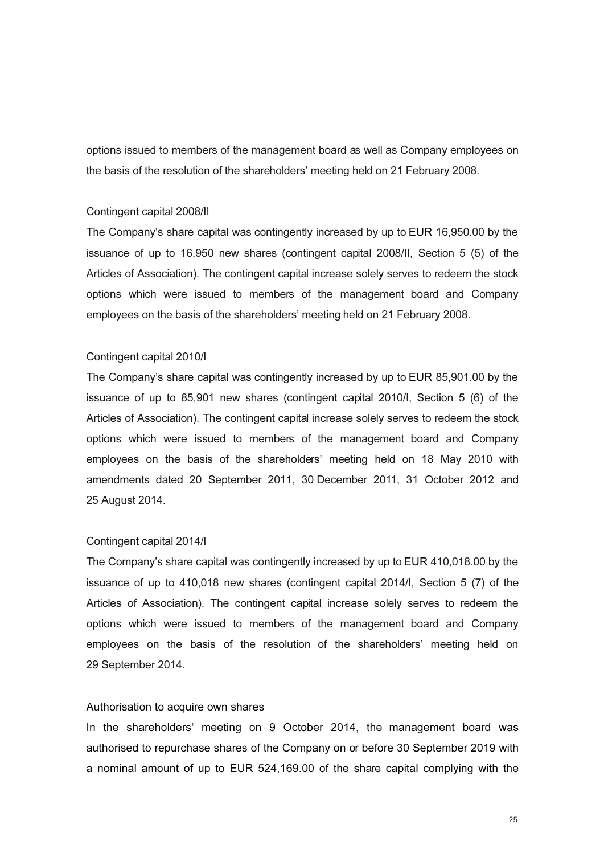options issued to members of the management board as well as Company employees on the basis of the resolution of the shareholders' meeting held on 21 February 2008.

#### Contingent capital 2008/II

The Company's share capital was contingently increased by up to EUR 16,950.00 by the issuance of up to 16,950 new shares (contingent capital 2008/II, Section 5 (5) of the Articles of Association). The contingent capital increase solely serves to redeem the stock options which were issued to members of the management board and Company employees on the basis of the shareholders' meeting held on 21 February 2008.

#### Contingent capital 2010/I

The Company's share capital was contingently increased by up to EUR 85,901.00 by the issuance of up to 85,901 new shares (contingent capital 2010/I, Section 5 (6) of the Articles of Association). The contingent capital increase solely serves to redeem the stock options which were issued to members of the management board and Company employees on the basis of the shareholders' meeting held on 18 May 2010 with amendments dated 20 September 2011, 30 December 2011, 31 October 2012 and 25 August 2014.

#### Contingent capital 2014/I

The Company's share capital was contingently increased by up to EUR 410,018.00 by the issuance of up to 410,018 new shares (contingent capital 2014/I, Section 5 (7) of the Articles of Association). The contingent capital increase solely serves to redeem the options which were issued to members of the management board and Company employees on the basis of the resolution of the shareholders' meeting held on 29 September 2014.

#### Authorisation to acquire own shares

In the shareholders' meeting on 9 October 2014, the management board was authorised to repurchase shares of the Company on or before 30 September 2019 with a nominal amount of up to EUR 524,169.00 of the share capital complying with the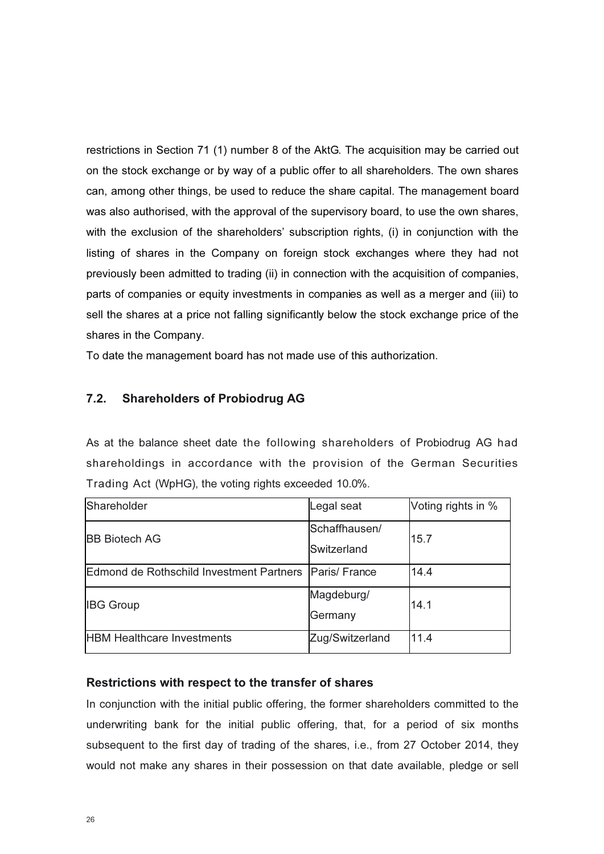restrictions in Section 71 (1) number 8 of the AktG. The acquisition may be carried out on the stock exchange or by way of a public offer to all shareholders. The own shares can, among other things, be used to reduce the share capital. The management board was also authorised, with the approval of the supervisory board, to use the own shares, with the exclusion of the shareholders' subscription rights, (i) in conjunction with the listing of shares in the Company on foreign stock exchanges where they had not previously been admitted to trading (ii) in connection with the acquisition of companies, parts of companies or equity investments in companies as well as a merger and (iii) to sell the shares at a price not falling significantly below the stock exchange price of the shares in the Company.

To date the management board has not made use of this authorization.

# 7.2. Shareholders of Probiodrug AG

As at the balance sheet date the following shareholders of Probiodrug AG had shareholdings in accordance with the provision of the German Securities Trading Act (WpHG), the voting rights exceeded 10.0%.

| Shareholder                                              | Legal seat                   | Voting rights in % |
|----------------------------------------------------------|------------------------------|--------------------|
| <b>BB Biotech AG</b>                                     | Schaffhausen/<br>Switzerland | 15.7               |
| Edmond de Rothschild Investment Partners   Paris/ France |                              | 14.4               |
| <b>IBG Group</b>                                         | Magdeburg/<br>Germany        | 14.1               |
| <b>HBM Healthcare Investments</b>                        | Zug/Switzerland              | 11.4               |

# Restrictions with respect to the transfer of shares

In conjunction with the initial public offering, the former shareholders committed to the underwriting bank for the initial public offering, that, for a period of six months subsequent to the first day of trading of the shares, i.e., from 27 October 2014, they would not make any shares in their possession on that date available, pledge or sell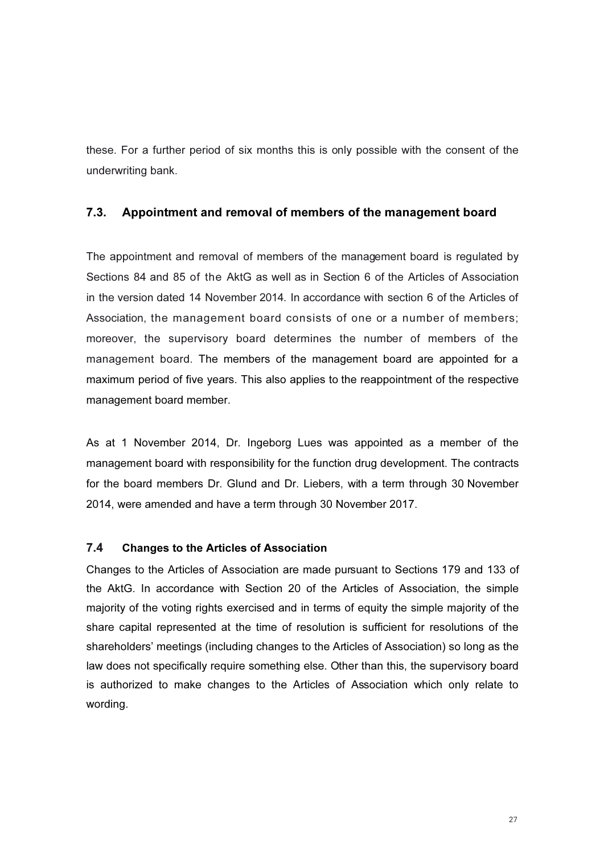these. For a further period of six months this is only possible with the consent of the underwriting bank.

# 7.3. Appointment and removal of members of the management board

The appointment and removal of members of the management board is regulated by Sections 84 and 85 of the AktG as well as in Section 6 of the Articles of Association in the version dated 14 November 2014. In accordance with section 6 of the Articles of Association, the management board consists of one or a number of members; moreover, the supervisory board determines the number of members of the management board. The members of the management board are appointed for a maximum period of five years. This also applies to the reappointment of the respective management board member.

As at 1 November 2014, Dr. Ingeborg Lues was appointed as a member of the management board with responsibility for the function drug development. The contracts for the board members Dr. Glund and Dr. Liebers, with a term through 30 November 2014, were amended and have a term through 30 November 2017.

# 7.4 Changes to the Articles of Association

Changes to the Articles of Association are made pursuant to Sections 179 and 133 of the AktG. In accordance with Section 20 of the Articles of Association, the simple majority of the voting rights exercised and in terms of equity the simple majority of the share capital represented at the time of resolution is sufficient for resolutions of the shareholders' meetings (including changes to the Articles of Association) so long as the law does not specifically require something else. Other than this, the supervisory board is authorized to make changes to the Articles of Association which only relate to wording.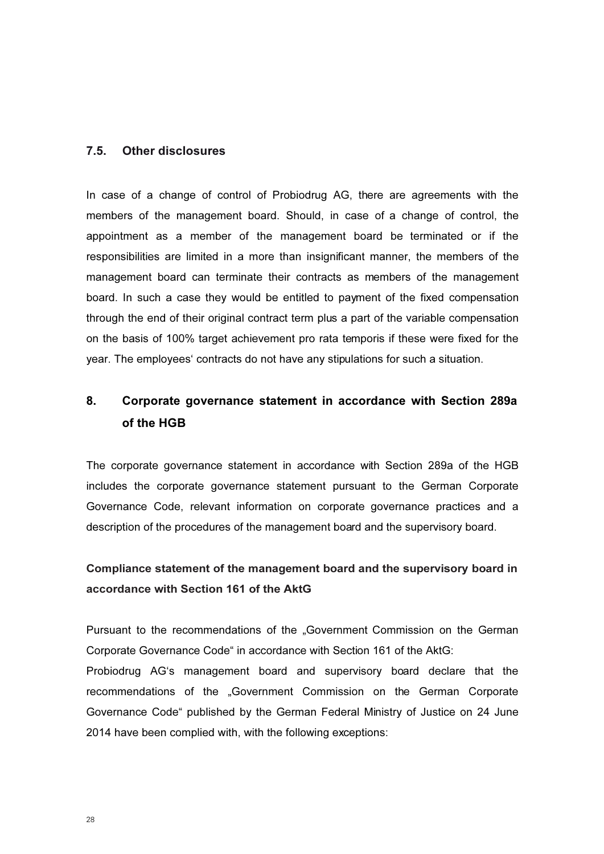# 7.5. Other disclosures

In case of a change of control of Probiodrug AG, there are agreements with the members of the management board. Should, in case of a change of control, the appointment as a member of the management board be terminated or if the responsibilities are limited in a more than insignificant manner, the members of the management board can terminate their contracts as members of the management board. In such a case they would be entitled to payment of the fixed compensation through the end of their original contract term plus a part of the variable compensation on the basis of 100% target achievement pro rata temporis if these were fixed for the year. The employees' contracts do not have any stipulations for such a situation.

# 8. Corporate governance statement in accordance with Section 289a of the HGB

The corporate governance statement in accordance with Section 289a of the HGB includes the corporate governance statement pursuant to the German Corporate Governance Code, relevant information on corporate governance practices and a description of the procedures of the management board and the supervisory board.

# Compliance statement of the management board and the supervisory board in accordance with Section 161 of the AktG

Pursuant to the recommendations of the "Government Commission on the German Corporate Governance Code" in accordance with Section 161 of the AktG:

Probiodrug AG's management board and supervisory board declare that the recommendations of the "Government Commission on the German Corporate Governance Code" published by the German Federal Ministry of Justice on 24 June 2014 have been complied with, with the following exceptions: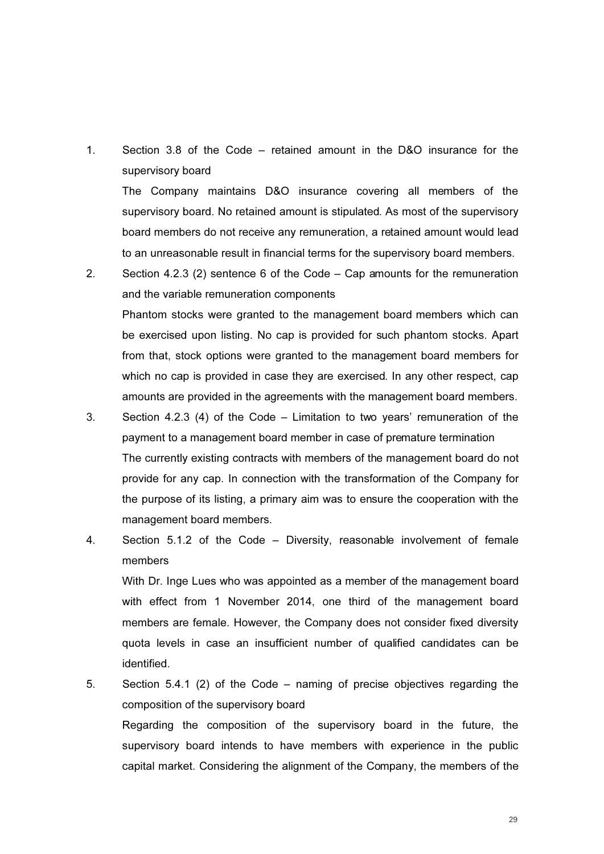1. Section 3.8 of the Code – retained amount in the D&O insurance for the supervisory board

The Company maintains D&O insurance covering all members of the supervisory board. No retained amount is stipulated. As most of the supervisory board members do not receive any remuneration, a retained amount would lead to an unreasonable result in financial terms for the supervisory board members.

2. Section 4.2.3 (2) sentence 6 of the Code – Cap amounts for the remuneration and the variable remuneration components Phantom stocks were granted to the management board members which can be exercised upon listing. No cap is provided for such phantom stocks. Apart from that, stock options were granted to the management board members for which no cap is provided in case they are exercised. In any other respect, cap amounts are provided in the agreements with the management board members.

- 3. Section 4.2.3 (4) of the Code Limitation to two years' remuneration of the payment to a management board member in case of premature termination The currently existing contracts with members of the management board do not provide for any cap. In connection with the transformation of the Company for the purpose of its listing, a primary aim was to ensure the cooperation with the management board members.
- 4. Section 5.1.2 of the Code Diversity, reasonable involvement of female members

 With Dr. Inge Lues who was appointed as a member of the management board with effect from 1 November 2014, one third of the management board members are female. However, the Company does not consider fixed diversity quota levels in case an insufficient number of qualified candidates can be identified.

5. Section 5.4.1 (2) of the Code – naming of precise objectives regarding the composition of the supervisory board Regarding the composition of the supervisory board in the future, the supervisory board intends to have members with experience in the public capital market. Considering the alignment of the Company, the members of the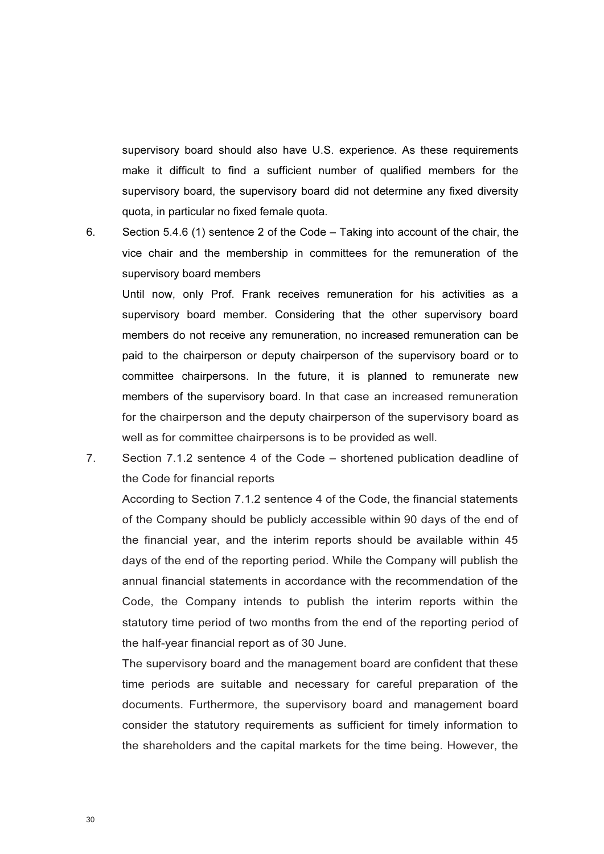supervisory board should also have U.S. experience. As these requirements make it difficult to find a sufficient number of qualified members for the supervisory board, the supervisory board did not determine any fixed diversity quota, in particular no fixed female quota.

6. Section 5.4.6 (1) sentence 2 of the Code – Taking into account of the chair, the vice chair and the membership in committees for the remuneration of the supervisory board members

Until now, only Prof. Frank receives remuneration for his activities as a supervisory board member. Considering that the other supervisory board members do not receive any remuneration, no increased remuneration can be paid to the chairperson or deputy chairperson of the supervisory board or to committee chairpersons. In the future, it is planned to remunerate new members of the supervisory board. In that case an increased remuneration for the chairperson and the deputy chairperson of the supervisory board as well as for committee chairpersons is to be provided as well.

7. Section 7.1.2 sentence 4 of the Code – shortened publication deadline of the Code for financial reports

 According to Section 7.1.2 sentence 4 of the Code, the financial statements of the Company should be publicly accessible within 90 days of the end of the financial year, and the interim reports should be available within 45 days of the end of the reporting period. While the Company will publish the annual financial statements in accordance with the recommendation of the Code, the Company intends to publish the interim reports within the statutory time period of two months from the end of the reporting period of the half-year financial report as of 30 June.

 The supervisory board and the management board are confident that these time periods are suitable and necessary for careful preparation of the documents. Furthermore, the supervisory board and management board consider the statutory requirements as sufficient for timely information to the shareholders and the capital markets for the time being. However, the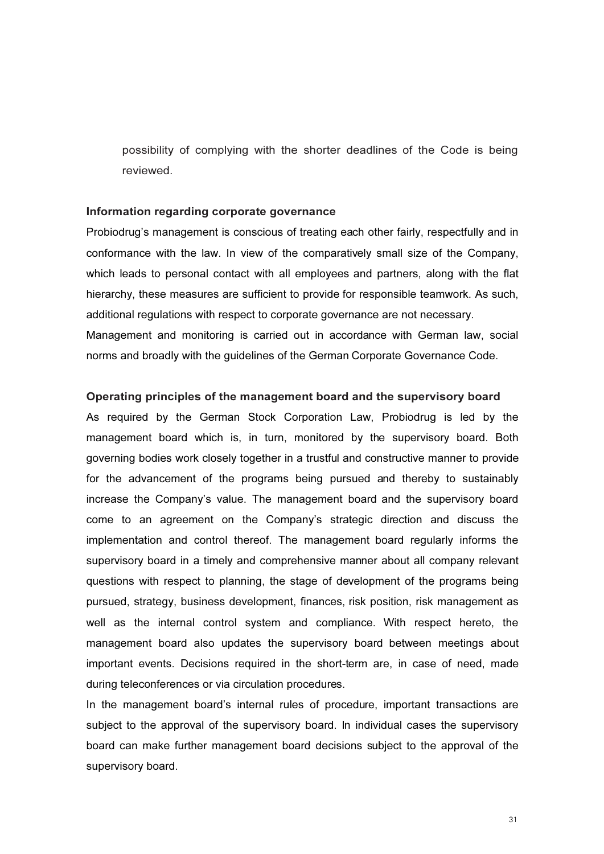possibility of complying with the shorter deadlines of the Code is being reviewed.

#### Information regarding corporate governance

Probiodrug's management is conscious of treating each other fairly, respectfully and in conformance with the law. In view of the comparatively small size of the Company, which leads to personal contact with all employees and partners, along with the flat hierarchy, these measures are sufficient to provide for responsible teamwork. As such, additional regulations with respect to corporate governance are not necessary. Management and monitoring is carried out in accordance with German law, social norms and broadly with the guidelines of the German Corporate Governance Code.

#### Operating principles of the management board and the supervisory board

As required by the German Stock Corporation Law, Probiodrug is led by the management board which is, in turn, monitored by the supervisory board. Both governing bodies work closely together in a trustful and constructive manner to provide for the advancement of the programs being pursued and thereby to sustainably increase the Company's value. The management board and the supervisory board come to an agreement on the Company's strategic direction and discuss the implementation and control thereof. The management board regularly informs the supervisory board in a timely and comprehensive manner about all company relevant questions with respect to planning, the stage of development of the programs being pursued, strategy, business development, finances, risk position, risk management as well as the internal control system and compliance. With respect hereto, the management board also updates the supervisory board between meetings about important events. Decisions required in the short-term are, in case of need, made during teleconferences or via circulation procedures.

In the management board's internal rules of procedure, important transactions are subject to the approval of the supervisory board. In individual cases the supervisory board can make further management board decisions subject to the approval of the supervisory board.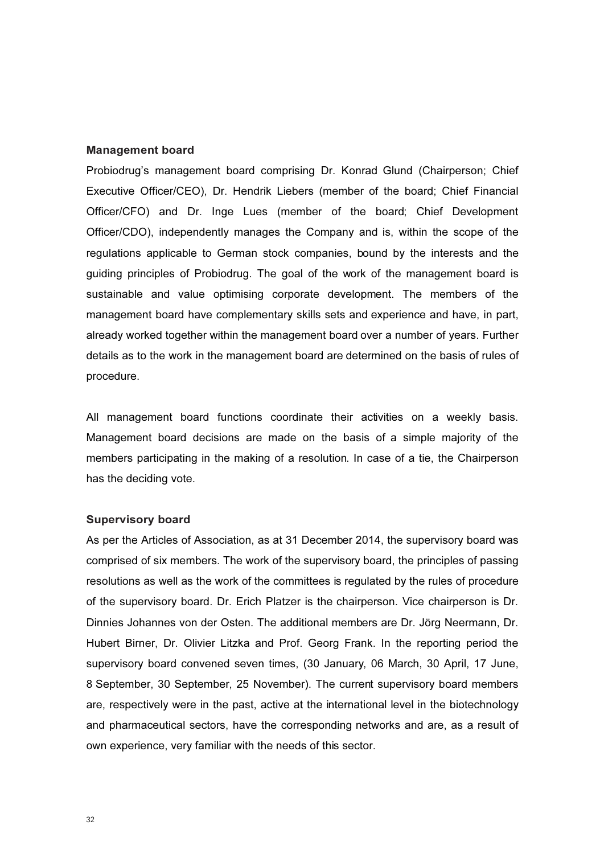#### Management board

Probiodrug's management board comprising Dr. Konrad Glund (Chairperson; Chief Executive Officer/CEO), Dr. Hendrik Liebers (member of the board; Chief Financial Officer/CFO) and Dr. Inge Lues (member of the board; Chief Development Officer/CDO), independently manages the Company and is, within the scope of the regulations applicable to German stock companies, bound by the interests and the guiding principles of Probiodrug. The goal of the work of the management board is sustainable and value optimising corporate development. The members of the management board have complementary skills sets and experience and have, in part, already worked together within the management board over a number of years. Further details as to the work in the management board are determined on the basis of rules of procedure.

All management board functions coordinate their activities on a weekly basis. Management board decisions are made on the basis of a simple majority of the members participating in the making of a resolution. In case of a tie, the Chairperson has the deciding vote.

#### Supervisory board

As per the Articles of Association, as at 31 December 2014, the supervisory board was comprised of six members. The work of the supervisory board, the principles of passing resolutions as well as the work of the committees is regulated by the rules of procedure of the supervisory board. Dr. Erich Platzer is the chairperson. Vice chairperson is Dr. Dinnies Johannes von der Osten. The additional members are Dr. Jörg Neermann, Dr. Hubert Birner, Dr. Olivier Litzka and Prof. Georg Frank. In the reporting period the supervisory board convened seven times, (30 January, 06 March, 30 April, 17 June, 8 September, 30 September, 25 November). The current supervisory board members are, respectively were in the past, active at the international level in the biotechnology and pharmaceutical sectors, have the corresponding networks and are, as a result of own experience, very familiar with the needs of this sector.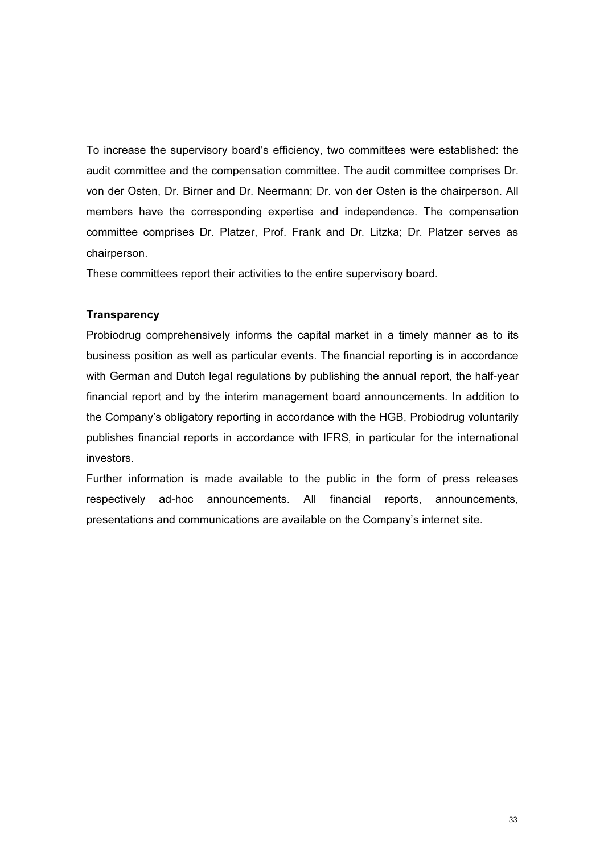To increase the supervisory board's efficiency, two committees were established: the audit committee and the compensation committee. The audit committee comprises Dr. von der Osten, Dr. Birner and Dr. Neermann; Dr. von der Osten is the chairperson. All members have the corresponding expertise and independence. The compensation committee comprises Dr. Platzer, Prof. Frank and Dr. Litzka; Dr. Platzer serves as chairperson.

These committees report their activities to the entire supervisory board.

#### **Transparency**

Probiodrug comprehensively informs the capital market in a timely manner as to its business position as well as particular events. The financial reporting is in accordance with German and Dutch legal regulations by publishing the annual report, the half-year financial report and by the interim management board announcements. In addition to the Company's obligatory reporting in accordance with the HGB, Probiodrug voluntarily publishes financial reports in accordance with IFRS, in particular for the international investors.

Further information is made available to the public in the form of press releases respectively ad-hoc announcements. All financial reports, announcements, presentations and communications are available on the Company's internet site.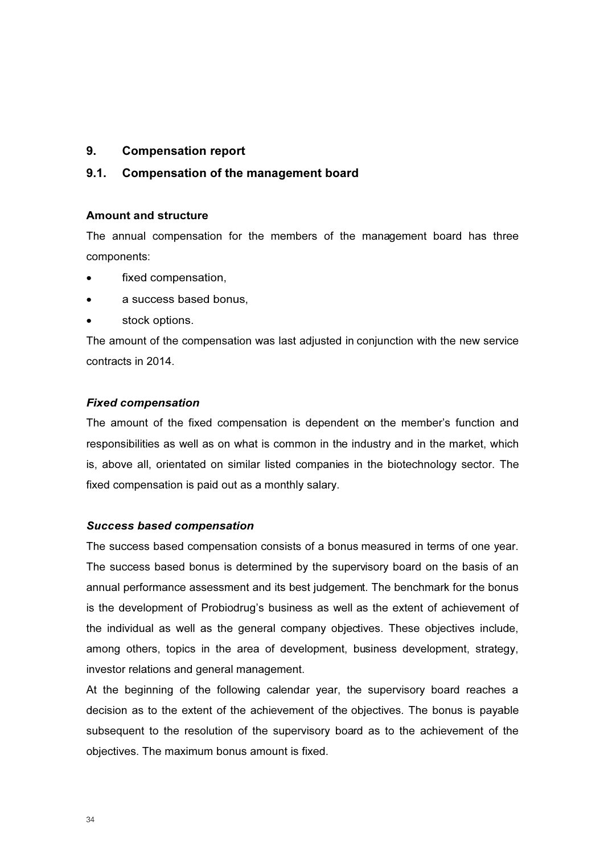# 9. Compensation report

# 9.1. Compensation of the management board

#### Amount and structure

The annual compensation for the members of the management board has three components:

- fixed compensation,
- a success based bonus.
- stock options.

The amount of the compensation was last adjusted in conjunction with the new service contracts in 2014.

#### Fixed compensation

The amount of the fixed compensation is dependent on the member's function and responsibilities as well as on what is common in the industry and in the market, which is, above all, orientated on similar listed companies in the biotechnology sector. The fixed compensation is paid out as a monthly salary.

#### Success based compensation

The success based compensation consists of a bonus measured in terms of one year. The success based bonus is determined by the supervisory board on the basis of an annual performance assessment and its best judgement. The benchmark for the bonus is the development of Probiodrug's business as well as the extent of achievement of the individual as well as the general company objectives. These objectives include, among others, topics in the area of development, business development, strategy, investor relations and general management.

At the beginning of the following calendar year, the supervisory board reaches a decision as to the extent of the achievement of the objectives. The bonus is payable subsequent to the resolution of the supervisory board as to the achievement of the objectives. The maximum bonus amount is fixed.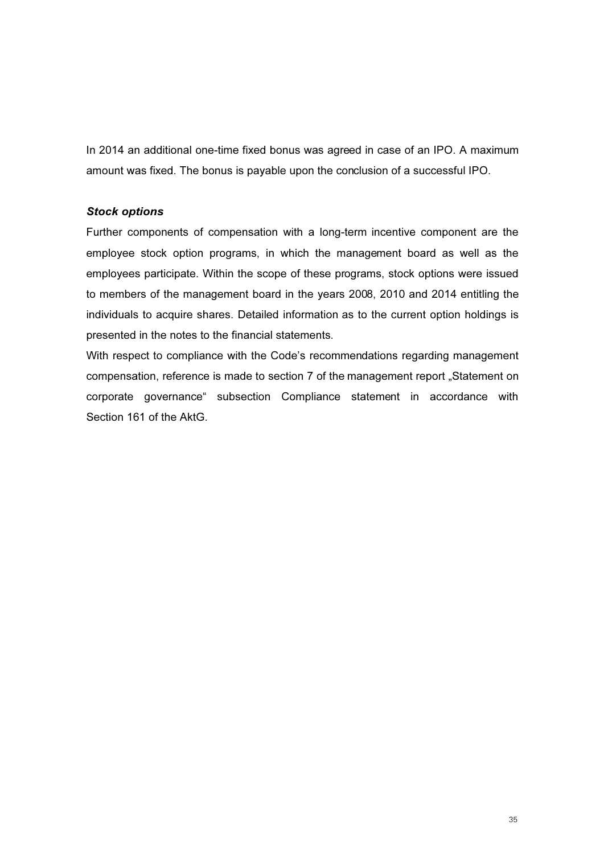In 2014 an additional one-time fixed bonus was agreed in case of an IPO. A maximum amount was fixed. The bonus is payable upon the conclusion of a successful IPO.

## Stock options

Further components of compensation with a long-term incentive component are the employee stock option programs, in which the management board as well as the employees participate. Within the scope of these programs, stock options were issued to members of the management board in the years 2008, 2010 and 2014 entitling the individuals to acquire shares. Detailed information as to the current option holdings is presented in the notes to the financial statements.

With respect to compliance with the Code's recommendations regarding management compensation, reference is made to section 7 of the management report "Statement on corporate governance" subsection Compliance statement in accordance with Section 161 of the AktG.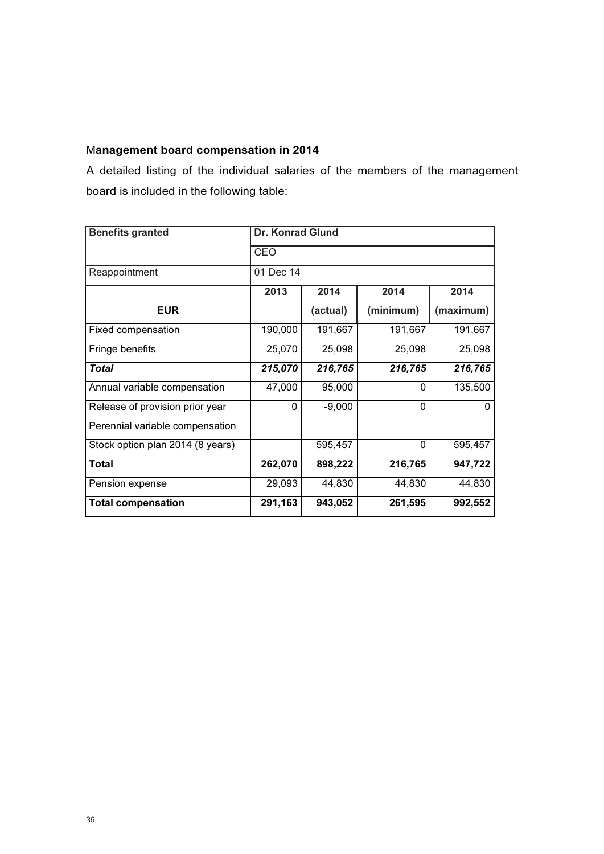# Management board compensation in 2014

A detailed listing of the individual salaries of the members of the management board is included in the following table:

| <b>Benefits granted</b>          | <b>Dr. Konrad Glund</b> |          |           |           |  |  |
|----------------------------------|-------------------------|----------|-----------|-----------|--|--|
|                                  | CEO                     |          |           |           |  |  |
| Reappointment                    | 01 Dec 14               |          |           |           |  |  |
|                                  | 2013                    | 2014     | 2014      | 2014      |  |  |
| <b>EUR</b>                       |                         | (actual) | (minimum) | (maximum) |  |  |
| Fixed compensation               | 190,000                 | 191,667  | 191,667   | 191,667   |  |  |
| Fringe benefits                  | 25,070                  | 25,098   | 25,098    | 25,098    |  |  |
| <b>Total</b>                     | 215,070                 | 216,765  | 216,765   | 216,765   |  |  |
| Annual variable compensation     | 47,000                  | 95,000   | $\Omega$  | 135,500   |  |  |
| Release of provision prior year  | 0                       | $-9,000$ | $\Omega$  | O         |  |  |
| Perennial variable compensation  |                         |          |           |           |  |  |
| Stock option plan 2014 (8 years) |                         | 595,457  | $\Omega$  | 595,457   |  |  |
| <b>Total</b>                     | 262,070                 | 898,222  | 216,765   | 947,722   |  |  |
| Pension expense                  | 29,093                  | 44,830   | 44,830    | 44,830    |  |  |
| <b>Total compensation</b>        | 291,163                 | 943,052  | 261,595   | 992,552   |  |  |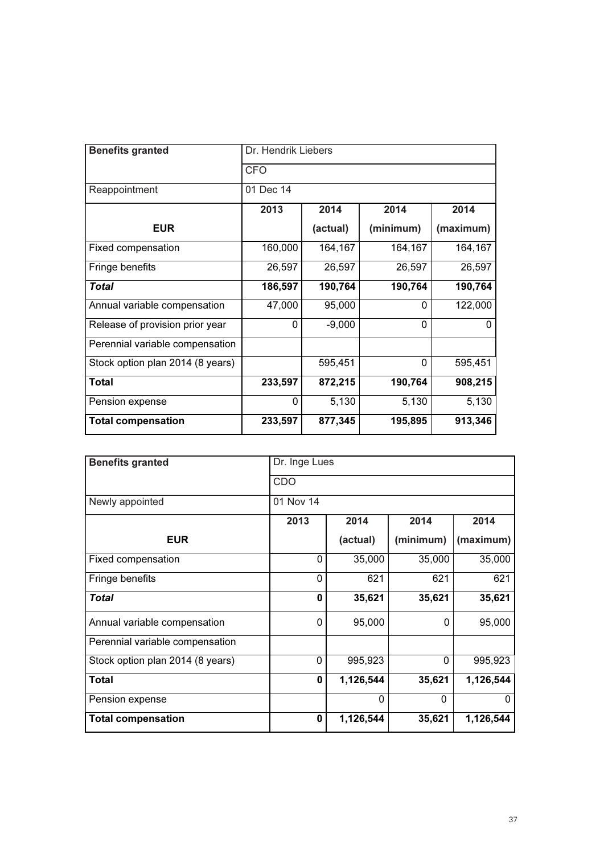| <b>Benefits granted</b>          | Dr. Hendrik Liebers |          |           |           |  |
|----------------------------------|---------------------|----------|-----------|-----------|--|
|                                  | <b>CFO</b>          |          |           |           |  |
| Reappointment                    | 01 Dec 14           |          |           |           |  |
|                                  | 2013                | 2014     | 2014      | 2014      |  |
| <b>EUR</b>                       |                     | (actual) | (minimum) | (maximum) |  |
| Fixed compensation               | 160,000             | 164,167  | 164,167   | 164,167   |  |
| Fringe benefits                  | 26,597              | 26,597   | 26,597    | 26,597    |  |
| Total                            | 186,597             | 190,764  | 190,764   | 190,764   |  |
| Annual variable compensation     | 47,000              | 95,000   | $\Omega$  | 122,000   |  |
| Release of provision prior year  | 0                   | $-9,000$ | $\Omega$  | 0         |  |
| Perennial variable compensation  |                     |          |           |           |  |
| Stock option plan 2014 (8 years) |                     | 595,451  | $\Omega$  | 595,451   |  |
| <b>Total</b>                     | 233,597             | 872,215  | 190,764   | 908,215   |  |
| Pension expense                  | 0                   | 5,130    | 5,130     | 5,130     |  |
| <b>Total compensation</b>        | 233,597             | 877,345  | 195,895   | 913,346   |  |

| <b>Benefits granted</b>          | Dr. Inge Lues |           |              |           |  |  |
|----------------------------------|---------------|-----------|--------------|-----------|--|--|
|                                  | CDO           |           |              |           |  |  |
| Newly appointed                  | 01 Nov 14     |           |              |           |  |  |
|                                  | 2013          | 2014      | 2014         | 2014      |  |  |
| <b>EUR</b>                       |               | (actual)  | (minimum)    | (maximum) |  |  |
| Fixed compensation               | $\Omega$      | 35,000    | 35,000       | 35,000    |  |  |
| Fringe benefits                  | $\mathbf{0}$  | 621       | 621          | 621       |  |  |
| <b>Total</b>                     | $\bf{0}$      | 35,621    | 35,621       | 35,621    |  |  |
| Annual variable compensation     | 0             | 95,000    | 0            | 95,000    |  |  |
| Perennial variable compensation  |               |           |              |           |  |  |
| Stock option plan 2014 (8 years) | $\mathbf{0}$  | 995,923   | $\mathbf{0}$ | 995,923   |  |  |
| <b>Total</b>                     | $\bf{0}$      | 1,126,544 | 35,621       | 1,126,544 |  |  |
| Pension expense                  |               | 0         | 0            | 0         |  |  |
| <b>Total compensation</b>        | $\bf{0}$      | 1,126,544 | 35,621       | 1,126,544 |  |  |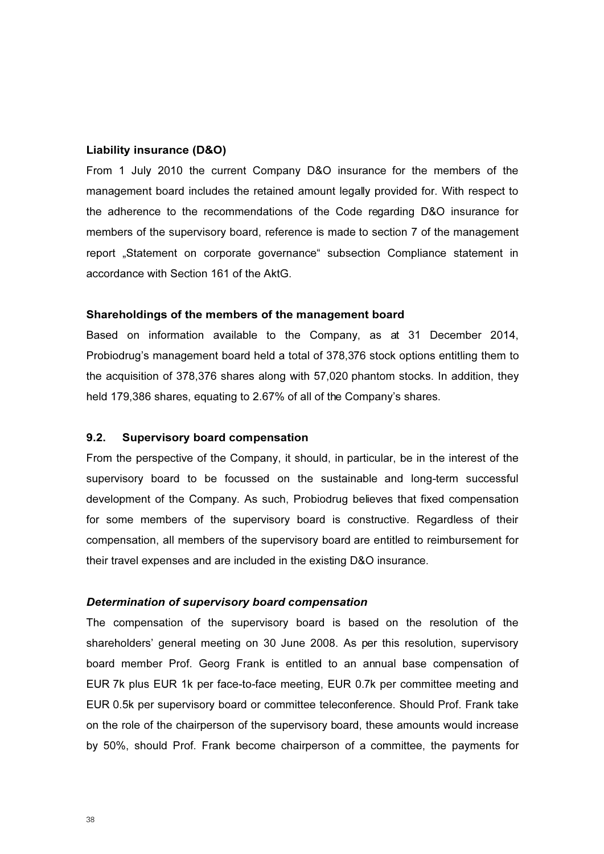#### Liability insurance (D&O)

From 1 July 2010 the current Company D&O insurance for the members of the management board includes the retained amount legally provided for. With respect to the adherence to the recommendations of the Code regarding D&O insurance for members of the supervisory board, reference is made to section 7 of the management report "Statement on corporate governance" subsection Compliance statement in accordance with Section 161 of the AktG.

#### Shareholdings of the members of the management board

Based on information available to the Company, as at 31 December 2014, Probiodrug's management board held a total of 378,376 stock options entitling them to the acquisition of 378,376 shares along with 57,020 phantom stocks. In addition, they held 179,386 shares, equating to 2.67% of all of the Company's shares.

## 9.2. Supervisory board compensation

From the perspective of the Company, it should, in particular, be in the interest of the supervisory board to be focussed on the sustainable and long-term successful development of the Company. As such, Probiodrug believes that fixed compensation for some members of the supervisory board is constructive. Regardless of their compensation, all members of the supervisory board are entitled to reimbursement for their travel expenses and are included in the existing D&O insurance.

#### Determination of supervisory board compensation

The compensation of the supervisory board is based on the resolution of the shareholders' general meeting on 30 June 2008. As per this resolution, supervisory board member Prof. Georg Frank is entitled to an annual base compensation of EUR 7k plus EUR 1k per face-to-face meeting, EUR 0.7k per committee meeting and EUR 0.5k per supervisory board or committee teleconference. Should Prof. Frank take on the role of the chairperson of the supervisory board, these amounts would increase by 50%, should Prof. Frank become chairperson of a committee, the payments for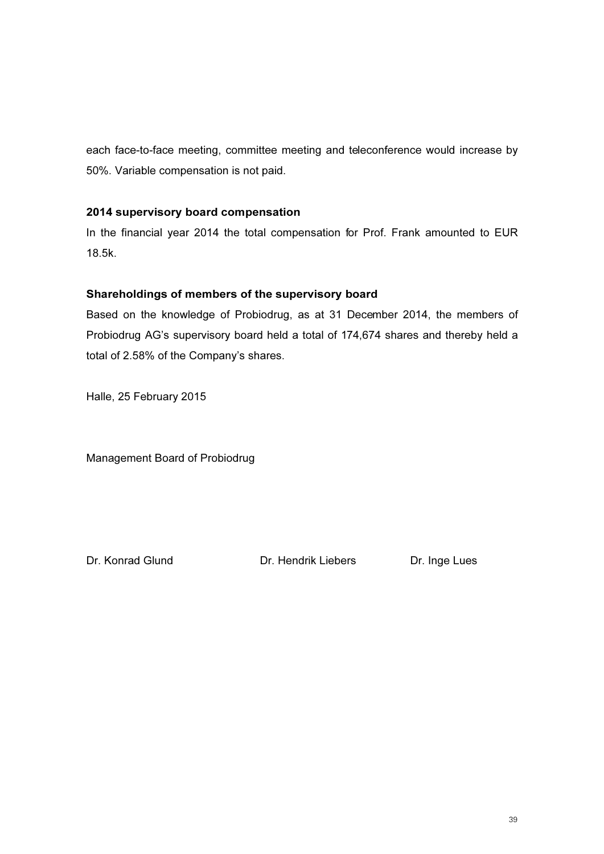each face-to-face meeting, committee meeting and teleconference would increase by 50%. Variable compensation is not paid.

## 2014 supervisory board compensation

In the financial year 2014 the total compensation for Prof. Frank amounted to EUR 18.5k.

## Shareholdings of members of the supervisory board

Based on the knowledge of Probiodrug, as at 31 December 2014, the members of Probiodrug AG's supervisory board held a total of 174,674 shares and thereby held a total of 2.58% of the Company's shares.

Halle, 25 February 2015

Management Board of Probiodrug

Dr. Konrad Glund Dr. Hendrik Liebers Dr. Inge Lues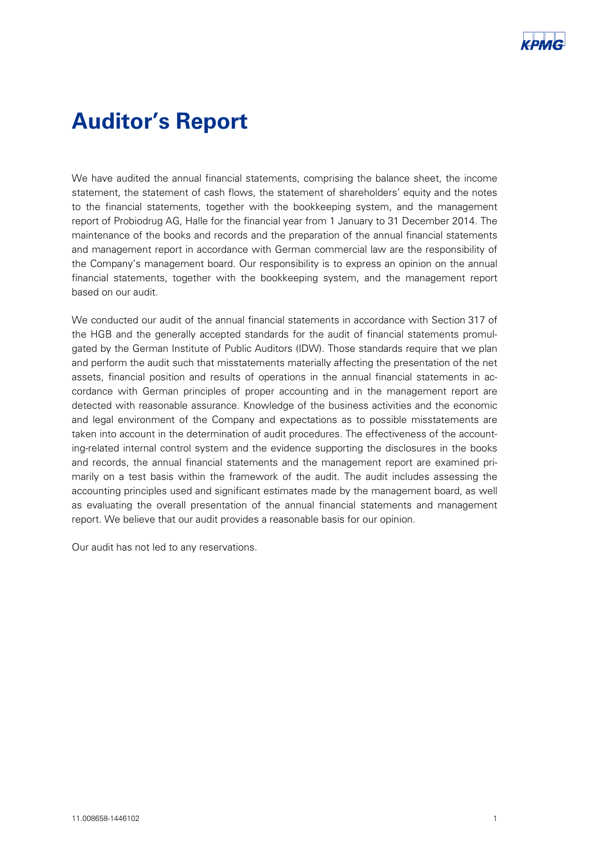# Auditor's Report

We have audited the annual financial statements, comprising the balance sheet, the income statement, the statement of cash flows, the statement of shareholders' equity and the notes to the financial statements, together with the bookkeeping system, and the management report of Probiodrug AG, Halle for the financial year from 1 January to 31 December 2014. The maintenance of the books and records and the preparation of the annual financial statements and management report in accordance with German commercial law are the responsibility of the Company's management board. Our responsibility is to express an opinion on the annual financial statements, together with the bookkeeping system, and the management report based on our audit.

We conducted our audit of the annual financial statements in accordance with Section 317 of the HGB and the generally accepted standards for the audit of financial statements promulgated by the German Institute of Public Auditors (IDW). Those standards require that we plan and perform the audit such that misstatements materially affecting the presentation of the net assets, financial position and results of operations in the annual financial statements in accordance with German principles of proper accounting and in the management report are detected with-reasonable assurance. Knowledge of the business activities and the economic and legal environment of the Company and expectations as to possible misstatements are taken into account in the determination of audit procedures. The effectiveness of the accounting-related internal control system and the evidence supporting the disclosures in the books and records, the annual financial statements and the management report are examined primarily on a test basis within the framework of the audit. The audit includes assessing the accounting principles used and significant estimates made by the management board, as well as evaluating the overall presentation of the annual financial statements and management report. We believe that our audit provides a reasonable basis for our opinion.

Our audit has not led to any reservations.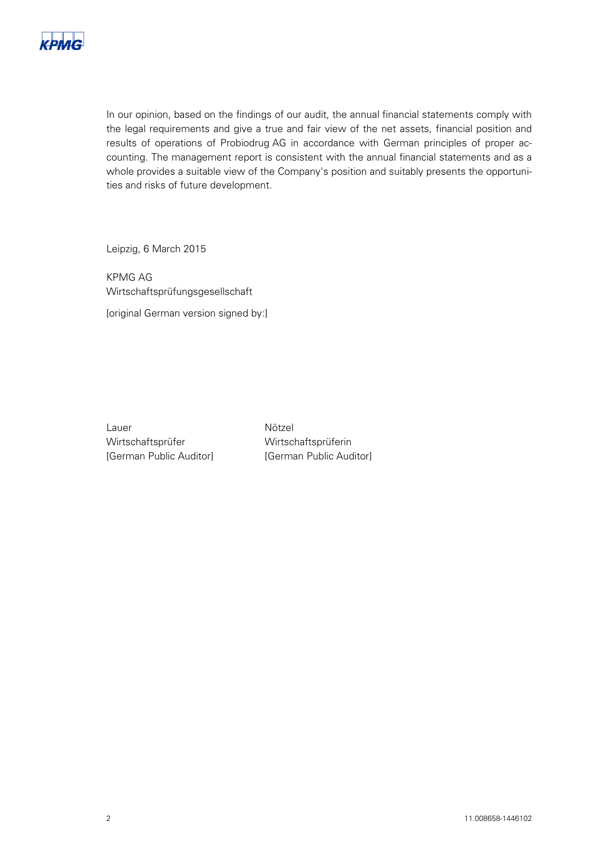

In our opinion, based on the findings of our audit, the annual financial statements comply with the legal requirements and give a true and fair view of the net assets, financial position and results of operations of Probiodrug AG in accordance with German principles of proper accounting. The management report is consistent with the annual financial statements and as a whole provides a suitable view of the Company's position and suitably presents the opportunities and risks of future development.

Leipzig, 6 March 2015

KPMG-AG-Wirtschaftsprüfungsgesellschaft-[original German version signed by:]

Lauer Wirtschaftsprüfer [German Public Auditor] **Nötzel** Wirtschaftsprüferin- [German Public Auditor]